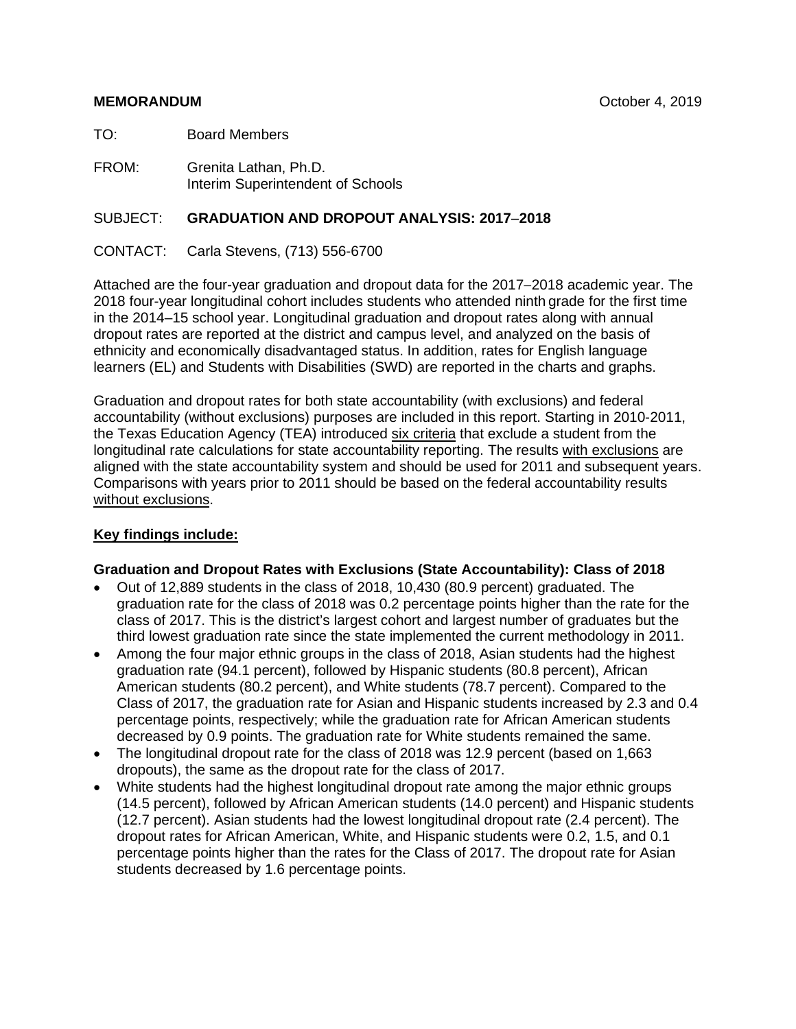#### **MEMORANDUM** October 4, 2019

TO: Board Members

FROM: Grenita Lathan, Ph.D. Interim Superintendent of Schools

# SUBJECT: **GRADUATION AND DROPOUT ANALYSIS: 2017**−**2018**

CONTACT: Carla Stevens, (713) 556-6700

Attached are the four-year graduation and dropout data for the 2017−2018 academic year. The 2018 four-year longitudinal cohort includes students who attended ninth grade for the first time in the 2014–15 school year. Longitudinal graduation and dropout rates along with annual dropout rates are reported at the district and campus level, and analyzed on the basis of ethnicity and economically disadvantaged status. In addition, rates for English language learners (EL) and Students with Disabilities (SWD) are reported in the charts and graphs.

Graduation and dropout rates for both state accountability (with exclusions) and federal accountability (without exclusions) purposes are included in this report. Starting in 2010-2011, the Texas Education Agency (TEA) introduced six criteria that exclude a student from the longitudinal rate calculations for state accountability reporting. The results with exclusions are aligned with the state accountability system and should be used for 2011 and subsequent years. Comparisons with years prior to 2011 should be based on the federal accountability results without exclusions.

# **Key findings include:**

#### **Graduation and Dropout Rates with Exclusions (State Accountability): Class of 2018**

- Out of 12,889 students in the class of 2018, 10,430 (80.9 percent) graduated. The graduation rate for the class of 2018 was 0.2 percentage points higher than the rate for the class of 2017. This is the district's largest cohort and largest number of graduates but the third lowest graduation rate since the state implemented the current methodology in 2011.
- Among the four major ethnic groups in the class of 2018, Asian students had the highest graduation rate (94.1 percent), followed by Hispanic students (80.8 percent), African American students (80.2 percent), and White students (78.7 percent). Compared to the Class of 2017, the graduation rate for Asian and Hispanic students increased by 2.3 and 0.4 percentage points, respectively; while the graduation rate for African American students decreased by 0.9 points. The graduation rate for White students remained the same.
- The longitudinal dropout rate for the class of 2018 was 12.9 percent (based on 1,663 dropouts), the same as the dropout rate for the class of 2017.
- White students had the highest longitudinal dropout rate among the major ethnic groups (14.5 percent), followed by African American students (14.0 percent) and Hispanic students (12.7 percent). Asian students had the lowest longitudinal dropout rate (2.4 percent). The dropout rates for African American, White, and Hispanic students were 0.2, 1.5, and 0.1 percentage points higher than the rates for the Class of 2017. The dropout rate for Asian students decreased by 1.6 percentage points.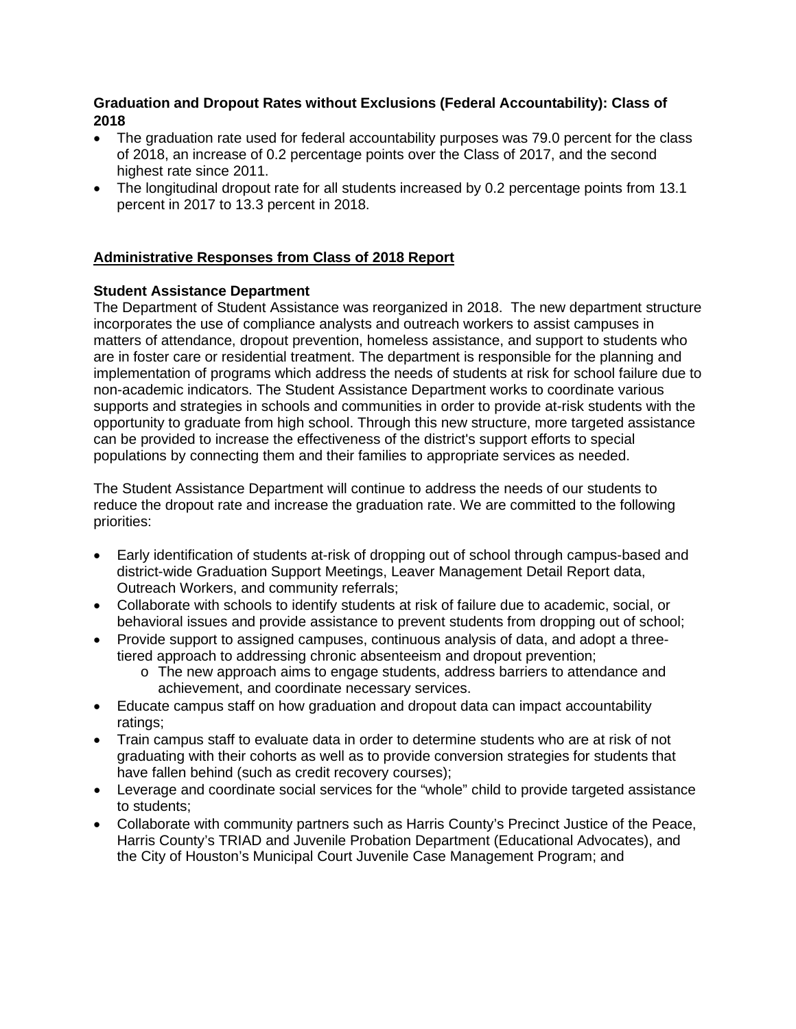# **Graduation and Dropout Rates without Exclusions (Federal Accountability): Class of 2018**

- The graduation rate used for federal accountability purposes was 79.0 percent for the class of 2018, an increase of 0.2 percentage points over the Class of 2017, and the second highest rate since 2011.
- The longitudinal dropout rate for all students increased by 0.2 percentage points from 13.1 percent in 2017 to 13.3 percent in 2018.

# **Administrative Responses from Class of 2018 Report**

# **Student Assistance Department**

The Department of Student Assistance was reorganized in 2018. The new department structure incorporates the use of compliance analysts and outreach workers to assist campuses in matters of attendance, dropout prevention, homeless assistance, and support to students who are in foster care or residential treatment. The department is responsible for the planning and implementation of programs which address the needs of students at risk for school failure due to non-academic indicators. The Student Assistance Department works to coordinate various supports and strategies in schools and communities in order to provide at-risk students with the opportunity to graduate from high school. Through this new structure, more targeted assistance can be provided to increase the effectiveness of the district's support efforts to special populations by connecting them and their families to appropriate services as needed.

The Student Assistance Department will continue to address the needs of our students to reduce the dropout rate and increase the graduation rate. We are committed to the following priorities:

- Early identification of students at-risk of dropping out of school through campus-based and district-wide Graduation Support Meetings, Leaver Management Detail Report data, Outreach Workers, and community referrals;
- Collaborate with schools to identify students at risk of failure due to academic, social, or behavioral issues and provide assistance to prevent students from dropping out of school;
- Provide support to assigned campuses, continuous analysis of data, and adopt a threetiered approach to addressing chronic absenteeism and dropout prevention;
	- o The new approach aims to engage students, address barriers to attendance and achievement, and coordinate necessary services.
- Educate campus staff on how graduation and dropout data can impact accountability ratings;
- Train campus staff to evaluate data in order to determine students who are at risk of not graduating with their cohorts as well as to provide conversion strategies for students that have fallen behind (such as credit recovery courses);
- Leverage and coordinate social services for the "whole" child to provide targeted assistance to students;
- Collaborate with community partners such as Harris County's Precinct Justice of the Peace, Harris County's TRIAD and Juvenile Probation Department (Educational Advocates), and the City of Houston's Municipal Court Juvenile Case Management Program; and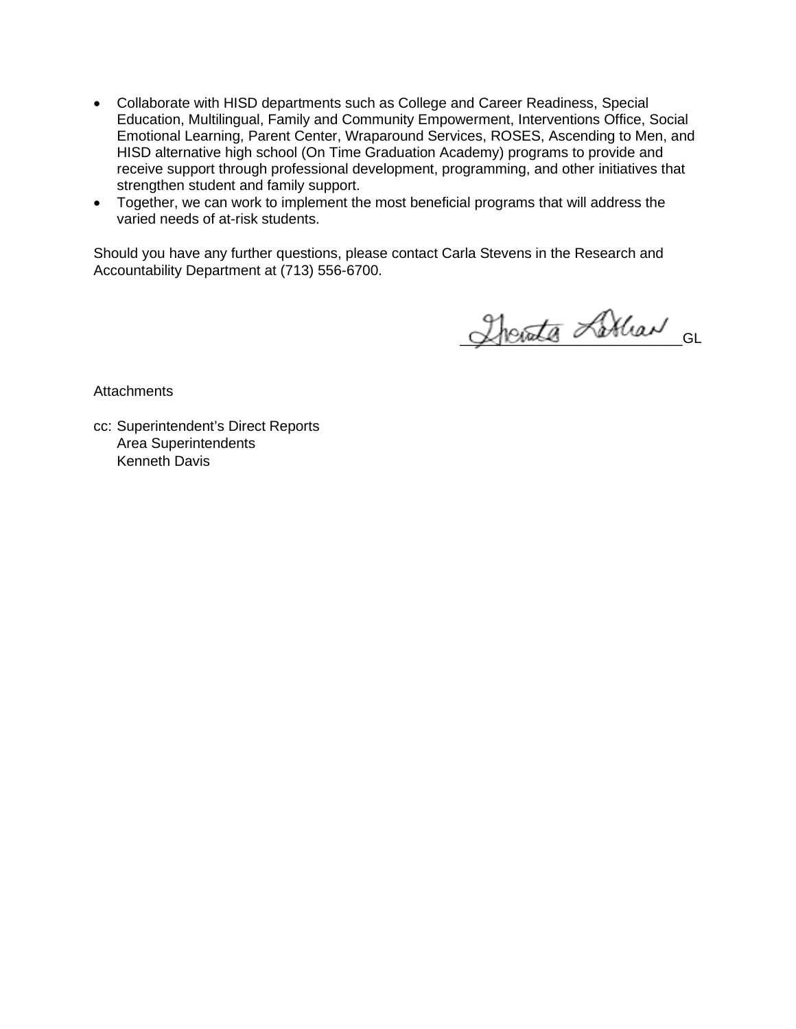- Collaborate with HISD departments such as College and Career Readiness, Special Education, Multilingual, Family and Community Empowerment, Interventions Office, Social Emotional Learning, Parent Center, Wraparound Services, ROSES, Ascending to Men, and HISD alternative high school (On Time Graduation Academy) programs to provide and receive support through professional development, programming, and other initiatives that strengthen student and family support.
- Together, we can work to implement the most beneficial programs that will address the varied needs of at-risk students.

Should you have any further questions, please contact Carla Stevens in the Research and Accountability Department at (713) 556-6700.

Therate Librar GL

**Attachments** 

cc: Superintendent's Direct Reports Area Superintendents Kenneth Davis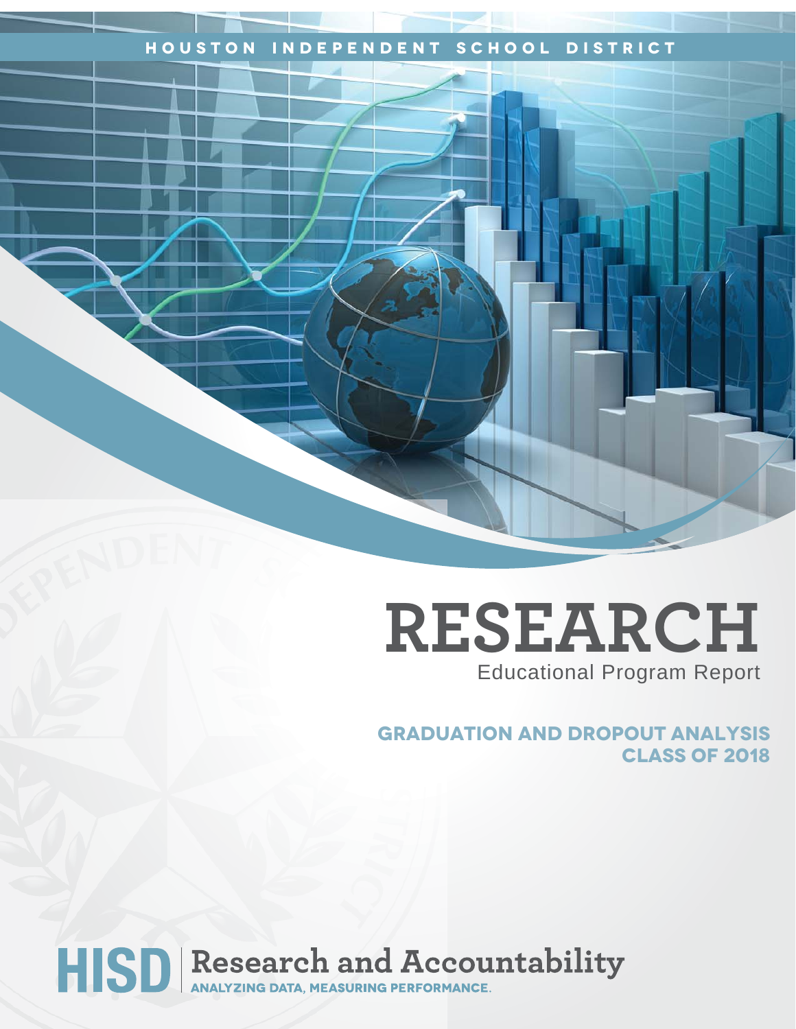# **Houston Independent School District**

# **RESEARCH** Educational Program Report

**GRADUATION AND DROPOUT ANALYSIS CLASS OF 2018**

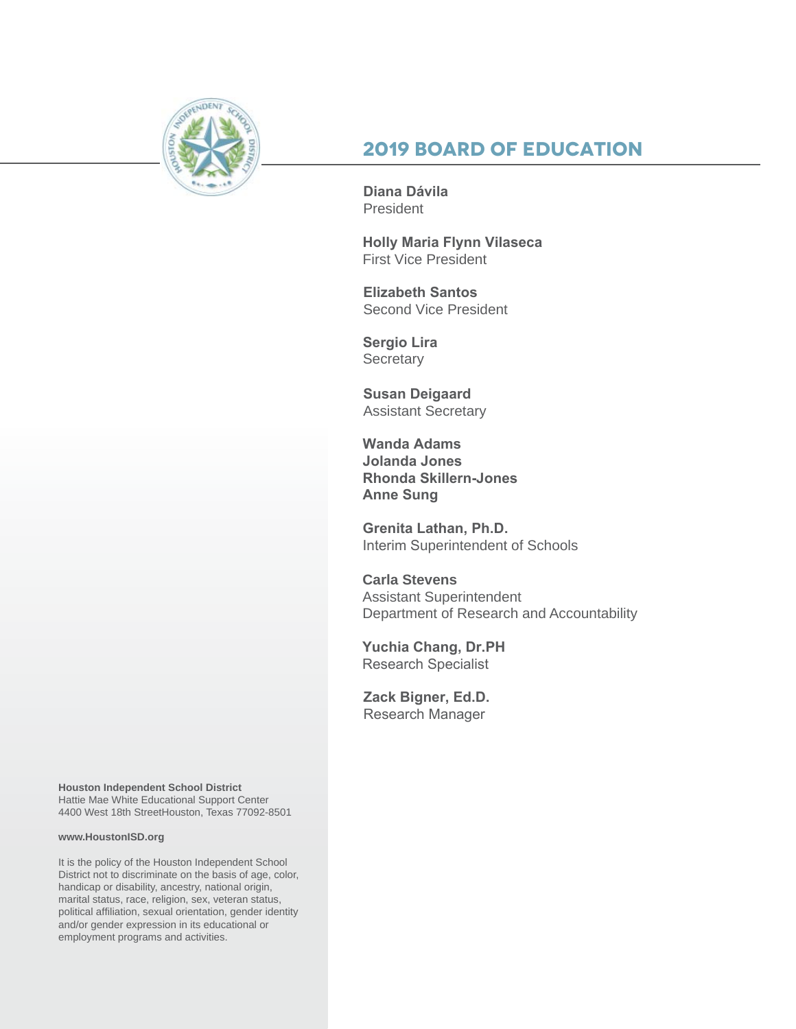

# **2019 Board of Education**

**Diana Dávila**  President

**Holly Maria Flynn Vilaseca** First Vice President

**Elizabeth Santos**  Second Vice President

**Sergio Lira Secretary** 

**Susan Deigaard** Assistant Secretary

**Wanda Adams Jolanda Jones Rhonda Skillern-Jones Anne Sung**

**Grenita Lathan, Ph.D.**  Interim Superintendent of Schools

**Carla Stevens** Assistant Superintendent Department of Research and Accountability

**Yuchia Chang, Dr.PH** Research Specialist

**Zack Bigner, Ed.D.**  Research Manager

**Houston Independent School District** Hattie Mae White Educational Support Center 4400 West 18th StreetHouston, Texas 77092-8501

#### **www.HoustonISD.org**

It is the policy of the Houston Independent School District not to discriminate on the basis of age, color, handicap or disability, ancestry, national origin, marital status, race, religion, sex, veteran status, political affiliation, sexual orientation, gender identity and/or gender expression in its educational or employment programs and activities.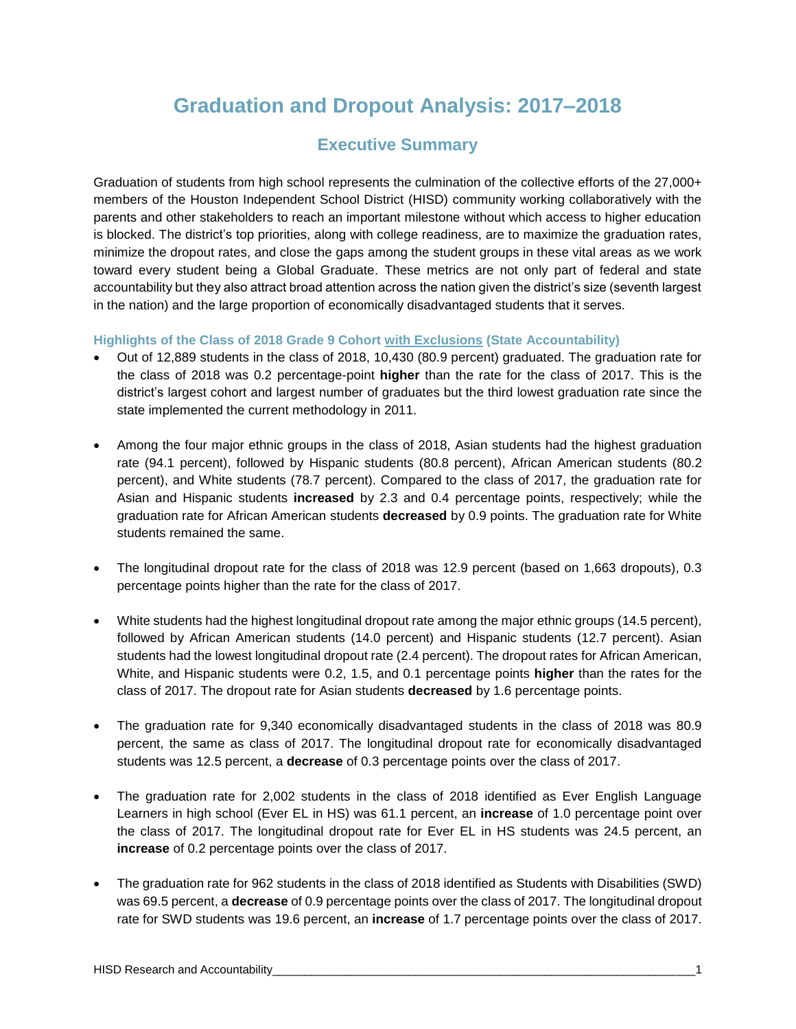# **Graduation and Dropout Analysis: 2017–2018**

# **Executive Summary**

Graduation of students from high school represents the culmination of the collective efforts of the 27,000+ members of the Houston Independent School District (HISD) community working collaboratively with the parents and other stakeholders to reach an important milestone without which access to higher education is blocked. The district's top priorities, along with college readiness, are to maximize the graduation rates, minimize the dropout rates, and close the gaps among the student groups in these vital areas as we work toward every student being a Global Graduate. These metrics are not only part of federal and state accountability but they also attract broad attention across the nation given the district's size (seventh largest in the nation) and the large proportion of economically disadvantaged students that it serves.

#### **Highlights of the Class of 2018 Grade 9 Cohort with Exclusions (State Accountability)**

- Out of 12,889 students in the class of 2018, 10,430 (80.9 percent) graduated. The graduation rate for the class of 2018 was 0.2 percentage-point **higher** than the rate for the class of 2017. This is the district's largest cohort and largest number of graduates but the third lowest graduation rate since the state implemented the current methodology in 2011.
- Among the four major ethnic groups in the class of 2018, Asian students had the highest graduation rate (94.1 percent), followed by Hispanic students (80.8 percent), African American students (80.2 percent), and White students (78.7 percent). Compared to the class of 2017, the graduation rate for Asian and Hispanic students **increased** by 2.3 and 0.4 percentage points, respectively; while the graduation rate for African American students **decreased** by 0.9 points. The graduation rate for White students remained the same.
- The longitudinal dropout rate for the class of 2018 was 12.9 percent (based on 1,663 dropouts), 0.3 percentage points higher than the rate for the class of 2017.
- White students had the highest longitudinal dropout rate among the major ethnic groups (14.5 percent), followed by African American students (14.0 percent) and Hispanic students (12.7 percent). Asian students had the lowest longitudinal dropout rate (2.4 percent). The dropout rates for African American, White, and Hispanic students were 0.2, 1.5, and 0.1 percentage points **higher** than the rates for the class of 2017. The dropout rate for Asian students **decreased** by 1.6 percentage points.
- The graduation rate for 9,340 economically disadvantaged students in the class of 2018 was 80.9 percent, the same as class of 2017. The longitudinal dropout rate for economically disadvantaged students was 12.5 percent, a **decrease** of 0.3 percentage points over the class of 2017.
- The graduation rate for 2,002 students in the class of 2018 identified as Ever English Language Learners in high school (Ever EL in HS) was 61.1 percent, an **increase** of 1.0 percentage point over the class of 2017. The longitudinal dropout rate for Ever EL in HS students was 24.5 percent, an **increase** of 0.2 percentage points over the class of 2017.
- The graduation rate for 962 students in the class of 2018 identified as Students with Disabilities (SWD) was 69.5 percent, a **decrease** of 0.9 percentage points over the class of 2017. The longitudinal dropout rate for SWD students was 19.6 percent, an **increase** of 1.7 percentage points over the class of 2017.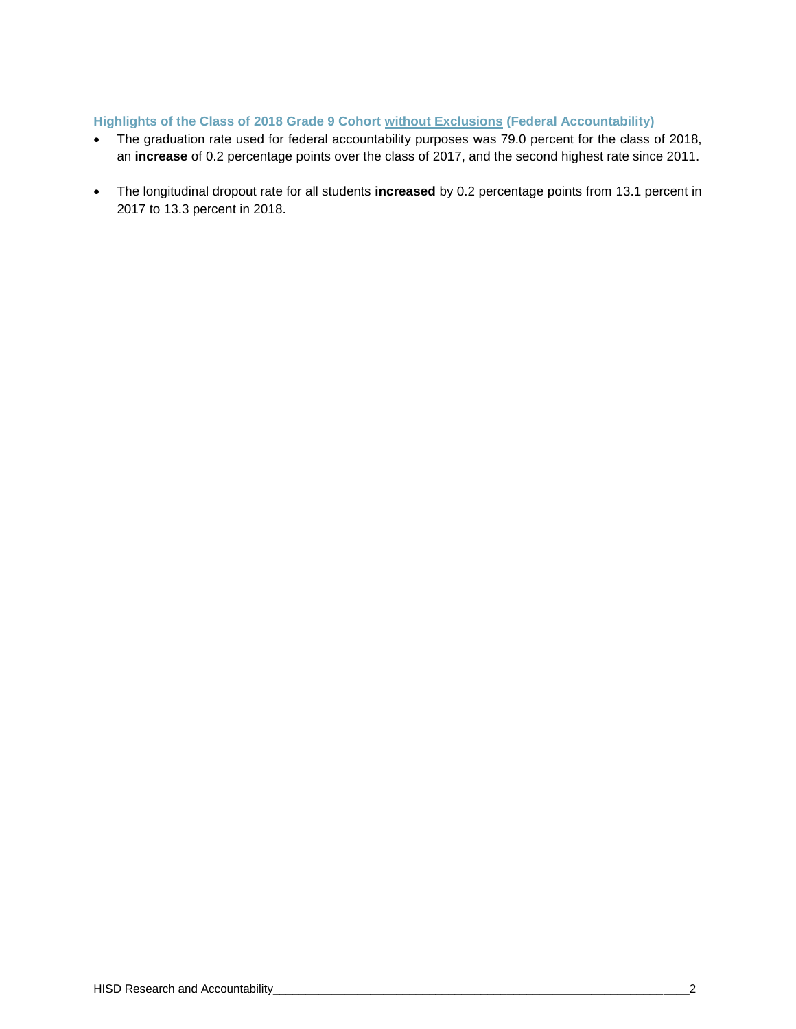#### **Highlights of the Class of 2018 Grade 9 Cohort without Exclusions (Federal Accountability)**

- The graduation rate used for federal accountability purposes was 79.0 percent for the class of 2018, an **increase** of 0.2 percentage points over the class of 2017, and the second highest rate since 2011.
- The longitudinal dropout rate for all students **increased** by 0.2 percentage points from 13.1 percent in 2017 to 13.3 percent in 2018.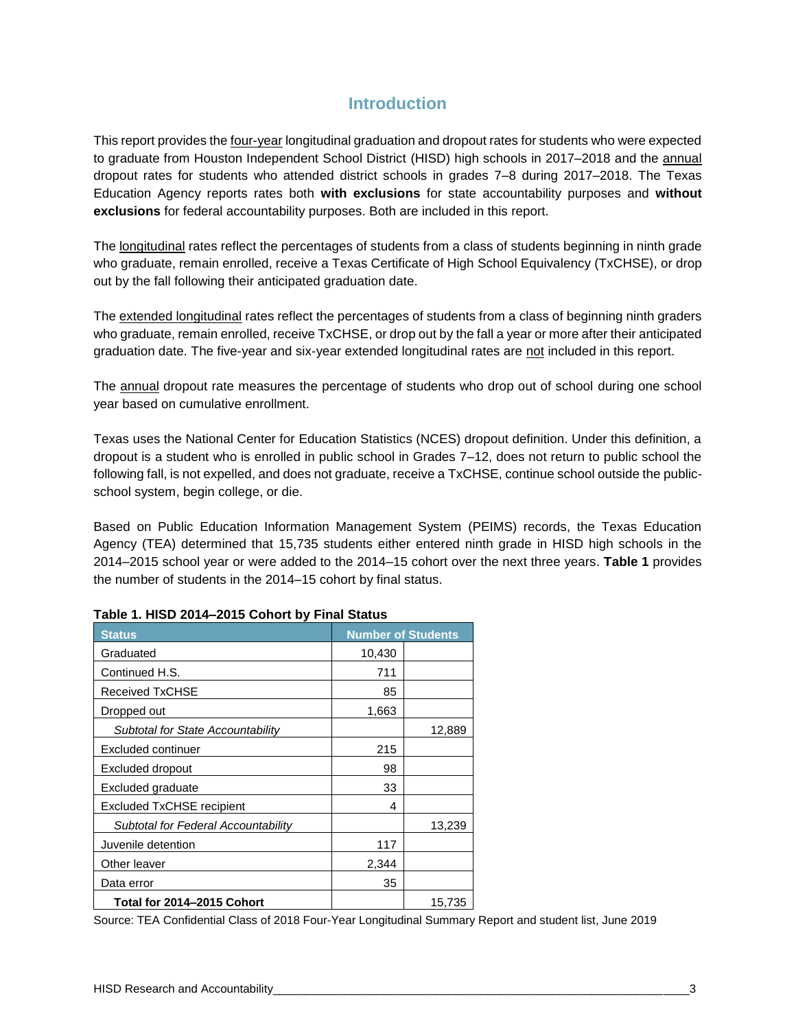# **Introduction**

This report provides the four-year longitudinal graduation and dropout rates for students who were expected to graduate from Houston Independent School District (HISD) high schools in 2017–2018 and the annual dropout rates for students who attended district schools in grades 7–8 during 2017–2018. The Texas Education Agency reports rates both **with exclusions** for state accountability purposes and **without exclusions** for federal accountability purposes. Both are included in this report.

The longitudinal rates reflect the percentages of students from a class of students beginning in ninth grade who graduate, remain enrolled, receive a Texas Certificate of High School Equivalency (TxCHSE), or drop out by the fall following their anticipated graduation date.

The extended longitudinal rates reflect the percentages of students from a class of beginning ninth graders who graduate, remain enrolled, receive TxCHSE, or drop out by the fall a year or more after their anticipated graduation date. The five-year and six-year extended longitudinal rates are not included in this report.

The annual dropout rate measures the percentage of students who drop out of school during one school year based on cumulative enrollment.

Texas uses the National Center for Education Statistics (NCES) dropout definition. Under this definition, a dropout is a student who is enrolled in public school in Grades 7–12, does not return to public school the following fall, is not expelled, and does not graduate, receive a TxCHSE, continue school outside the publicschool system, begin college, or die.

Based on Public Education Information Management System (PEIMS) records, the Texas Education Agency (TEA) determined that 15,735 students either entered ninth grade in HISD high schools in the 2014–2015 school year or were added to the 2014–15 cohort over the next three years. **Table 1** provides the number of students in the 2014–15 cohort by final status.

| <b>Status</b>                       | <b>Number of Students</b> |        |
|-------------------------------------|---------------------------|--------|
| Graduated                           | 10,430                    |        |
| Continued H.S.                      | 711                       |        |
| Received TxCHSE                     | 85                        |        |
| Dropped out                         | 1,663                     |        |
| Subtotal for State Accountability   |                           | 12,889 |
| Excluded continuer                  | 215                       |        |
| Excluded dropout                    | 98                        |        |
| Excluded graduate                   | 33                        |        |
| <b>Excluded TxCHSE recipient</b>    | 4                         |        |
| Subtotal for Federal Accountability |                           | 13,239 |
| Juvenile detention                  | 117                       |        |
| Other leaver                        | 2,344                     |        |
| Data error                          | 35                        |        |
| Total for 2014–2015 Cohort          |                           | 15,735 |

#### **Table 1. HISD 2014–2015 Cohort by Final Status**

Source: TEA Confidential Class of 2018 Four-Year Longitudinal Summary Report and student list, June 2019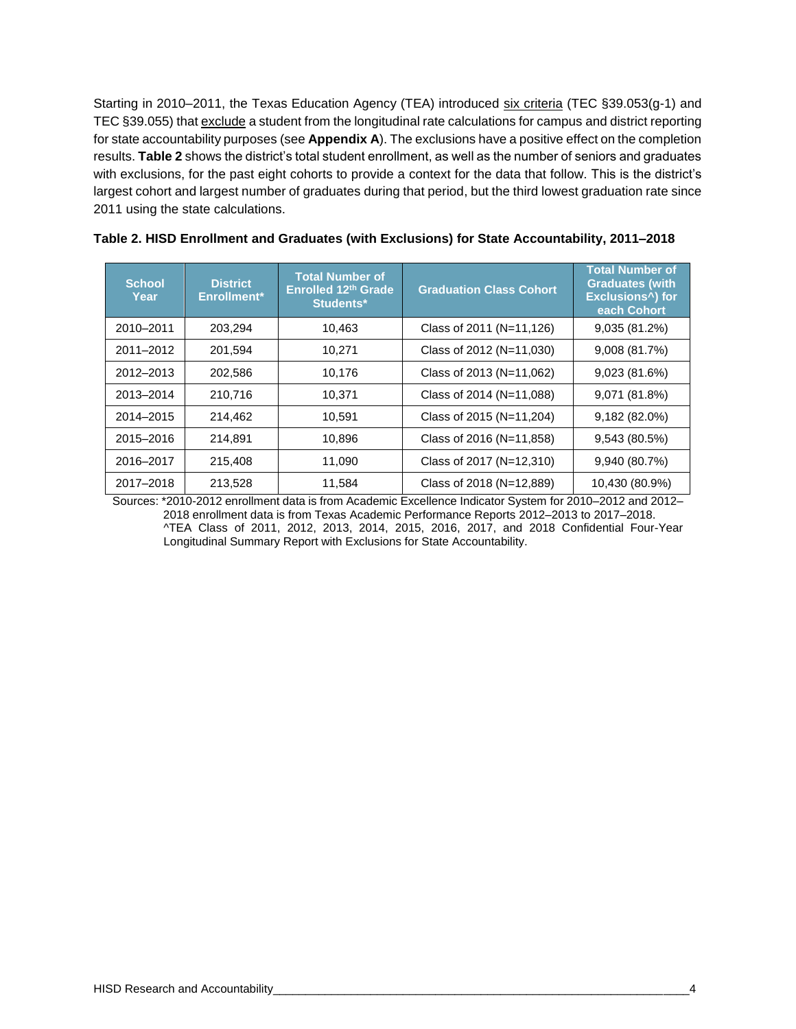Starting in 2010–2011, the Texas Education Agency (TEA) introduced six criteria (TEC §39.053(g-1) and TEC §39.055) that exclude a student from the longitudinal rate calculations for campus and district reporting for state accountability purposes (see **Appendix A**). The exclusions have a positive effect on the completion results. **Table 2** shows the district's total student enrollment, as well as the number of seniors and graduates with exclusions, for the past eight cohorts to provide a context for the data that follow. This is the district's largest cohort and largest number of graduates during that period, but the third lowest graduation rate since 2011 using the state calculations.

| <b>School</b><br>Year | <b>District</b><br>Enrollment* | <b>Total Number of</b><br>Enrolled 12th Grade<br>Students* | <b>Graduation Class Cohort</b> | <b>Total Number of</b><br><b>Graduates (with</b><br><b>Exclusions<sup>^</sup>)</b> for<br>each Cohort |
|-----------------------|--------------------------------|------------------------------------------------------------|--------------------------------|-------------------------------------------------------------------------------------------------------|
| 2010-2011             | 203.294                        | 10,463                                                     | Class of 2011 (N=11,126)       | 9,035 (81.2%)                                                                                         |
| 2011-2012             | 201,594                        | 10,271                                                     | Class of 2012 (N=11,030)       | 9,008(81.7%)                                                                                          |
| 2012-2013             | 202,586                        | 10,176                                                     | Class of 2013 (N=11,062)       | 9,023 (81.6%)                                                                                         |
| 2013-2014             | 210,716                        | 10,371                                                     | Class of 2014 (N=11,088)       | 9,071 (81.8%)                                                                                         |
| 2014-2015             | 214,462                        | 10,591                                                     | Class of 2015 (N=11,204)       | $9,182(82.0\%)$                                                                                       |
| 2015-2016             | 214,891                        | 10,896                                                     | Class of 2016 (N=11,858)       | 9,543 (80.5%)                                                                                         |
| 2016-2017             | 215.408                        | 11,090                                                     | Class of 2017 (N=12,310)       | 9,940 (80.7%)                                                                                         |
| 2017-2018             | 213,528                        | 11,584                                                     | Class of 2018 (N=12,889)       | 10,430 (80.9%)                                                                                        |

| Table 2. HISD Enrollment and Graduates (with Exclusions) for State Accountability, 2011–2018 |  |  |
|----------------------------------------------------------------------------------------------|--|--|
|----------------------------------------------------------------------------------------------|--|--|

Sources: \*2010-2012 enrollment data is from Academic Excellence Indicator System for 2010–2012 and 2012– 2018 enrollment data is from Texas Academic Performance Reports 2012–2013 to 2017–2018. ^TEA Class of 2011, 2012, 2013, 2014, 2015, 2016, 2017, and 2018 Confidential Four-Year Longitudinal Summary Report with Exclusions for State Accountability.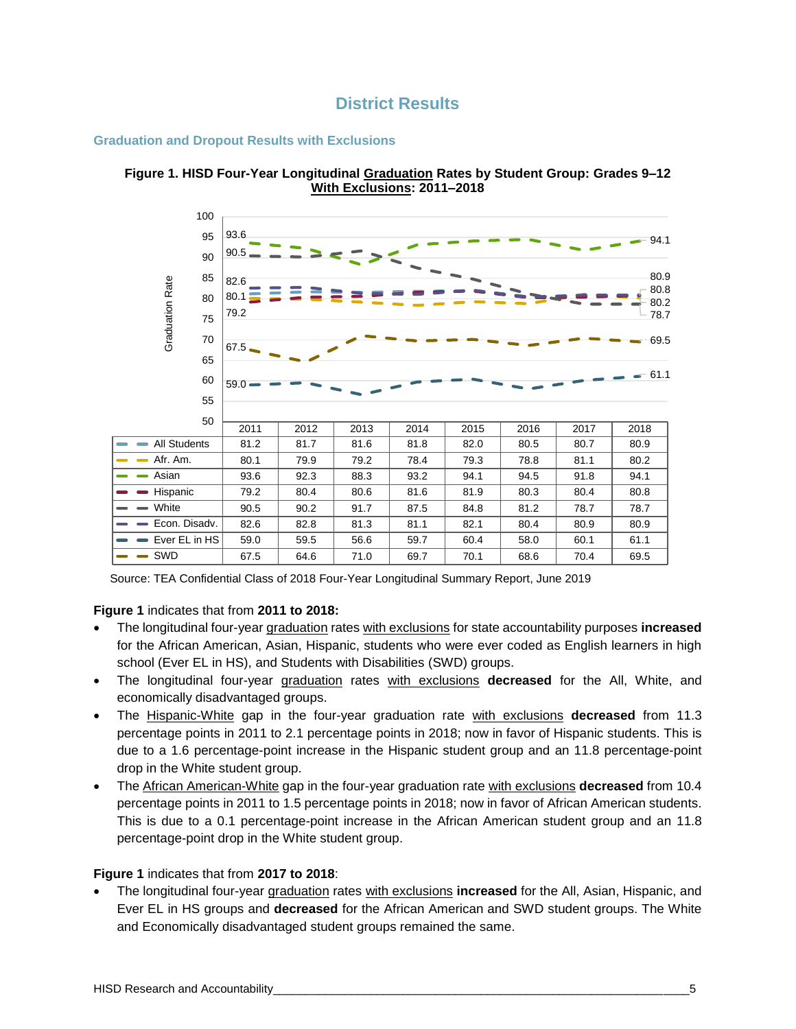

#### **Graduation and Dropout Results with Exclusions**





Source: TEA Confidential Class of 2018 Four-Year Longitudinal Summary Report, June 2019

#### **Figure 1** indicates that from **2011 to 2018:**

- The longitudinal four-year graduation rates with exclusions for state accountability purposes **increased** for the African American, Asian, Hispanic, students who were ever coded as English learners in high school (Ever EL in HS), and Students with Disabilities (SWD) groups.
- The longitudinal four-year graduation rates with exclusions **decreased** for the All, White, and economically disadvantaged groups.
- The Hispanic-White gap in the four-year graduation rate with exclusions **decreased** from 11.3 percentage points in 2011 to 2.1 percentage points in 2018; now in favor of Hispanic students. This is due to a 1.6 percentage-point increase in the Hispanic student group and an 11.8 percentage-point drop in the White student group.
- The African American-White gap in the four-year graduation rate with exclusions **decreased** from 10.4 percentage points in 2011 to 1.5 percentage points in 2018; now in favor of African American students. This is due to a 0.1 percentage-point increase in the African American student group and an 11.8 percentage-point drop in the White student group.

#### **Figure 1** indicates that from **2017 to 2018**:

• The longitudinal four-year graduation rates with exclusions **increased** for the All, Asian, Hispanic, and Ever EL in HS groups and **decreased** for the African American and SWD student groups. The White and Economically disadvantaged student groups remained the same.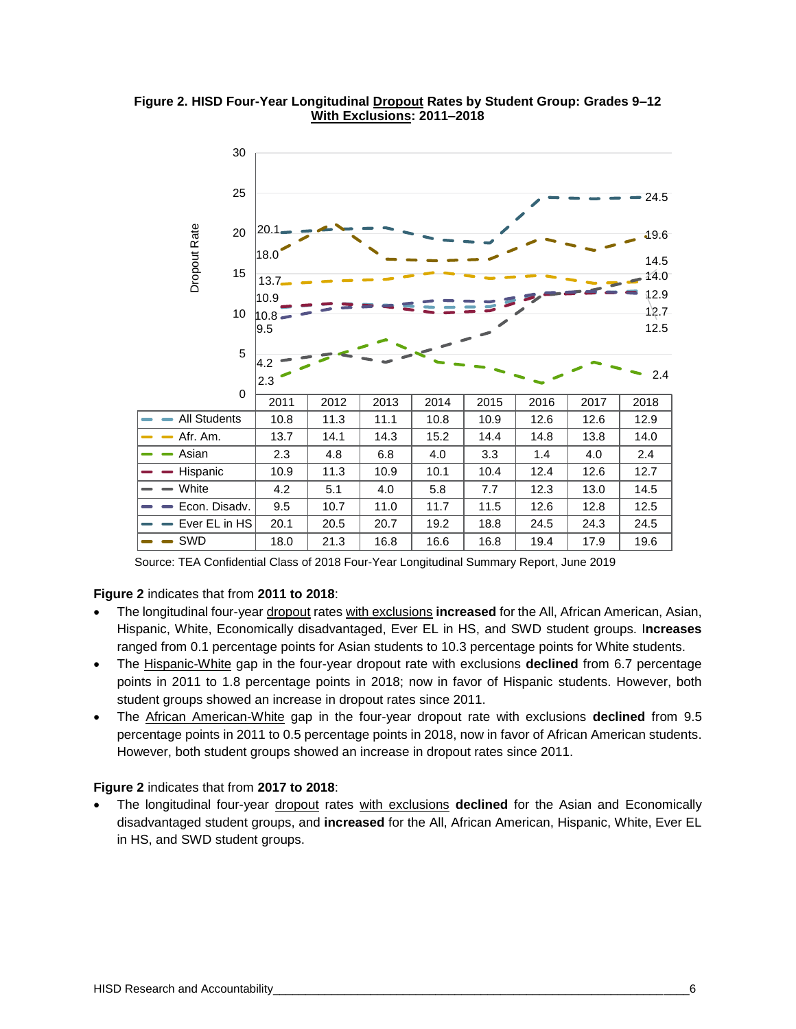**Figure 2. HISD Four-Year Longitudinal Dropout Rates by Student Group: Grades 9–12 With Exclusions: 2011–2018** 



Source: TEA Confidential Class of 2018 Four-Year Longitudinal Summary Report, June 2019

#### **Figure 2** indicates that from **2011 to 2018**:

- The longitudinal four-year dropout rates with exclusions **increased** for the All, African American, Asian, Hispanic, White, Economically disadvantaged, Ever EL in HS, and SWD student groups. I**ncreases** ranged from 0.1 percentage points for Asian students to 10.3 percentage points for White students.
- The Hispanic-White gap in the four-year dropout rate with exclusions **declined** from 6.7 percentage points in 2011 to 1.8 percentage points in 2018; now in favor of Hispanic students. However, both student groups showed an increase in dropout rates since 2011.
- The African American-White gap in the four-year dropout rate with exclusions **declined** from 9.5 percentage points in 2011 to 0.5 percentage points in 2018, now in favor of African American students. However, both student groups showed an increase in dropout rates since 2011.

#### **Figure 2** indicates that from **2017 to 2018**:

• The longitudinal four-year dropout rates with exclusions **declined** for the Asian and Economically disadvantaged student groups, and **increased** for the All, African American, Hispanic, White, Ever EL in HS, and SWD student groups.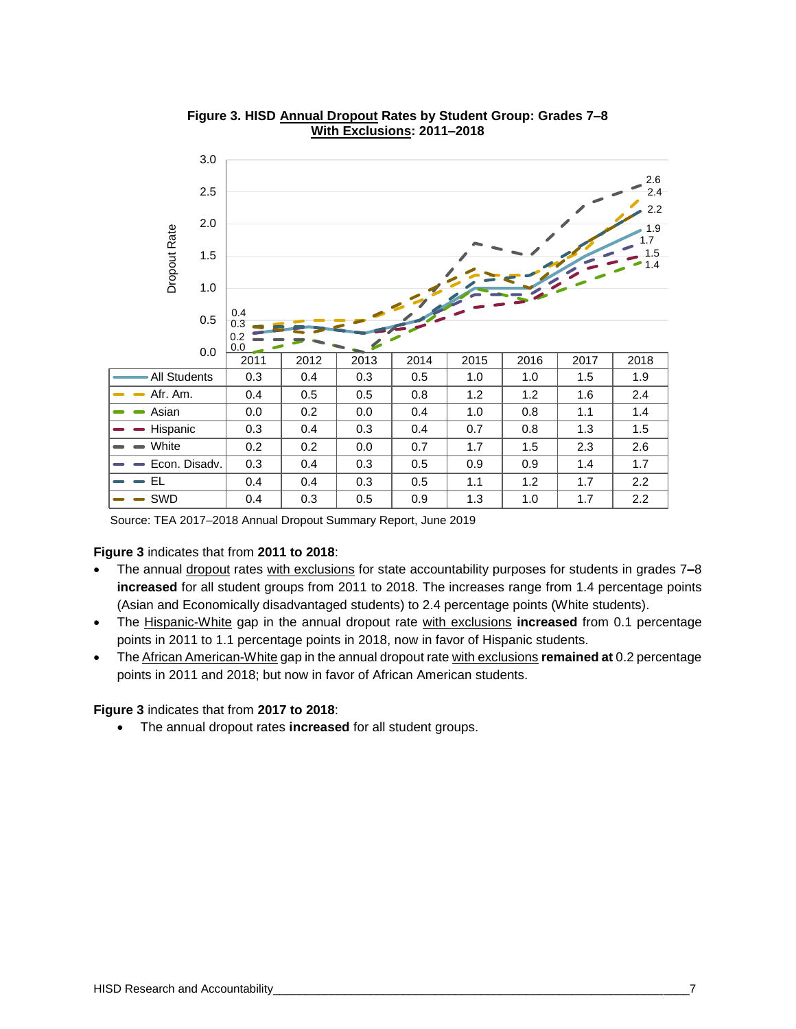

**Figure 3. HISD Annual Dropout Rates by Student Group: Grades 7–8 With Exclusions: 2011–2018**

Source: TEA 2017–2018 Annual Dropout Summary Report, June 2019

#### **Figure 3** indicates that from **2011 to 2018**:

- The annual dropout rates with exclusions for state accountability purposes for students in grades 7**–**8 **increased** for all student groups from 2011 to 2018. The increases range from 1.4 percentage points (Asian and Economically disadvantaged students) to 2.4 percentage points (White students).
- The Hispanic-White gap in the annual dropout rate with exclusions **increased** from 0.1 percentage points in 2011 to 1.1 percentage points in 2018, now in favor of Hispanic students.
- The African American-White gap in the annual dropout rate with exclusions **remained at** 0.2 percentage points in 2011 and 2018; but now in favor of African American students.

#### **Figure 3** indicates that from **2017 to 2018**:

• The annual dropout rates **increased** for all student groups.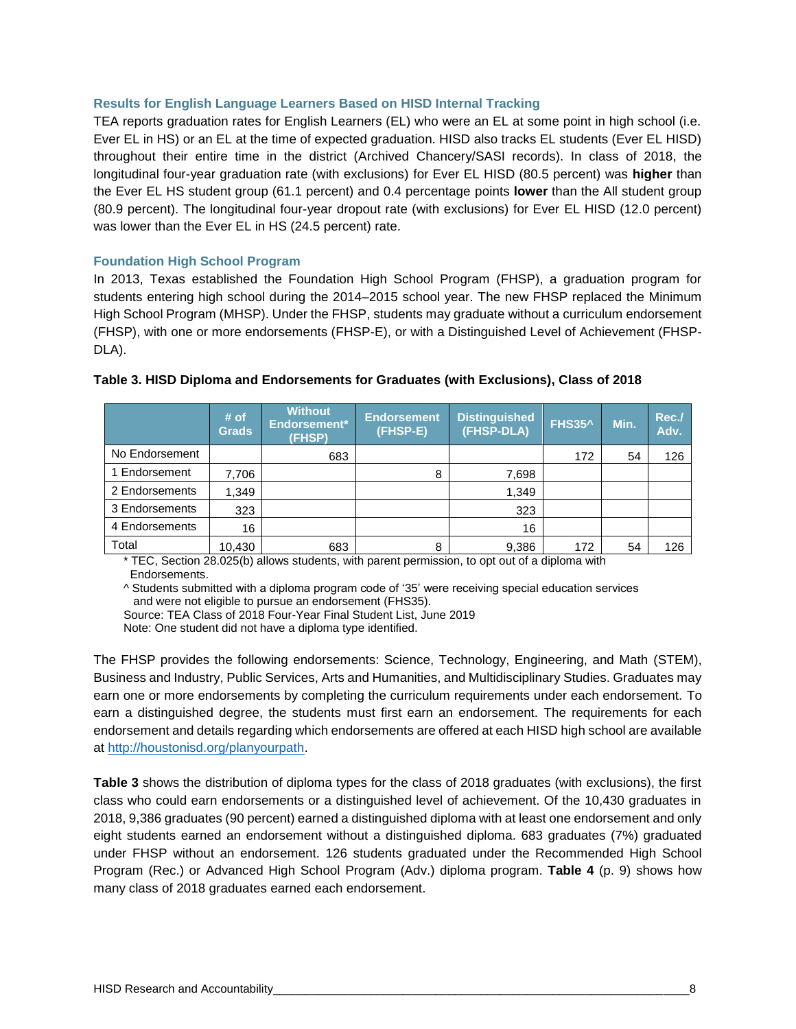#### **Results for English Language Learners Based on HISD Internal Tracking**

TEA reports graduation rates for English Learners (EL) who were an EL at some point in high school (i.e. Ever EL in HS) or an EL at the time of expected graduation. HISD also tracks EL students (Ever EL HISD) throughout their entire time in the district (Archived Chancery/SASI records). In class of 2018, the longitudinal four-year graduation rate (with exclusions) for Ever EL HISD (80.5 percent) was **higher** than the Ever EL HS student group (61.1 percent) and 0.4 percentage points **lower** than the All student group (80.9 percent). The longitudinal four-year dropout rate (with exclusions) for Ever EL HISD (12.0 percent) was lower than the Ever EL in HS (24.5 percent) rate.

#### **Foundation High School Program**

In 2013, Texas established the Foundation High School Program (FHSP), a graduation program for students entering high school during the 2014–2015 school year. The new FHSP replaced the Minimum High School Program (MHSP). Under the FHSP, students may graduate without a curriculum endorsement (FHSP), with one or more endorsements (FHSP-E), or with a Distinguished Level of Achievement (FHSP-DLA).

|                | # of<br><b>Grads</b> | <b>Without</b><br>Endorsement*<br>(FHSP) | <b>Endorsement</b><br>(FHSP-E) | <b>Distinguished</b><br>(FHSP-DLA) | <b>FHS35^</b> | Min. | Rec./<br>Adv. |
|----------------|----------------------|------------------------------------------|--------------------------------|------------------------------------|---------------|------|---------------|
| No Endorsement |                      | 683                                      |                                |                                    | 172           | 54   | 126           |
| Endorsement    | 7,706                |                                          | 8                              | 7,698                              |               |      |               |
| 2 Endorsements | 1,349                |                                          |                                | 1,349                              |               |      |               |
| 3 Endorsements | 323                  |                                          |                                | 323                                |               |      |               |
| 4 Endorsements | 16                   |                                          |                                | 16                                 |               |      |               |
| Total          | 10.430               | 683                                      | 8                              | 9,386                              | 172           | 54   | 126           |

#### **Table 3. HISD Diploma and Endorsements for Graduates (with Exclusions), Class of 2018**

\* TEC, Section 28.025(b) allows students, with parent permission, to opt out of a diploma with Endorsements.

^ Students submitted with a diploma program code of '35' were receiving special education services and were not eligible to pursue an endorsement (FHS35).

Source: TEA Class of 2018 Four-Year Final Student List, June 2019

Note: One student did not have a diploma type identified.

The FHSP provides the following endorsements: Science, Technology, Engineering, and Math (STEM), Business and Industry, Public Services, Arts and Humanities, and Multidisciplinary Studies. Graduates may earn one or more endorsements by completing the curriculum requirements under each endorsement. To earn a distinguished degree, the students must first earn an endorsement. The requirements for each endorsement and details regarding which endorsements are offered at each HISD high school are available at [http://houstonisd.org/planyourpath.](http://houstonisd.org/planyourpath)

**Table 3** shows the distribution of diploma types for the class of 2018 graduates (with exclusions), the first class who could earn endorsements or a distinguished level of achievement. Of the 10,430 graduates in 2018, 9,386 graduates (90 percent) earned a distinguished diploma with at least one endorsement and only eight students earned an endorsement without a distinguished diploma. 683 graduates (7%) graduated under FHSP without an endorsement. 126 students graduated under the Recommended High School Program (Rec.) or Advanced High School Program (Adv.) diploma program. **Table 4** (p. 9) shows how many class of 2018 graduates earned each endorsement.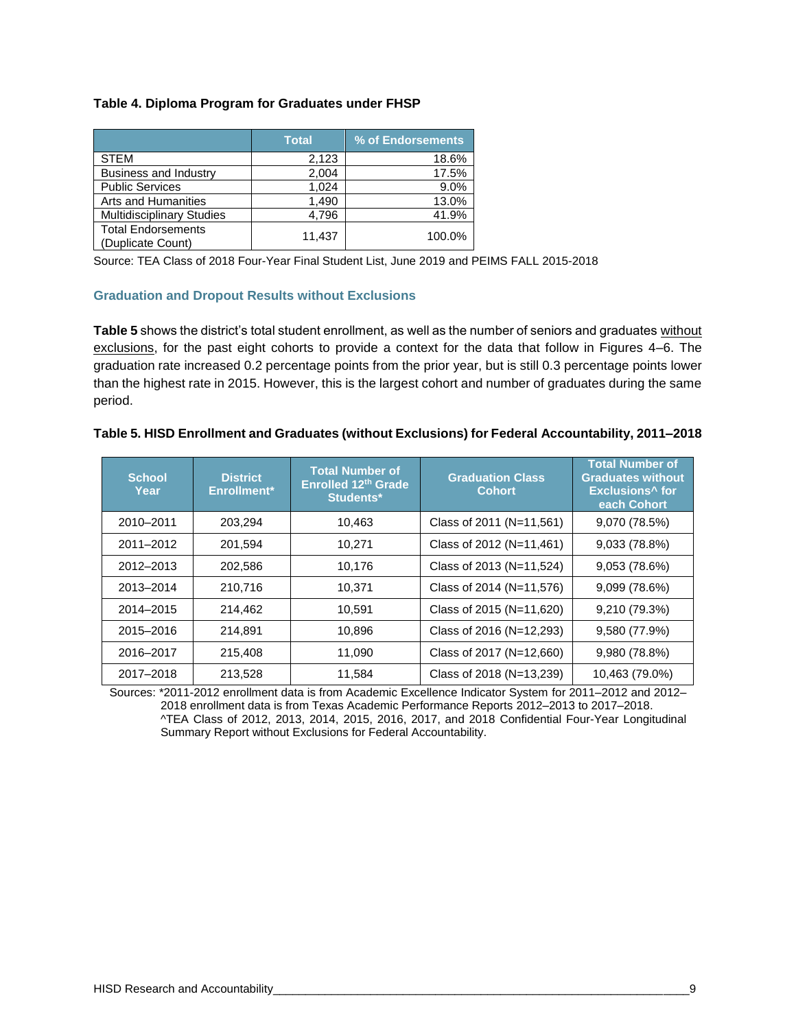#### **Table 4. Diploma Program for Graduates under FHSP**

|                                                | <b>Total</b> | % of Endorsements |
|------------------------------------------------|--------------|-------------------|
| <b>STEM</b>                                    | 2,123        | 18.6%             |
| <b>Business and Industry</b>                   | 2,004        | 17.5%             |
| <b>Public Services</b>                         | 1,024        | 9.0%              |
| Arts and Humanities                            | 1,490        | 13.0%             |
| <b>Multidisciplinary Studies</b>               | 4,796        | 41.9%             |
| <b>Total Endorsements</b><br>(Duplicate Count) | 11,437       | 100.0%            |

Source: TEA Class of 2018 Four-Year Final Student List, June 2019 and PEIMS FALL 2015-2018

#### **Graduation and Dropout Results without Exclusions**

**Table 5** shows the district's total student enrollment, as well as the number of seniors and graduates without exclusions, for the past eight cohorts to provide a context for the data that follow in Figures 4–6. The graduation rate increased 0.2 percentage points from the prior year, but is still 0.3 percentage points lower than the highest rate in 2015. However, this is the largest cohort and number of graduates during the same period.

| <b>School</b><br>Year | <b>District</b><br>Enrollment* | <b>Total Number of</b><br>Enrolled 12th Grade<br>Students* | <b>Graduation Class</b><br><b>Cohort</b> | <b>Total Number of</b><br><b>Graduates without</b><br><b>Exclusions<sup>^</sup> for</b><br>each Cohort |
|-----------------------|--------------------------------|------------------------------------------------------------|------------------------------------------|--------------------------------------------------------------------------------------------------------|
| 2010-2011             | 203,294                        | 10,463                                                     | Class of 2011 (N=11,561)                 | 9,070 (78.5%)                                                                                          |
| 2011-2012             | 201.594                        | 10.271                                                     | Class of 2012 (N=11,461)                 | 9,033 (78.8%)                                                                                          |
| 2012-2013             | 202,586                        | 10,176                                                     | Class of 2013 (N=11,524)                 | 9,053(78.6%)                                                                                           |
| 2013-2014             | 210.716                        | 10,371                                                     | Class of 2014 (N=11,576)                 | 9,099 (78.6%)                                                                                          |
| 2014-2015             | 214,462                        | 10,591                                                     | Class of 2015 (N=11,620)                 | 9,210 (79.3%)                                                                                          |
| 2015-2016             | 214.891                        | 10.896                                                     | Class of 2016 (N=12,293)                 | 9,580 (77.9%)                                                                                          |
| 2016-2017             | 215,408                        | 11.090                                                     | Class of 2017 (N=12,660)                 | 9,980 (78.8%)                                                                                          |
| 2017-2018             | 213,528                        | 11,584                                                     | Class of 2018 (N=13,239)                 | 10,463 (79.0%)                                                                                         |

#### **Table 5. HISD Enrollment and Graduates (without Exclusions) for Federal Accountability, 2011–2018**

Sources: \*2011-2012 enrollment data is from Academic Excellence Indicator System for 2011–2012 and 2012– 2018 enrollment data is from Texas Academic Performance Reports 2012–2013 to 2017–2018. ^TEA Class of 2012, 2013, 2014, 2015, 2016, 2017, and 2018 Confidential Four-Year Longitudinal Summary Report without Exclusions for Federal Accountability.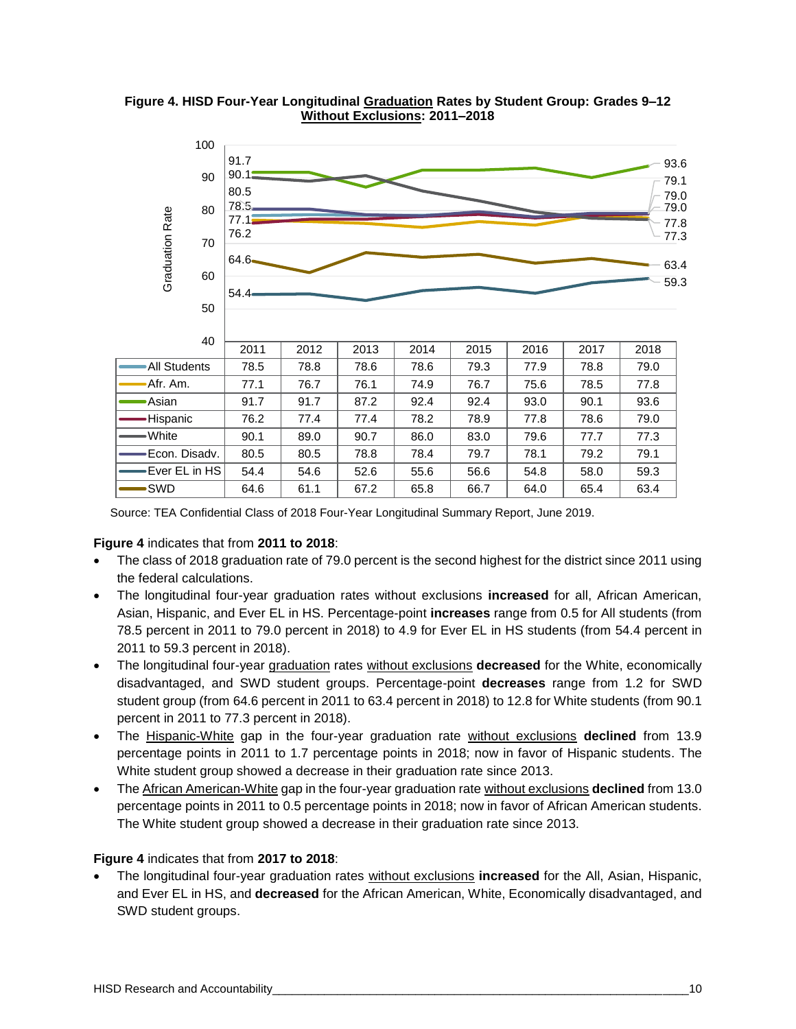

**Figure 4. HISD Four-Year Longitudinal Graduation Rates by Student Group: Grades 9–12 Without Exclusions: 2011–2018**

Source: TEA Confidential Class of 2018 Four-Year Longitudinal Summary Report, June 2019.

#### **Figure 4** indicates that from **2011 to 2018**:

- The class of 2018 graduation rate of 79.0 percent is the second highest for the district since 2011 using the federal calculations.
- The longitudinal four-year graduation rates without exclusions **increased** for all, African American, Asian, Hispanic, and Ever EL in HS. Percentage-point **increases** range from 0.5 for All students (from 78.5 percent in 2011 to 79.0 percent in 2018) to 4.9 for Ever EL in HS students (from 54.4 percent in 2011 to 59.3 percent in 2018).
- The longitudinal four-year graduation rates without exclusions **decreased** for the White, economically disadvantaged, and SWD student groups. Percentage-point **decreases** range from 1.2 for SWD student group (from 64.6 percent in 2011 to 63.4 percent in 2018) to 12.8 for White students (from 90.1 percent in 2011 to 77.3 percent in 2018).
- The Hispanic-White gap in the four-year graduation rate without exclusions **declined** from 13.9 percentage points in 2011 to 1.7 percentage points in 2018; now in favor of Hispanic students. The White student group showed a decrease in their graduation rate since 2013.
- The African American-White gap in the four-year graduation rate without exclusions **declined** from 13.0 percentage points in 2011 to 0.5 percentage points in 2018; now in favor of African American students. The White student group showed a decrease in their graduation rate since 2013.

# **Figure 4** indicates that from **2017 to 2018**:

• The longitudinal four-year graduation rates without exclusions **increased** for the All, Asian, Hispanic, and Ever EL in HS, and **decreased** for the African American, White, Economically disadvantaged, and SWD student groups.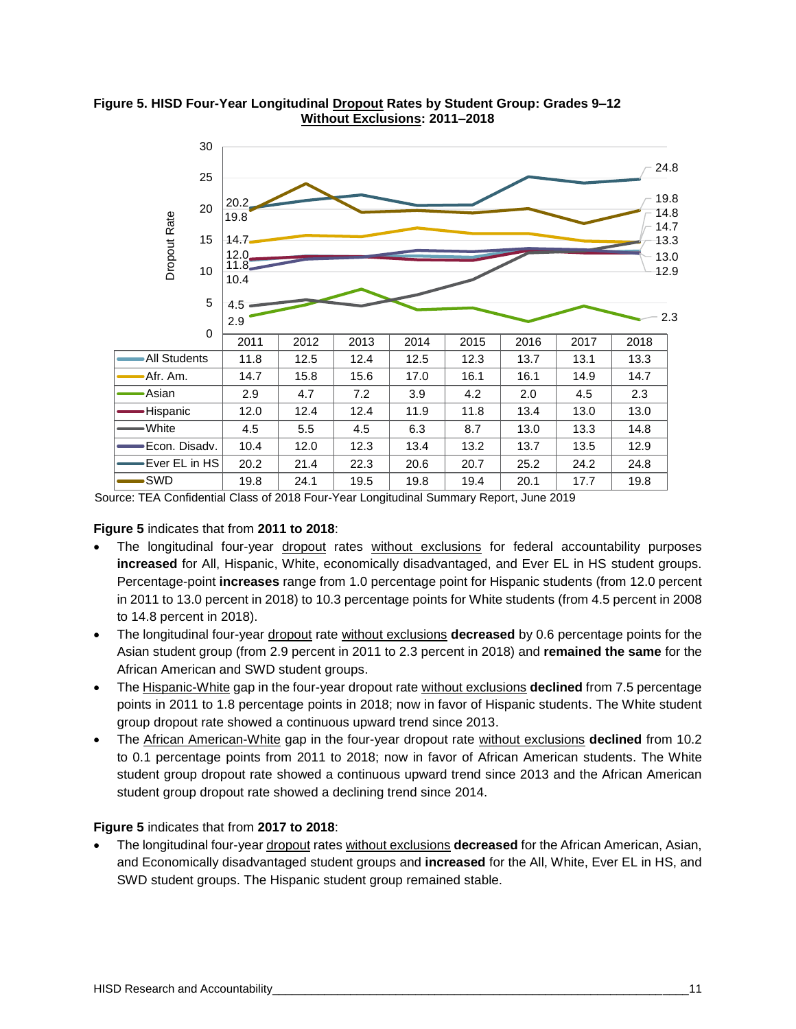

#### **Figure 5. HISD Four-Year Longitudinal Dropout Rates by Student Group: Grades 9–12 Without Exclusions: 2011–2018**

Source: TEA Confidential Class of 2018 Four-Year Longitudinal Summary Report, June 2019

#### **Figure 5** indicates that from **2011 to 2018**:

- The longitudinal four-year dropout rates without exclusions for federal accountability purposes **increased** for All, Hispanic, White, economically disadvantaged, and Ever EL in HS student groups. Percentage-point **increases** range from 1.0 percentage point for Hispanic students (from 12.0 percent in 2011 to 13.0 percent in 2018) to 10.3 percentage points for White students (from 4.5 percent in 2008 to 14.8 percent in 2018).
- The longitudinal four-year dropout rate without exclusions **decreased** by 0.6 percentage points for the Asian student group (from 2.9 percent in 2011 to 2.3 percent in 2018) and **remained the same** for the African American and SWD student groups.
- The Hispanic-White gap in the four-year dropout rate without exclusions **declined** from 7.5 percentage points in 2011 to 1.8 percentage points in 2018; now in favor of Hispanic students. The White student group dropout rate showed a continuous upward trend since 2013.
- The African American-White gap in the four-year dropout rate without exclusions **declined** from 10.2 to 0.1 percentage points from 2011 to 2018; now in favor of African American students. The White student group dropout rate showed a continuous upward trend since 2013 and the African American student group dropout rate showed a declining trend since 2014.

#### **Figure 5** indicates that from **2017 to 2018**:

• The longitudinal four-year dropout rates without exclusions **decreased** for the African American, Asian, and Economically disadvantaged student groups and **increased** for the All, White, Ever EL in HS, and SWD student groups. The Hispanic student group remained stable.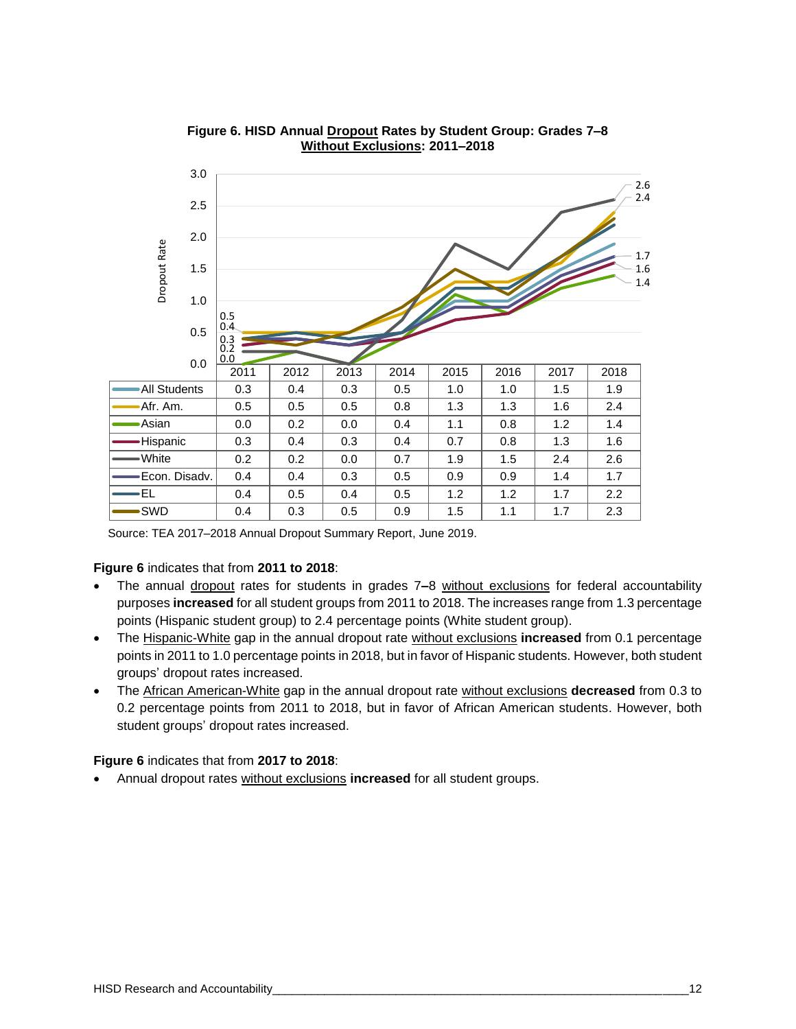

#### **Figure 6. HISD Annual Dropout Rates by Student Group: Grades 7–8 Without Exclusions: 2011–2018**

Source: TEA 2017–2018 Annual Dropout Summary Report, June 2019.

#### **Figure 6** indicates that from **2011 to 2018**:

- The annual dropout rates for students in grades 7**–**8 without exclusions for federal accountability purposes **increased** for all student groups from 2011 to 2018. The increases range from 1.3 percentage points (Hispanic student group) to 2.4 percentage points (White student group).
- The Hispanic-White gap in the annual dropout rate without exclusions **increased** from 0.1 percentage points in 2011 to 1.0 percentage points in 2018, but in favor of Hispanic students. However, both student groups' dropout rates increased.
- The African American-White gap in the annual dropout rate without exclusions **decreased** from 0.3 to 0.2 percentage points from 2011 to 2018, but in favor of African American students. However, both student groups' dropout rates increased.

**Figure 6** indicates that from **2017 to 2018**:

• Annual dropout rates without exclusions **increased** for all student groups.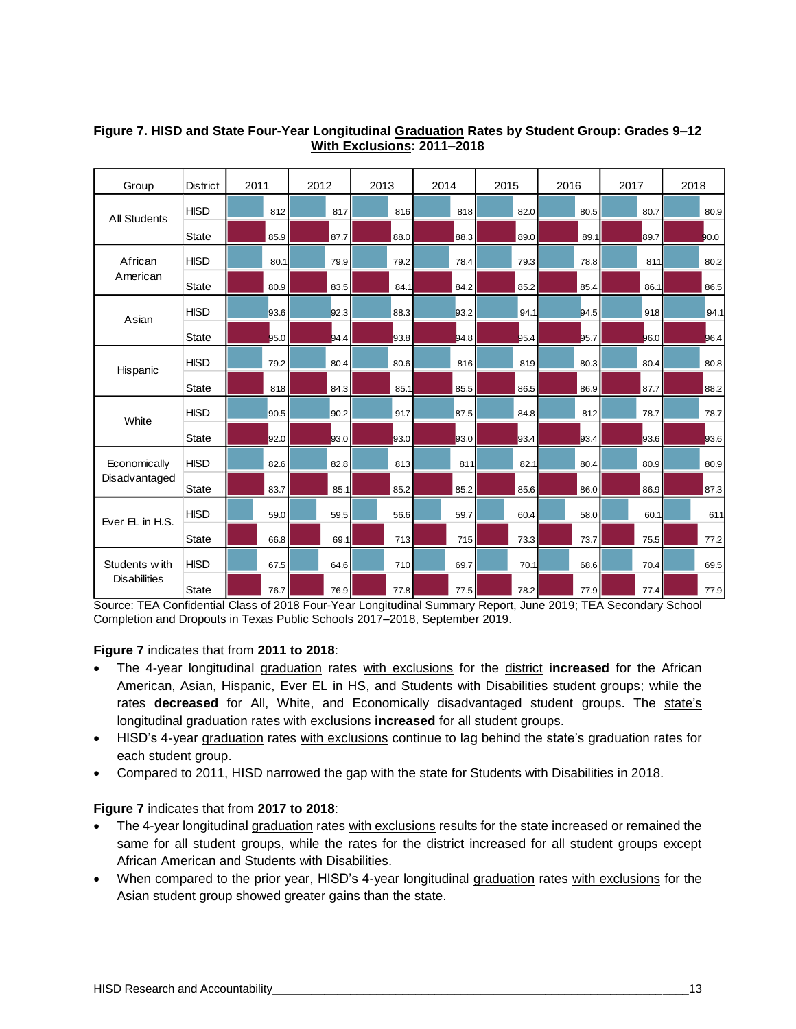| Group               | <b>District</b> | 2011 | 2012 | 2013 | 2014 | 2015 | 2016 | 2017 | 2018 |
|---------------------|-----------------|------|------|------|------|------|------|------|------|
| <b>All Students</b> | <b>HISD</b>     | 81.2 | 817  | 81.6 | 81.8 | 82.0 | 80.5 | 80.7 | 80.9 |
|                     | <b>State</b>    | 85.9 | 87.7 | 88.0 | 88.3 | 89.0 | 89.1 | 89.7 | 90.0 |
| African             | <b>HISD</b>     | 80.1 | 79.9 | 79.2 | 78.4 | 79.3 | 78.8 | 811  | 80.2 |
| American            | <b>State</b>    | 80.9 | 83.5 | 84.1 | 84.2 | 85.2 | 85.4 | 86.1 | 86.5 |
|                     | <b>HISD</b>     | 93.6 | 92.3 | 88.3 | 93.2 | 94.1 | 94.5 | 918  | 94.1 |
| Asian               | <b>State</b>    | 95.0 | 94.4 | 93.8 | 94.8 | 95.4 | 95.7 | 96.0 | 96.4 |
|                     | <b>HISD</b>     | 79.2 | 80.4 | 80.6 | 81.6 | 81.9 | 80.3 | 80.4 | 80.8 |
| Hispanic            | <b>State</b>    | 81.8 | 84.3 | 85.1 | 85.5 | 86.5 | 86.9 | 87.7 | 88.2 |
|                     | <b>HISD</b>     | 90.5 | 90.2 | 91.7 | 87.5 | 84.8 | 81.2 | 78.7 | 78.7 |
| White               | <b>State</b>    | 92.0 | 93.0 | 93.0 | 93.0 | 93.4 | 93.4 | 93.6 | 93.6 |
| Economically        | <b>HISD</b>     | 82.6 | 82.8 | 81.3 | 811  | 82.1 | 80.4 | 80.9 | 80.9 |
| Disadvantaged       | <b>State</b>    | 83.7 | 85.1 | 85.2 | 85.2 | 85.6 | 86.0 | 86.9 | 87.3 |
|                     | <b>HISD</b>     | 59.0 | 59.5 | 56.6 | 59.7 | 60.4 | 58.0 | 60.1 | 611  |
| Ever EL in H.S.     | <b>State</b>    | 66.8 | 69.1 | 713  | 715  | 73.3 | 73.7 | 75.5 | 77.2 |
| Students with       | <b>HISD</b>     | 67.5 | 64.6 | 71.0 | 69.7 | 70.1 | 68.6 | 70.4 | 69.5 |
| <b>Disabilities</b> | <b>State</b>    | 76.7 | 76.9 | 77.8 | 77.5 | 78.2 | 77.9 | 77.4 | 77.9 |

#### **Figure 7. HISD and State Four-Year Longitudinal Graduation Rates by Student Group: Grades 9–12 With Exclusions: 2011–2018**

Source: TEA Confidential Class of 2018 Four-Year Longitudinal Summary Report, June 2019; TEA Secondary School Completion and Dropouts in Texas Public Schools 2017–2018, September 2019.

# **Figure 7** indicates that from **2011 to 2018**:

- The 4-year longitudinal graduation rates with exclusions for the district **increased** for the African American, Asian, Hispanic, Ever EL in HS, and Students with Disabilities student groups; while the rates **decreased** for All, White, and Economically disadvantaged student groups. The state's longitudinal graduation rates with exclusions **increased** for all student groups.
- HISD's 4-year graduation rates with exclusions continue to lag behind the state's graduation rates for each student group.
- Compared to 2011, HISD narrowed the gap with the state for Students with Disabilities in 2018.

#### **Figure 7** indicates that from **2017 to 2018**:

- The 4-year longitudinal graduation rates with exclusions results for the state increased or remained the same for all student groups, while the rates for the district increased for all student groups except African American and Students with Disabilities.
- When compared to the prior year, HISD's 4-year longitudinal graduation rates with exclusions for the Asian student group showed greater gains than the state.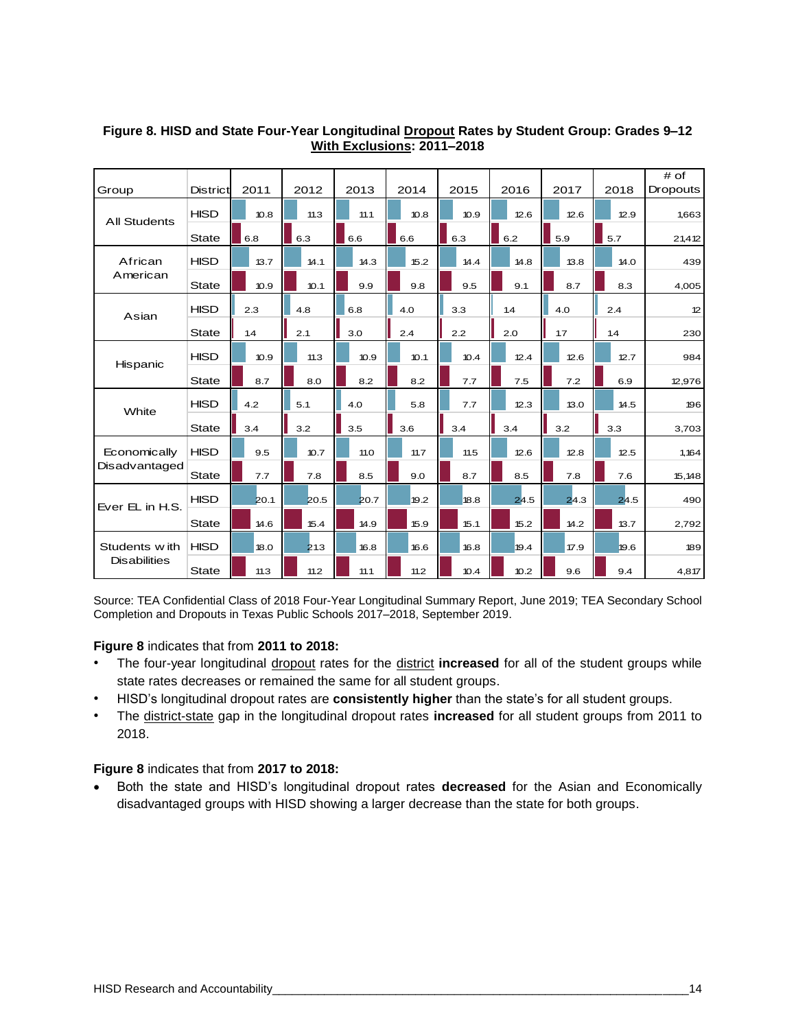|                     |                 |      |      |  |      |      |      |      |     |      |  |      |      | # of     |
|---------------------|-----------------|------|------|--|------|------|------|------|-----|------|--|------|------|----------|
| Group               | <b>District</b> | 2011 | 2012 |  | 2013 | 2014 |      | 2015 |     | 2016 |  | 2017 | 2018 | Dropouts |
| <b>All Students</b> | <b>HISD</b>     | 10.8 | 11.3 |  | 11.1 |      | 10.8 | 10.9 |     | 12.6 |  | 12.6 | 12.9 | 1,663    |
|                     | <b>State</b>    | 6.8  | 6.3  |  | 6.6  |      | 6.6  | 6.3  |     | 6.2  |  | 5.9  | 5.7  | 21,412   |
| African             | <b>HISD</b>     | 13.7 | 14.1 |  | 14.3 |      | 15.2 | 14.4 |     | 14.8 |  | 13.8 | 14.0 | 439      |
| American            | <b>State</b>    | 10.9 | 10.1 |  | 9.9  |      | 9.8  | 9.5  |     | 9.1  |  | 8.7  | 8.3  | 4,005    |
| Asian               | <b>HISD</b>     | 2.3  | 4.8  |  | 6.8  |      | 4.0  | 3.3  |     | 1.4  |  | 4.0  | 2.4  | 12       |
|                     | <b>State</b>    | 1.4  | 2.1  |  | 3.0  |      | 2.4  | 2.2  | 2.0 |      |  | 1.7  | 1.4  | 230      |
| Hispanic            | <b>HISD</b>     | 10.9 | 11.3 |  | 10.9 |      | 10.1 | 10.4 |     | 12.4 |  | 12.6 | 12.7 | 984      |
|                     | <b>State</b>    | 8.7  | 8.0  |  | 8.2  |      | 8.2  | 7.7  |     | 7.5  |  | 7.2  | 6.9  | 12,976   |
| White               | <b>HISD</b>     | 4.2  | 5.1  |  | 4.0  |      | 5.8  | 7.7  |     | 12.3 |  | 13.0 | 14.5 | 196      |
|                     | <b>State</b>    | 3.4  | 3.2  |  | 3.5  |      | 3.6  | 3.4  |     | 3.4  |  | 3.2  | 3.3  | 3,703    |
| Economically        | <b>HISD</b>     | 9.5  | 10.7 |  | 11.0 |      | 11.7 | 11.5 |     | 12.6 |  | 12.8 | 12.5 | 1,164    |
| Disadvantaged       | <b>State</b>    | 7.7  | 7.8  |  | 8.5  |      | 9.0  | 8.7  |     | 8.5  |  | 7.8  | 7.6  | 15,148   |
| Ever EL in H.S.     | <b>HISD</b>     | 20.1 | 20.5 |  | 20.7 |      | 19.2 | 18.8 |     | 24.5 |  | 24.3 | 24.5 | 490      |
|                     | <b>State</b>    | 14.6 | 15.4 |  | 14.9 |      | 15.9 | 15.1 |     | 15.2 |  | 14.2 | 13.7 | 2,792    |
| Students with       | <b>HISD</b>     | 18.0 | 21.3 |  | 16.8 |      | 16.6 | 16.8 |     | 19.4 |  | 17.9 | 19.6 | 189      |
| <b>Disabilities</b> | <b>State</b>    | 11.3 | 11.2 |  | 11.1 |      | 11.2 | 10.4 |     | 10.2 |  | 9.6  | 9.4  | 4,817    |

#### **Figure 8. HISD and State Four-Year Longitudinal Dropout Rates by Student Group: Grades 9–12 With Exclusions: 2011–2018**

Source: TEA Confidential Class of 2018 Four-Year Longitudinal Summary Report, June 2019; TEA Secondary School Completion and Dropouts in Texas Public Schools 2017–2018, September 2019.

# **Figure 8** indicates that from **2011 to 2018:**

- The four-year longitudinal dropout rates for the district **increased** for all of the student groups while state rates decreases or remained the same for all student groups.
- HISD's longitudinal dropout rates are **consistently higher** than the state's for all student groups.
- The district-state gap in the longitudinal dropout rates **increased** for all student groups from 2011 to 2018.

#### **Figure 8** indicates that from **2017 to 2018:**

• Both the state and HISD's longitudinal dropout rates **decreased** for the Asian and Economically disadvantaged groups with HISD showing a larger decrease than the state for both groups.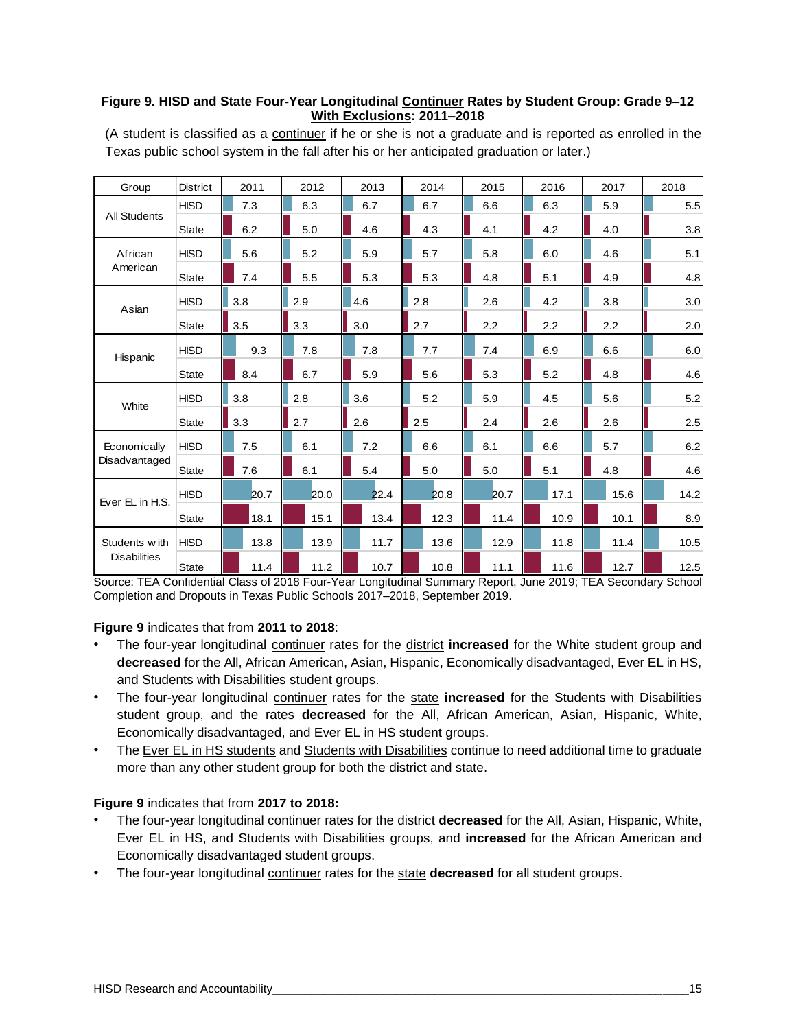#### **Figure 9. HISD and State Four-Year Longitudinal Continuer Rates by Student Group: Grade 9–12 With Exclusions: 2011–2018**

| Group               | <b>District</b> | 2011 | 2012 | 2013 | 2014 | 2015 | 2016 | 2017 | 2018 |
|---------------------|-----------------|------|------|------|------|------|------|------|------|
|                     | <b>HISD</b>     | 7.3  | 6.3  | 6.7  | 6.7  | 6.6  | 6.3  | 5.9  | 5.5  |
| <b>All Students</b> | <b>State</b>    | 6.2  | 5.0  | 4.6  | 4.3  | 4.1  | 4.2  | 4.0  | 3.8  |
| African             | <b>HISD</b>     | 5.6  | 5.2  | 5.9  | 5.7  | 5.8  | 6.0  | 4.6  | 5.1  |
| American            | <b>State</b>    | 7.4  | 5.5  | 5.3  | 5.3  | 4.8  | 5.1  | 4.9  | 4.8  |
| Asian               | <b>HISD</b>     | 3.8  | 2.9  | 4.6  | 2.8  | 2.6  | 4.2  | 3.8  | 3.0  |
|                     | <b>State</b>    | 3.5  | 3.3  | 3.0  | 2.7  | 2.2  | 2.2  | 2.2  | 2.0  |
| Hispanic            | <b>HISD</b>     | 9.3  | 7.8  | 7.8  | 7.7  | 7.4  | 6.9  | 6.6  | 6.0  |
|                     | <b>State</b>    | 8.4  | 6.7  | 5.9  | 5.6  | 5.3  | 5.2  | 4.8  | 4.6  |
| White               | <b>HISD</b>     | 3.8  | 2.8  | 3.6  | 5.2  | 5.9  | 4.5  | 5.6  | 5.2  |
|                     | <b>State</b>    | 3.3  | 2.7  | 2.6  | 2.5  | 2.4  | 2.6  | 2.6  | 2.5  |
| Economically        | <b>HISD</b>     | 7.5  | 6.1  | 7.2  | 6.6  | 6.1  | 6.6  | 5.7  | 6.2  |
| Disadvantaged       | <b>State</b>    | 7.6  | 6.1  | 5.4  | 5.0  | 5.0  | 5.1  | 4.8  | 4.6  |
| Ever EL in H.S.     | <b>HISD</b>     | 20.7 | 20.0 | 22.4 | 20.8 | 20.7 | 17.1 | 15.6 | 14.2 |
|                     | <b>State</b>    | 18.1 | 15.1 | 13.4 | 12.3 | 11.4 | 10.9 | 10.1 | 8.9  |
| Students with       | <b>HISD</b>     | 13.8 | 13.9 | 11.7 | 13.6 | 12.9 | 11.8 | 11.4 | 10.5 |
| <b>Disabilities</b> | State           | 11.4 | 11.2 | 10.7 | 10.8 | 11.1 | 11.6 | 12.7 | 12.5 |

(A student is classified as a continuer if he or she is not a graduate and is reported as enrolled in the Texas public school system in the fall after his or her anticipated graduation or later.)

Source: TEA Confidential Class of 2018 Four-Year Longitudinal Summary Report, June 2019; TEA Secondary School Completion and Dropouts in Texas Public Schools 2017–2018, September 2019.

#### **Figure 9** indicates that from **2011 to 2018**:

- The four-year longitudinal continuer rates for the district **increased** for the White student group and **decreased** for the All, African American, Asian, Hispanic, Economically disadvantaged, Ever EL in HS, and Students with Disabilities student groups.
- The four-year longitudinal continuer rates for the state **increased** for the Students with Disabilities student group, and the rates **decreased** for the All, African American, Asian, Hispanic, White, Economically disadvantaged, and Ever EL in HS student groups.
- The Ever EL in HS students and Students with Disabilities continue to need additional time to graduate more than any other student group for both the district and state.

#### **Figure 9** indicates that from **2017 to 2018:**

- The four-year longitudinal continuer rates for the district **decreased** for the All, Asian, Hispanic, White, Ever EL in HS, and Students with Disabilities groups, and **increased** for the African American and Economically disadvantaged student groups.
- The four-year longitudinal continuer rates for the state **decreased** for all student groups.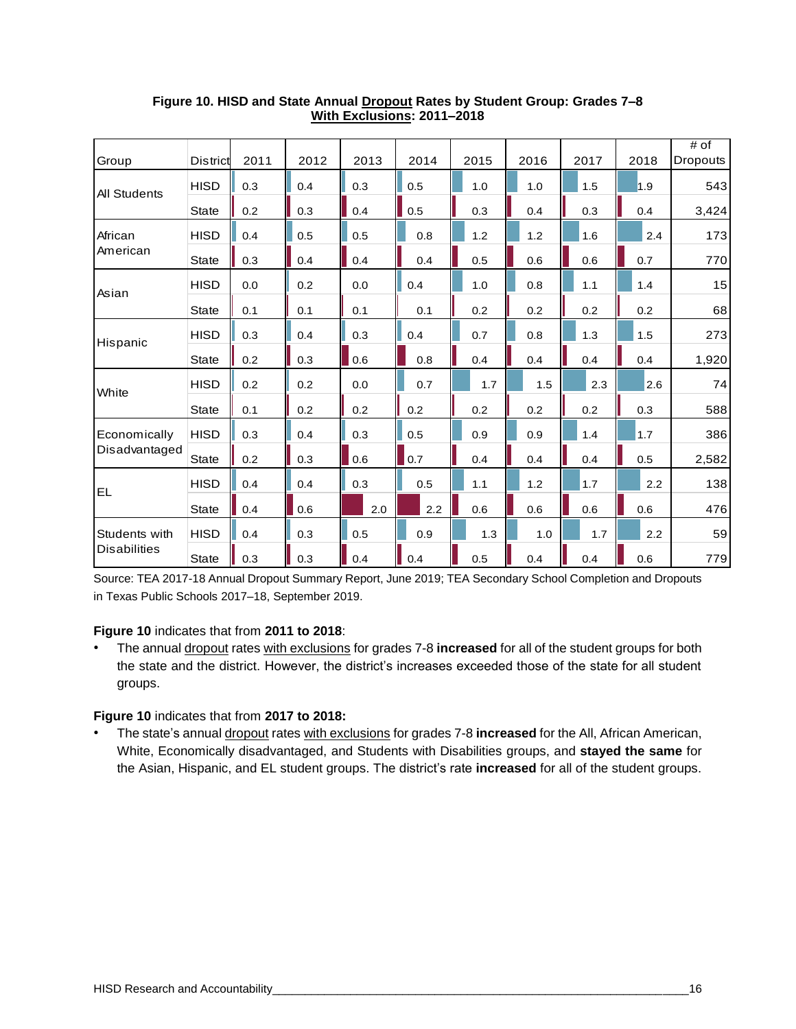| Group               | District     | 2011 | 2012 | 2013 | 2014 | 2015 | 2016 | 2017 | 2018 | $#$ of<br><b>Dropouts</b> |
|---------------------|--------------|------|------|------|------|------|------|------|------|---------------------------|
|                     | <b>HISD</b>  | 0.3  | 0.4  | 0.3  | 0.5  | 1.0  | 1.0  | 1.5  | 1.9  | 543                       |
| <b>All Students</b> | <b>State</b> | 0.2  | 0.3  | 0.4  | 0.5  | 0.3  | 0.4  | 0.3  | 0.4  | 3,424                     |
| African             | <b>HISD</b>  | 0.4  | 0.5  | 0.5  | 0.8  | 1.2  | 1.2  | 1.6  | 2.4  | 173                       |
| American            | <b>State</b> | 0.3  | 0.4  | 0.4  | 0.4  | 0.5  | 0.6  | 0.6  | 0.7  | 770                       |
| Asian               | <b>HISD</b>  | 0.0  | 0.2  | 0.0  | 0.4  | 1.0  | 0.8  | 1.1  | 1.4  | 15                        |
|                     | <b>State</b> | 0.1  | 0.1  | 0.1  | 0.1  | 0.2  | 0.2  | 0.2  | 0.2  | 68                        |
| Hispanic            | <b>HISD</b>  | 0.3  | 0.4  | 0.3  | 0.4  | 0.7  | 0.8  | 1.3  | 1.5  | 273                       |
|                     | <b>State</b> | 0.2  | 0.3  | 0.6  | 0.8  | 0.4  | 0.4  | 0.4  | 0.4  | 1,920                     |
| White               | <b>HISD</b>  | 0.2  | 0.2  | 0.0  | 0.7  | 1.7  | 1.5  | 2.3  | 2.6  | 74                        |
|                     | <b>State</b> | 0.1  | 0.2  | 0.2  | 0.2  | 0.2  | 0.2  | 0.2  | 0.3  | 588                       |
| Economically        | <b>HISD</b>  | 0.3  | 0.4  | 0.3  | 0.5  | 0.9  | 0.9  | 1.4  | 1.7  | 386                       |
| Disadvantaged       | <b>State</b> | 0.2  | 0.3  | 0.6  | 0.7  | 0.4  | 0.4  | 0.4  | 0.5  | 2,582                     |
| <b>EL</b>           | <b>HISD</b>  | 0.4  | 0.4  | 0.3  | 0.5  | 1.1  | 1.2  | 1.7  | 2.2  | 138                       |
|                     | <b>State</b> | 0.4  | 0.6  | 2.0  | 2.2  | 0.6  | 0.6  | 0.6  | 0.6  | 476                       |
| Students with       | <b>HISD</b>  | 0.4  | 0.3  | 0.5  | 0.9  | 1.3  | 1.0  | 1.7  | 2.2  | 59                        |
| <b>Disabilities</b> | <b>State</b> | 0.3  | 0.3  | 0.4  | 0.4  | 0.5  | 0.4  | 0.4  | 0.6  | 779                       |

# **Figure 10. HISD and State Annual Dropout Rates by Student Group: Grades 7–8 With Exclusions: 2011–2018**

Source: TEA 2017-18 Annual Dropout Summary Report, June 2019; TEA Secondary School Completion and Dropouts in Texas Public Schools 2017–18, September 2019.

#### **Figure 10** indicates that from **2011 to 2018**:

• The annual dropout rates with exclusions for grades 7-8 **increased** for all of the student groups for both the state and the district. However, the district's increases exceeded those of the state for all student groups.

#### **Figure 10** indicates that from **2017 to 2018:**

• The state's annual dropout rates with exclusions for grades 7-8 **increased** for the All, African American, White, Economically disadvantaged, and Students with Disabilities groups, and **stayed the same** for the Asian, Hispanic, and EL student groups. The district's rate **increased** for all of the student groups.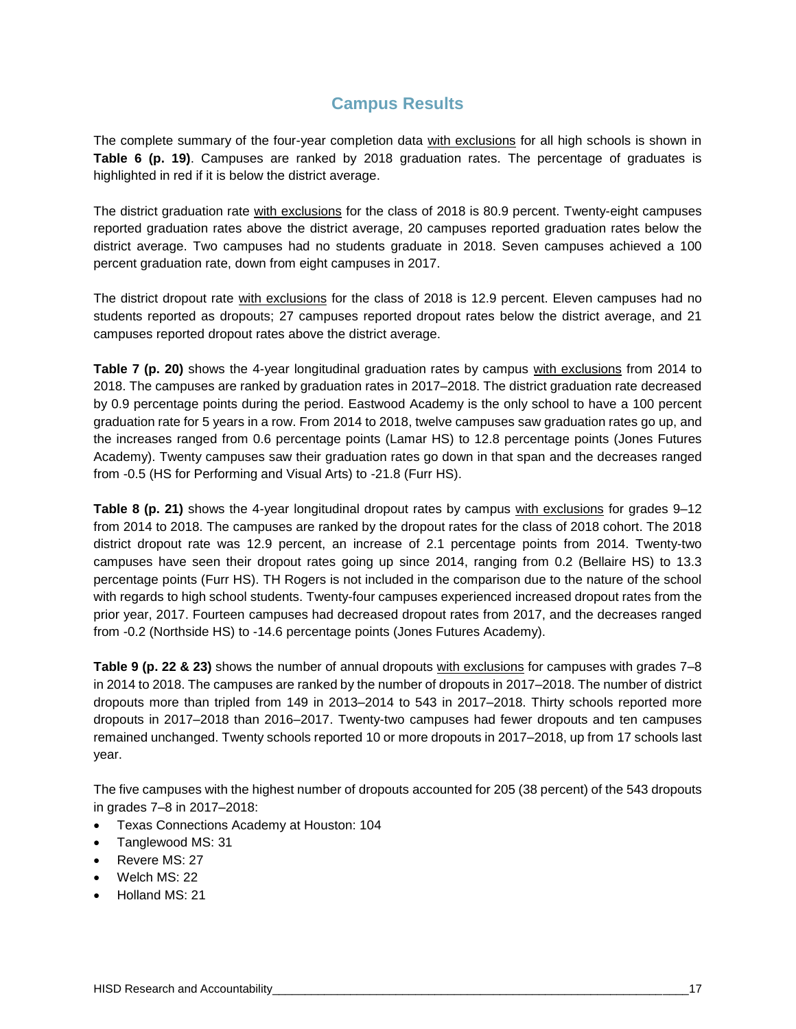# **Campus Results**

The complete summary of the four-year completion data with exclusions for all high schools is shown in **Table 6 (p. 19)**. Campuses are ranked by 2018 graduation rates. The percentage of graduates is highlighted in red if it is below the district average.

The district graduation rate with exclusions for the class of 2018 is 80.9 percent. Twenty-eight campuses reported graduation rates above the district average, 20 campuses reported graduation rates below the district average. Two campuses had no students graduate in 2018. Seven campuses achieved a 100 percent graduation rate, down from eight campuses in 2017.

The district dropout rate with exclusions for the class of 2018 is 12.9 percent. Eleven campuses had no students reported as dropouts; 27 campuses reported dropout rates below the district average, and 21 campuses reported dropout rates above the district average.

**Table 7 (p. 20)** shows the 4-year longitudinal graduation rates by campus with exclusions from 2014 to 2018. The campuses are ranked by graduation rates in 2017–2018. The district graduation rate decreased by 0.9 percentage points during the period. Eastwood Academy is the only school to have a 100 percent graduation rate for 5 years in a row. From 2014 to 2018, twelve campuses saw graduation rates go up, and the increases ranged from 0.6 percentage points (Lamar HS) to 12.8 percentage points (Jones Futures Academy). Twenty campuses saw their graduation rates go down in that span and the decreases ranged from -0.5 (HS for Performing and Visual Arts) to -21.8 (Furr HS).

**Table 8 (p. 21)** shows the 4-year longitudinal dropout rates by campus with exclusions for grades 9–12 from 2014 to 2018. The campuses are ranked by the dropout rates for the class of 2018 cohort. The 2018 district dropout rate was 12.9 percent, an increase of 2.1 percentage points from 2014. Twenty-two campuses have seen their dropout rates going up since 2014, ranging from 0.2 (Bellaire HS) to 13.3 percentage points (Furr HS). TH Rogers is not included in the comparison due to the nature of the school with regards to high school students. Twenty-four campuses experienced increased dropout rates from the prior year, 2017. Fourteen campuses had decreased dropout rates from 2017, and the decreases ranged from -0.2 (Northside HS) to -14.6 percentage points (Jones Futures Academy).

**Table 9 (p. 22 & 23)** shows the number of annual dropouts with exclusions for campuses with grades 7–8 in 2014 to 2018. The campuses are ranked by the number of dropouts in 2017–2018. The number of district dropouts more than tripled from 149 in 2013–2014 to 543 in 2017–2018. Thirty schools reported more dropouts in 2017–2018 than 2016–2017. Twenty-two campuses had fewer dropouts and ten campuses remained unchanged. Twenty schools reported 10 or more dropouts in 2017–2018, up from 17 schools last year.

The five campuses with the highest number of dropouts accounted for 205 (38 percent) of the 543 dropouts in grades 7–8 in 2017–2018:

- Texas Connections Academy at Houston: 104
- Tanglewood MS: 31
- Revere MS: 27
- Welch MS: 22
- Holland MS: 21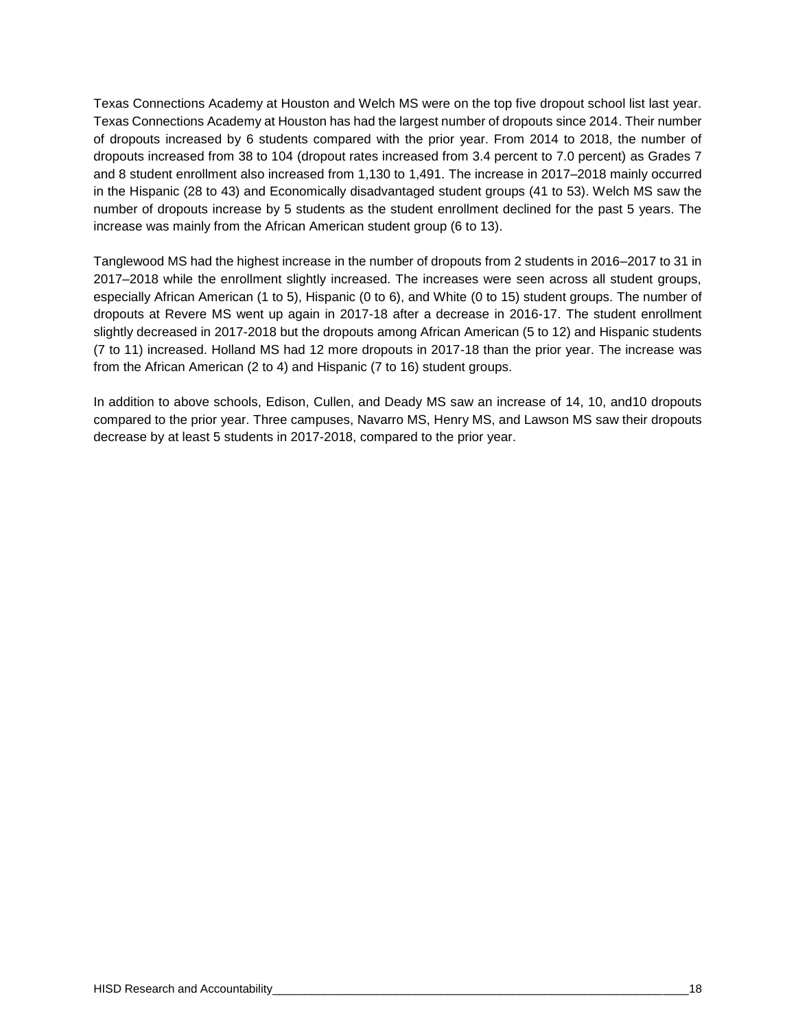Texas Connections Academy at Houston and Welch MS were on the top five dropout school list last year. Texas Connections Academy at Houston has had the largest number of dropouts since 2014. Their number of dropouts increased by 6 students compared with the prior year. From 2014 to 2018, the number of dropouts increased from 38 to 104 (dropout rates increased from 3.4 percent to 7.0 percent) as Grades 7 and 8 student enrollment also increased from 1,130 to 1,491. The increase in 2017–2018 mainly occurred in the Hispanic (28 to 43) and Economically disadvantaged student groups (41 to 53). Welch MS saw the number of dropouts increase by 5 students as the student enrollment declined for the past 5 years. The increase was mainly from the African American student group (6 to 13).

Tanglewood MS had the highest increase in the number of dropouts from 2 students in 2016–2017 to 31 in 2017–2018 while the enrollment slightly increased. The increases were seen across all student groups, especially African American (1 to 5), Hispanic (0 to 6), and White (0 to 15) student groups. The number of dropouts at Revere MS went up again in 2017-18 after a decrease in 2016-17. The student enrollment slightly decreased in 2017-2018 but the dropouts among African American (5 to 12) and Hispanic students (7 to 11) increased. Holland MS had 12 more dropouts in 2017-18 than the prior year. The increase was from the African American (2 to 4) and Hispanic (7 to 16) student groups.

In addition to above schools, Edison, Cullen, and Deady MS saw an increase of 14, 10, and10 dropouts compared to the prior year. Three campuses, Navarro MS, Henry MS, and Lawson MS saw their dropouts decrease by at least 5 students in 2017-2018, compared to the prior year.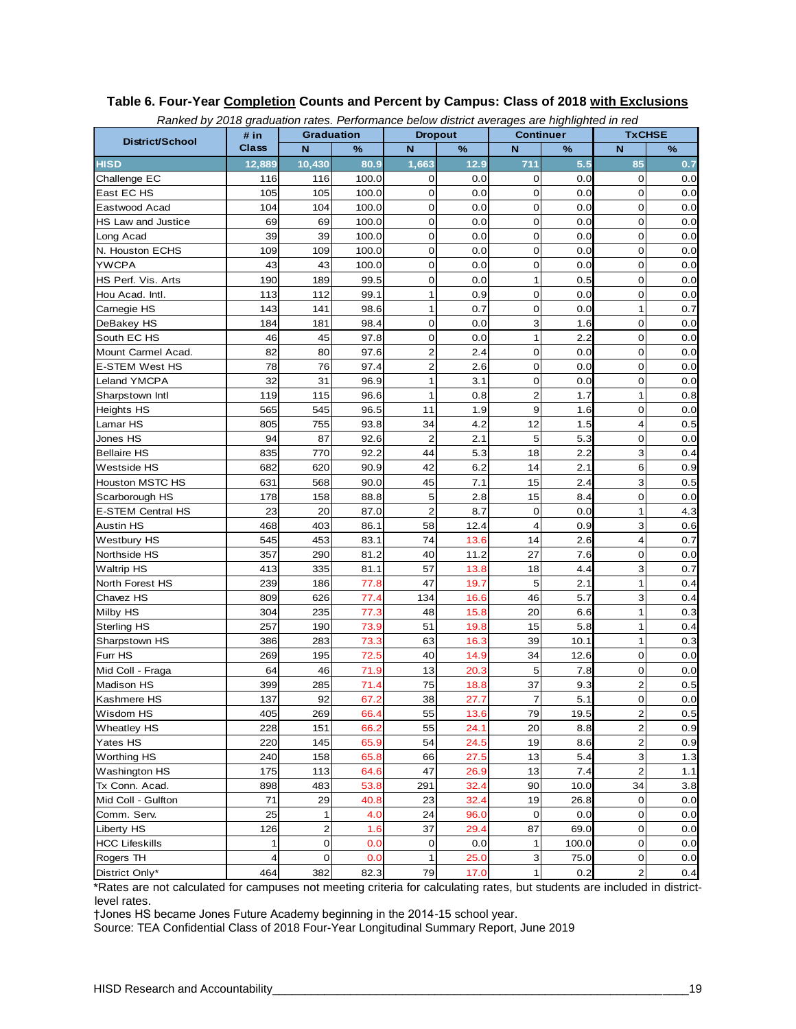| Ranked by 2018 graduation rates. Performance below district averages are highlighted in red |                      |                         |                |                     |              | <b>Continuer</b>           |             | <b>TxCHSE</b>                             |            |
|---------------------------------------------------------------------------------------------|----------------------|-------------------------|----------------|---------------------|--------------|----------------------------|-------------|-------------------------------------------|------------|
| District/School                                                                             | # in<br><b>Class</b> | <b>Graduation</b><br>N  |                | <b>Dropout</b><br>N | %            | N                          |             | N                                         | %          |
| <b>HISD</b>                                                                                 | 12.889               | 10.430                  | %<br>80.9      | 1,663               | 12.9         | 711                        | ℅<br>5.5    | 85                                        | 0.7        |
|                                                                                             |                      |                         |                | 0                   |              |                            |             | $\mathbf 0$                               |            |
| Challenge EC                                                                                | 116                  | 116                     | 100.0<br>100.0 |                     | 0.0          | 0                          | 0.0         | $\mathbf 0$                               | 0.0        |
| East EC HS<br>Eastwood Acad                                                                 | 105<br>104           | 105<br>104              | 100.0          | 0<br>0              | 0.0<br>0.0   | $\mathbf 0$<br>$\mathbf 0$ | 0.0<br>0.0  | $\mathbf 0$                               | 0.0        |
|                                                                                             |                      |                         |                | 0                   |              | $\mathbf 0$                |             | 0                                         | 0.0        |
| HS Law and Justice                                                                          | 69<br>39             | 69                      | 100.0          | 0                   | 0.0          | $\mathbf 0$                | 0.0         | $\mathbf 0$                               | 0.0<br>0.0 |
| Long Acad<br>N. Houston ECHS                                                                | 109                  | 39<br>109               | 100.0<br>100.0 | 0                   | 0.0<br>0.0   | $\mathbf 0$                | 0.0<br>0.0  | $\mathbf 0$                               | 0.0        |
|                                                                                             | 43                   |                         |                | 0                   | 0.0          | $\mathbf 0$                |             | 0                                         |            |
| <b>YWCPA</b><br>HS Perf. Vis. Arts                                                          | 190                  | 43                      | 100.0<br>99.5  | 0                   | 0.0          | $\mathbf{1}$               | 0.0         | $\mathbf 0$                               | 0.0        |
|                                                                                             | 113                  | 189<br>112              |                | 1                   |              | 0                          | 0.5         | $\mathbf 0$                               | 0.0        |
| Hou Acad. Intl.<br>Carnegie HS                                                              |                      |                         | 99.1           | 1                   | 0.9          | $\mathbf 0$                | 0.0         | 1                                         | 0.0        |
|                                                                                             | 143                  | 141                     | 98.6           |                     | 0.7          |                            | 0.0         |                                           | 0.7        |
| DeBakey HS                                                                                  | 184                  | 181                     | 98.4           | 0<br>0              | 0.0          | 3<br>$\mathbf{1}$          | 1.6         | $\mathbf 0$<br>0                          | 0.0        |
| South EC HS                                                                                 | 46                   | 45                      | 97.8           |                     | 0.0          |                            | 2.2         | $\mathbf 0$                               | 0.0        |
| Mount Carmel Acad.                                                                          | 82                   | 80                      | 97.6           | 2                   | 2.4          | $\mathbf 0$                | 0.0         |                                           | 0.0        |
| <b>E-STEM West HS</b>                                                                       | 78                   | 76                      | 97.4           | $\overline{c}$      | 2.6          | $\mathbf 0$                | 0.0         | 0<br>$\mathbf 0$                          | 0.0        |
| Leland YMCPA                                                                                | 32                   | 31                      | 96.9           | 1                   | 3.1          | $\mathbf 0$                | 0.0         |                                           | 0.0        |
| Sharpstown Intl                                                                             | 119                  | 115                     | 96.6           | 1                   | 0.8          | $\overline{2}$             | 1.7         | 1                                         | 0.8        |
| <b>Heights HS</b>                                                                           | 565                  | 545                     | 96.5           | 11                  | 1.9          | 9                          | 1.6         | 0                                         | 0.0        |
| Lamar HS                                                                                    | 805                  | 755                     | 93.8           | 34                  | 4.2          | 12                         | 1.5         | 4                                         | 0.5        |
| Jones HS                                                                                    | 94                   | 87                      | 92.6           | $\overline{2}$      | 2.1          | 5                          | 5.3         | 0                                         | 0.0        |
| <b>Bellaire HS</b>                                                                          | 835                  | 770                     | 92.2           | 44                  | 5.3          | 18                         | 2.2         | 3                                         | 0.4        |
| Westside HS                                                                                 | 682                  | 620                     | 90.9           | 42                  | 6.2          | 14                         | 2.1         | 6                                         | 0.9        |
| Houston MSTC HS                                                                             | 631                  | 568                     | 90.0           | 45                  | 7.1          | 15                         | 2.4         | 3                                         | 0.5        |
| Scarborough HS                                                                              | 178                  | 158                     | 88.8           | 5                   | 2.8          | 15                         | 8.4         | $\mathbf 0$                               | 0.0        |
| <b>E-STEM Central HS</b>                                                                    | 23                   | 20                      | 87.0           | $\overline{2}$      | 8.7          | $\mathbf 0$                | 0.0         | 1                                         | 4.3        |
| <b>Austin HS</b>                                                                            | 468                  | 403                     | 86.1           | 58                  | 12.4         | 4                          | 0.9         | 3                                         | 0.6        |
| Westbury HS                                                                                 | 545                  | 453                     | 83.1           | 74                  | 13.6         | 14                         | 2.6         | 4                                         | 0.7        |
| Northside HS                                                                                | 357                  | 290                     | 81.2           | 40                  | 11.2         | 27                         | 7.6         | $\mathbf 0$                               | 0.0        |
| <b>Waltrip HS</b>                                                                           | 413                  | 335                     | 81.1           | 57                  | 13.8         | 18                         | 4.4         | 3                                         | 0.7        |
| North Forest HS                                                                             | 239                  | 186                     | 77.8           | 47                  | 19.7         | 5                          | 2.1         | 1                                         | 0.4        |
| Chavez HS                                                                                   | 809                  | 626                     | 77.4           | 134                 | 16.6         | 46                         | 5.7         | 3                                         | 0.4        |
| Milby HS                                                                                    | 304                  | 235                     | 77.3           | 48                  | 15.8         | 20                         | 6.6         | 1<br>1                                    | 0.3        |
| <b>Sterling HS</b>                                                                          | 257                  | 190                     | 73.9           | 51                  | 19.8         | 15                         | 5.8         | 1                                         | 0.4        |
| Sharpstown HS                                                                               | 386                  | 283                     | 73.3           | 63                  | 16.3         | 39                         | 10.1        | $\overline{0}$                            | 0.3        |
| Furr HS<br>Mid Coll - Fraga                                                                 | 269                  | 195                     | 72.5           | 40                  | 14.9         | 34                         | 12.6        | 0                                         | 0.0        |
| Madison HS                                                                                  | 64<br>399            | 46<br>285               | 71.9           | 13<br>75            | 20.3<br>18.8 | 5<br>37                    | 7.8<br>9.3  | $\overline{c}$                            | 0.0<br>0.5 |
| Kashmere HS                                                                                 | 137                  | 92                      | 71.4<br>67.2   | 38                  |              | $\overline{7}$             |             | $\mathbf 0$                               |            |
| Wisdom HS                                                                                   |                      |                         |                | 55                  | 27.7         | 79                         | 5.1         |                                           | 0.0        |
|                                                                                             | 405<br>228           | 269<br>151              | 66.4           | 55                  | 13.6<br>24.1 | 20                         | 19.5<br>8.8 | $\overline{\mathbf{c}}$<br>$\overline{c}$ | 0.5        |
| <b>Wheatley HS</b>                                                                          | 220                  | 145                     | 66.2           | 54                  |              | 19                         |             | $\overline{\mathbf{c}}$                   | 0.9<br>0.9 |
| Yates HS                                                                                    |                      |                         | 65.9           |                     | 24.5         |                            | 8.6         |                                           |            |
| <b>Worthing HS</b>                                                                          | 240                  | 158                     | 65.8           | 66                  | 27.5         | 13                         | 5.4         | 3                                         | 1.3        |
| Washington HS                                                                               | 175                  | 113                     | 64.6           | 47                  | 26.9         | 13                         | 7.4         | $\overline{c}$                            | 1.1        |
| Tx Conn. Acad.                                                                              | 898                  | 483                     | 53.8           | 291                 | 32.4         | 90                         | 10.0        | 34                                        | 3.8        |
| Mid Coll - Gulfton                                                                          | 71                   | 29                      | 40.8           | 23                  | 32.4         | 19                         | 26.8        | 0                                         | 0.0        |
| Comm. Serv.                                                                                 | 25                   | 1                       | 4.0            | 24                  | 96.0         | $\pmb{0}$                  | 0.0         | $\mathbf 0$                               | 0.0        |
| Liberty HS                                                                                  | 126                  | $\overline{\mathbf{c}}$ | 1.6            | 37                  | 29.4         | 87                         | 69.0        | 0                                         | 0.0        |
| <b>HCC Lifeskills</b>                                                                       | 1                    | 0                       | 0.0            | 0                   | 0.0          | 1                          | 100.0       | 0                                         | 0.0        |
| Rogers TH                                                                                   | $\overline{a}$       | 0                       | 0.0            | 1                   | 25.0         | 3                          | 75.0        | $\pmb{0}$                                 | 0.0        |
| District Only*                                                                              | 464                  | 382                     | 82.3           | 79                  | 17.0         | 1                          | 0.2         | $\overline{\mathbf{c}}$                   | 0.4        |

#### **Table 6. Four-Year Completion Counts and Percent by Campus: Class of 2018 with Exclusions** *Ranked by 2018 graduation rates. Performance below district averages are highlighted in red*

\*Rates are not calculated for campuses not meeting criteria for calculating rates, but students are included in districtlevel rates.

†Jones HS became Jones Future Academy beginning in the 2014-15 school year.

Source: TEA Confidential Class of 2018 Four-Year Longitudinal Summary Report, June 2019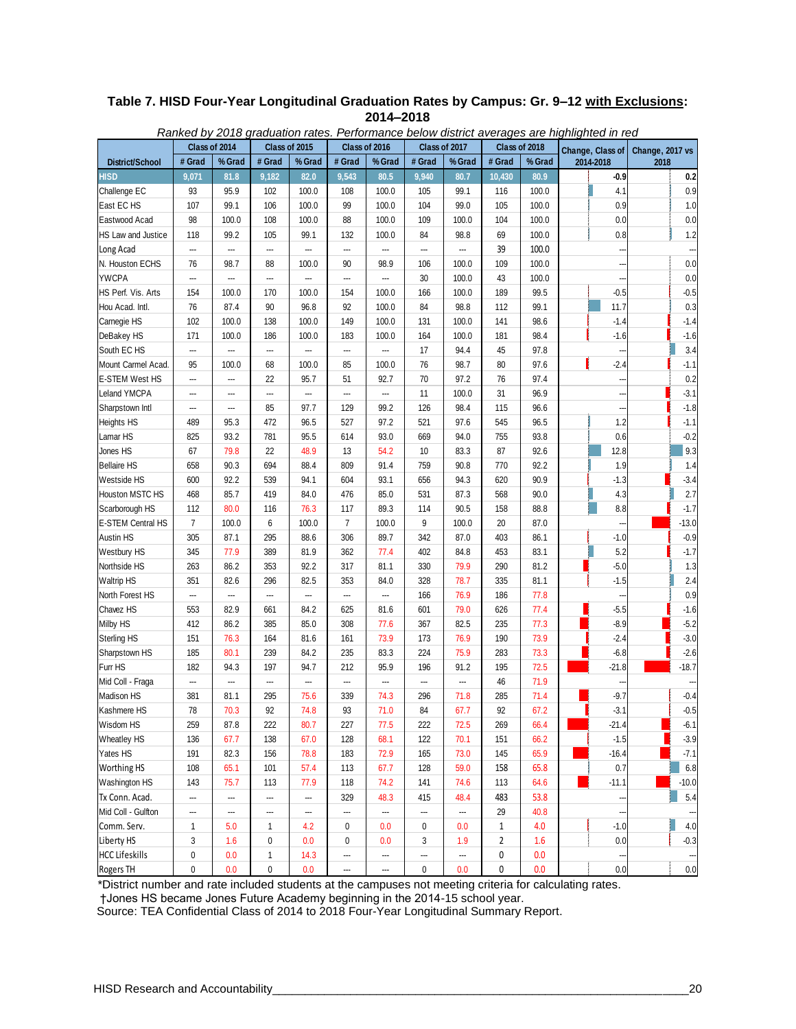| Table 7. HISD Four-Year Longitudinal Graduation Rates by Campus: Gr. 9-12 with Exclusions: |
|--------------------------------------------------------------------------------------------|
| 2014-2018                                                                                  |

| Class of 2015<br>Class of 2017<br>Class of 2018<br>Class of 2014<br>Class of 2016<br>Change, Class of<br>Change, 2017 vs<br># Grad<br># Grad<br># Grad<br># Grad<br># Grad<br>% Grad<br>% Grad<br>% Grad<br>% Grad<br>% Grad<br>2014-2018<br>2018<br>District/School<br>9,543<br>HISD<br>9,071<br>81.8<br>9,182<br>82.0<br>80.5<br>9,940<br>80.7<br>10,430<br>80.9<br>$-0.9$<br>0.2<br>Challenge EC<br>95.9<br>102<br>99.1<br>0.9<br>93<br>100.0<br>108<br>100.0<br>105<br>116<br>100.0<br>4.1<br>East EC HS<br>107<br>99.1<br>106<br>100.0<br>99<br>100.0<br>104<br>99.0<br>105<br>100.0<br>0.9<br>1.0<br>98<br>108<br>100.0<br>Eastwood Acad<br>100.0<br>100.0<br>88<br>100.0<br>109<br>104<br>100.0<br>0.0<br>0.0<br>105<br>132<br>84<br>98.8<br>100.0<br>0.8<br>1.2<br>HS Law and Justice<br>118<br>99.2<br>99.1<br>100.0<br>69<br>Long Acad<br>39<br>100.0<br>---<br><br><br>---<br>---<br>---<br>---<br>---<br>N. Houston ECHS<br>98.7<br>100.0<br>109<br>100.0<br>0.0<br>76<br>88<br>100.0<br>90<br>98.9<br>106<br><b>YWCPA</b><br>100.0<br>43<br>0.0<br>…<br>30<br>100.0<br>---<br>---<br>---<br>---<br>---<br>$-0.5$<br>$-0.5$<br>HS Perf. Vis. Arts<br>154<br>100.0<br>170<br>100.0<br>154<br>100.0<br>166<br>100.0<br>189<br>99.5<br>0.3<br>Hou Acad. Intl.<br>76<br>87.4<br>90<br>96.8<br>92<br>84<br>98.8<br>112<br>99.1<br>11.7<br>100.0<br>Camegie HS<br>102<br>100.0<br>138<br>100.0<br>149<br>100.0<br>131<br>100.0<br>141<br>98.6<br>$-1.4$<br>$-1.4$<br>DeBakey HS<br>171<br>186<br>183<br>164<br>100.0<br>98.4<br>$-1.6$<br>100.0<br>100.0<br>100.0<br>181<br>$-1.6$<br>3.4<br>South EC HS<br>94.4<br>---<br>17<br>45<br>97.8<br><br><br><br>---<br>---<br>98.7<br>$-2.4$<br>Mount Carmel Acad.<br>95<br>68<br>100.0<br>85<br>100.0<br>76<br>80<br>97.6<br>$-1.1$<br>100.0<br>22<br>95.7<br>70<br>97.2<br>76<br>97.4<br>0.2<br>E-STEM West HS<br>51<br>92.7<br>---<br><br>$-3.1$<br>Leland YMCPA<br>11<br>100.0<br>31<br>96.9<br>---<br>---<br>---<br>---<br>---<br>---<br>85<br>97.7<br>129<br>126<br>98.4<br>96.6<br>$-1.8$<br>Sharpstown Intl<br>99.2<br>115<br>---<br>---<br>472<br>521<br>97.6<br>545<br>96.5<br>1.2<br>$-1.1$<br><b>Heights HS</b><br>489<br>95.3<br>96.5<br>527<br>97.2<br>Lamar HS<br>825<br>93.2<br>781<br>95.5<br>614<br>93.0<br>669<br>94.0<br>755<br>93.8<br>0.6<br>$-0.2$<br>9.3<br>Jones HS<br>79.8<br>48.9<br>10<br>83.3<br>87<br>92.6<br>12.8<br>67<br>22<br>13<br>54.2<br><b>Bellaire HS</b><br>90.3<br>694<br>88.4<br>809<br>91.4<br>759<br>90.8<br>770<br>92.2<br>1.9<br>658<br>1.4<br>$-3.4$<br>92.2<br>539<br>94.1<br>604<br>656<br>94.3<br>620<br>90.9<br>$-1.3$<br>Westside HS<br>600<br>93.1<br>2.7<br>85.7<br>419<br>531<br>87.3<br>90.0<br>4.3<br>Houston MSTC HS<br>468<br>84.0<br>476<br>85.0<br>568<br>$-1.7$<br>Scarborough HS<br>112<br>80.0<br>116<br>76.3<br>117<br>89.3<br>114<br>90.5<br>158<br>88.8<br>8.8<br>$\overline{7}$<br>6<br>$\overline{7}$<br>$-13.0$<br>E-STEM Central HS<br>100.0<br>9<br>100.0<br>20<br>87.0<br>100.0<br>100.0<br><b>Austin HS</b><br>305<br>87.1<br>295<br>88.6<br>306<br>89.7<br>342<br>87.0<br>403<br>86.1<br>$-1.0$<br>$-0.9$<br>389<br>362<br>453<br>5.2<br>$-1.7$<br>Westbury HS<br>345<br>77.9<br>81.9<br>77.4<br>402<br>84.8<br>83.1<br>79.9<br>$-5.0$<br>Northside HS<br>263<br>86.2<br>353<br>92.2<br>317<br>81.1<br>330<br>290<br>81.2<br>1.3<br>2.4<br>351<br>82.6<br>296<br>82.5<br>353<br>328<br>78.7<br>335<br>81.1<br>$-1.5$<br><b>Waltrip HS</b><br>84.0<br>0.9<br>166<br>76.9<br>77.8<br>North Forest HS<br>---<br>186<br>---<br>---<br>---<br>---<br>---<br>$-5.5$<br>Chavez HS<br>82.9<br>661<br>84.2<br>625<br>601<br>79.0<br>626<br>77.4<br>$-1.6$<br>553<br>81.6<br>$-5.2$<br>Milby HS<br>412<br>86.2<br>385<br>85.0<br>308<br>367<br>82.5<br>235<br>77.3<br>$-8.9$<br>77.6<br><b>Sterling HS</b><br>76.3<br>164<br>81.6<br>73.9<br>173<br>76.9<br>73.9<br>$-2.4$<br>$-3.0$<br>151<br>161<br>190<br>239<br>224<br>$-2.6$<br>Sharpstown HS<br>185<br>80.1<br>84.2<br>235<br>83.3<br>75.9<br>283<br>73.3<br>$-6.8$<br>$-18.7$<br>Furr HS<br>94.7<br>91.2<br>72.5<br>$-21.8$<br>182<br>94.3<br>197<br>212<br>95.9<br>196<br>195<br>71.9<br>Mid Coll - Fraga<br>46<br>---<br>---<br>---<br>---<br>---<br>---<br>---<br>---<br>$-9.7$<br>$-0.4$<br>Madison HS<br>81.1<br>295<br>75.6<br>339<br>296<br>71.8<br>285<br>71.4<br>381<br>74.3<br>67.2<br>Kashmere HS<br>${\bf 78}$<br>70.3<br>$-3.1$<br>$-0.5$<br>92<br>74.8<br>93<br>$71.0$<br>84<br>67.7<br>92<br>Wisdom HS<br>259<br>87.8<br>222<br>80.7<br>227<br>222<br>72.5<br>269<br>$-21.4$<br>$-6.1$<br>77.5<br>66.4<br><b>Wheatley HS</b><br>67.7<br>138<br>67.0<br>128<br>68.1<br>122<br>70.1<br>$-1.5$<br>$-3.9$<br>136<br>151<br>66.2<br>Yates HS<br>78.8<br>73.0<br>$-7.1$<br>191<br>82.3<br>156<br>183<br>72.9<br>165<br>145<br>65.9<br>$-16.4$<br>Worthing HS<br>65.1<br>57.4<br>59.0<br>158<br>65.8<br>6.8<br>108<br>101<br>113<br>67.7<br>128<br>0.7<br>Washington HS<br>75.7<br>141<br>74.6<br>64.6<br>143<br>113<br>77.9<br>118<br>74.2<br>113<br>$-11.1$<br>$-10.0$<br>Tx Conn. Acad.<br>415<br>53.8<br>5.4<br>329<br>48.3<br>48.4<br>483<br><br>---<br>---<br><br>Mid Coll - Gulfton<br>---<br><br><br>29<br>40.8<br><br>---<br>---<br><br>---<br>Comm. Serv.<br>$\mathbf{1}$<br>5.0<br>$\mathbf{1}$<br>4.2<br>0<br>0.0<br>0<br>0.0<br>$\mathbf{1}$<br>4.0<br>$-1.0$<br>4.0<br>Liberty HS<br>3<br>1.6<br>0.0<br>$-0.3$<br>1.6<br>0<br>0.0<br>0<br>0.0<br>3<br>2<br>1.9<br><b>HCC Lifeskills</b><br>0<br>0.0<br>$\mathbf{1}$<br>14.3<br>0<br>0.0<br><br>---<br>---<br>---<br>0.0<br>Rogers TH<br>0<br>0.0<br>0<br>$\pmb{0}$<br>0<br>0.0<br>0.0<br>0.0<br>0.0<br>---<br> | Ranked by 2018 graduation rates. Performance below district averages are highlighted in red |  |  |  |  |  |  |  |  |  |  |  |
|---------------------------------------------------------------------------------------------------------------------------------------------------------------------------------------------------------------------------------------------------------------------------------------------------------------------------------------------------------------------------------------------------------------------------------------------------------------------------------------------------------------------------------------------------------------------------------------------------------------------------------------------------------------------------------------------------------------------------------------------------------------------------------------------------------------------------------------------------------------------------------------------------------------------------------------------------------------------------------------------------------------------------------------------------------------------------------------------------------------------------------------------------------------------------------------------------------------------------------------------------------------------------------------------------------------------------------------------------------------------------------------------------------------------------------------------------------------------------------------------------------------------------------------------------------------------------------------------------------------------------------------------------------------------------------------------------------------------------------------------------------------------------------------------------------------------------------------------------------------------------------------------------------------------------------------------------------------------------------------------------------------------------------------------------------------------------------------------------------------------------------------------------------------------------------------------------------------------------------------------------------------------------------------------------------------------------------------------------------------------------------------------------------------------------------------------------------------------------------------------------------------------------------------------------------------------------------------------------------------------------------------------------------------------------------------------------------------------------------------------------------------------------------------------------------------------------------------------------------------------------------------------------------------------------------------------------------------------------------------------------------------------------------------------------------------------------------------------------------------------------------------------------------------------------------------------------------------------------------------------------------------------------------------------------------------------------------------------------------------------------------------------------------------------------------------------------------------------------------------------------------------------------------------------------------------------------------------------------------------------------------------------------------------------------------------------------------------------------------------------------------------------------------------------------------------------------------------------------------------------------------------------------------------------------------------------------------------------------------------------------------------------------------------------------------------------------------------------------------------------------------------------------------------------------------------------------------------------------------------------------------------------------------------------------------------------------------------------------------------------------------------------------------------------------------------------------------------------------------------------------------------------------------------------------------------------------------------------------------------------------------------------------------------------------------------------------------------------------------------------------------------------------------------------------------------------------------------------------------------------------------------------------------------------------------------------------------------------------------------------------------------------------------------------------------------------------------------------------------------------------------------------------------------------------------------------------------------------------------------------------------------------------------------------------------------------------------------------------------------------------------------------------------------------------------------------------------------------------------------------------------------------------------------------------------------------------------------------------------------------------------------------------------------|---------------------------------------------------------------------------------------------|--|--|--|--|--|--|--|--|--|--|--|
|                                                                                                                                                                                                                                                                                                                                                                                                                                                                                                                                                                                                                                                                                                                                                                                                                                                                                                                                                                                                                                                                                                                                                                                                                                                                                                                                                                                                                                                                                                                                                                                                                                                                                                                                                                                                                                                                                                                                                                                                                                                                                                                                                                                                                                                                                                                                                                                                                                                                                                                                                                                                                                                                                                                                                                                                                                                                                                                                                                                                                                                                                                                                                                                                                                                                                                                                                                                                                                                                                                                                                                                                                                                                                                                                                                                                                                                                                                                                                                                                                                                                                                                                                                                                                                                                                                                                                                                                                                                                                                                                                                                                                                                                                                                                                                                                                                                                                                                                                                                                                                                                                                                                                                                                                                                                                                                                                                                                                                                                                                                                                                                                                                                               |                                                                                             |  |  |  |  |  |  |  |  |  |  |  |
|                                                                                                                                                                                                                                                                                                                                                                                                                                                                                                                                                                                                                                                                                                                                                                                                                                                                                                                                                                                                                                                                                                                                                                                                                                                                                                                                                                                                                                                                                                                                                                                                                                                                                                                                                                                                                                                                                                                                                                                                                                                                                                                                                                                                                                                                                                                                                                                                                                                                                                                                                                                                                                                                                                                                                                                                                                                                                                                                                                                                                                                                                                                                                                                                                                                                                                                                                                                                                                                                                                                                                                                                                                                                                                                                                                                                                                                                                                                                                                                                                                                                                                                                                                                                                                                                                                                                                                                                                                                                                                                                                                                                                                                                                                                                                                                                                                                                                                                                                                                                                                                                                                                                                                                                                                                                                                                                                                                                                                                                                                                                                                                                                                                               |                                                                                             |  |  |  |  |  |  |  |  |  |  |  |
|                                                                                                                                                                                                                                                                                                                                                                                                                                                                                                                                                                                                                                                                                                                                                                                                                                                                                                                                                                                                                                                                                                                                                                                                                                                                                                                                                                                                                                                                                                                                                                                                                                                                                                                                                                                                                                                                                                                                                                                                                                                                                                                                                                                                                                                                                                                                                                                                                                                                                                                                                                                                                                                                                                                                                                                                                                                                                                                                                                                                                                                                                                                                                                                                                                                                                                                                                                                                                                                                                                                                                                                                                                                                                                                                                                                                                                                                                                                                                                                                                                                                                                                                                                                                                                                                                                                                                                                                                                                                                                                                                                                                                                                                                                                                                                                                                                                                                                                                                                                                                                                                                                                                                                                                                                                                                                                                                                                                                                                                                                                                                                                                                                                               |                                                                                             |  |  |  |  |  |  |  |  |  |  |  |
|                                                                                                                                                                                                                                                                                                                                                                                                                                                                                                                                                                                                                                                                                                                                                                                                                                                                                                                                                                                                                                                                                                                                                                                                                                                                                                                                                                                                                                                                                                                                                                                                                                                                                                                                                                                                                                                                                                                                                                                                                                                                                                                                                                                                                                                                                                                                                                                                                                                                                                                                                                                                                                                                                                                                                                                                                                                                                                                                                                                                                                                                                                                                                                                                                                                                                                                                                                                                                                                                                                                                                                                                                                                                                                                                                                                                                                                                                                                                                                                                                                                                                                                                                                                                                                                                                                                                                                                                                                                                                                                                                                                                                                                                                                                                                                                                                                                                                                                                                                                                                                                                                                                                                                                                                                                                                                                                                                                                                                                                                                                                                                                                                                                               |                                                                                             |  |  |  |  |  |  |  |  |  |  |  |
|                                                                                                                                                                                                                                                                                                                                                                                                                                                                                                                                                                                                                                                                                                                                                                                                                                                                                                                                                                                                                                                                                                                                                                                                                                                                                                                                                                                                                                                                                                                                                                                                                                                                                                                                                                                                                                                                                                                                                                                                                                                                                                                                                                                                                                                                                                                                                                                                                                                                                                                                                                                                                                                                                                                                                                                                                                                                                                                                                                                                                                                                                                                                                                                                                                                                                                                                                                                                                                                                                                                                                                                                                                                                                                                                                                                                                                                                                                                                                                                                                                                                                                                                                                                                                                                                                                                                                                                                                                                                                                                                                                                                                                                                                                                                                                                                                                                                                                                                                                                                                                                                                                                                                                                                                                                                                                                                                                                                                                                                                                                                                                                                                                                               |                                                                                             |  |  |  |  |  |  |  |  |  |  |  |
|                                                                                                                                                                                                                                                                                                                                                                                                                                                                                                                                                                                                                                                                                                                                                                                                                                                                                                                                                                                                                                                                                                                                                                                                                                                                                                                                                                                                                                                                                                                                                                                                                                                                                                                                                                                                                                                                                                                                                                                                                                                                                                                                                                                                                                                                                                                                                                                                                                                                                                                                                                                                                                                                                                                                                                                                                                                                                                                                                                                                                                                                                                                                                                                                                                                                                                                                                                                                                                                                                                                                                                                                                                                                                                                                                                                                                                                                                                                                                                                                                                                                                                                                                                                                                                                                                                                                                                                                                                                                                                                                                                                                                                                                                                                                                                                                                                                                                                                                                                                                                                                                                                                                                                                                                                                                                                                                                                                                                                                                                                                                                                                                                                                               |                                                                                             |  |  |  |  |  |  |  |  |  |  |  |
|                                                                                                                                                                                                                                                                                                                                                                                                                                                                                                                                                                                                                                                                                                                                                                                                                                                                                                                                                                                                                                                                                                                                                                                                                                                                                                                                                                                                                                                                                                                                                                                                                                                                                                                                                                                                                                                                                                                                                                                                                                                                                                                                                                                                                                                                                                                                                                                                                                                                                                                                                                                                                                                                                                                                                                                                                                                                                                                                                                                                                                                                                                                                                                                                                                                                                                                                                                                                                                                                                                                                                                                                                                                                                                                                                                                                                                                                                                                                                                                                                                                                                                                                                                                                                                                                                                                                                                                                                                                                                                                                                                                                                                                                                                                                                                                                                                                                                                                                                                                                                                                                                                                                                                                                                                                                                                                                                                                                                                                                                                                                                                                                                                                               |                                                                                             |  |  |  |  |  |  |  |  |  |  |  |
|                                                                                                                                                                                                                                                                                                                                                                                                                                                                                                                                                                                                                                                                                                                                                                                                                                                                                                                                                                                                                                                                                                                                                                                                                                                                                                                                                                                                                                                                                                                                                                                                                                                                                                                                                                                                                                                                                                                                                                                                                                                                                                                                                                                                                                                                                                                                                                                                                                                                                                                                                                                                                                                                                                                                                                                                                                                                                                                                                                                                                                                                                                                                                                                                                                                                                                                                                                                                                                                                                                                                                                                                                                                                                                                                                                                                                                                                                                                                                                                                                                                                                                                                                                                                                                                                                                                                                                                                                                                                                                                                                                                                                                                                                                                                                                                                                                                                                                                                                                                                                                                                                                                                                                                                                                                                                                                                                                                                                                                                                                                                                                                                                                                               |                                                                                             |  |  |  |  |  |  |  |  |  |  |  |
|                                                                                                                                                                                                                                                                                                                                                                                                                                                                                                                                                                                                                                                                                                                                                                                                                                                                                                                                                                                                                                                                                                                                                                                                                                                                                                                                                                                                                                                                                                                                                                                                                                                                                                                                                                                                                                                                                                                                                                                                                                                                                                                                                                                                                                                                                                                                                                                                                                                                                                                                                                                                                                                                                                                                                                                                                                                                                                                                                                                                                                                                                                                                                                                                                                                                                                                                                                                                                                                                                                                                                                                                                                                                                                                                                                                                                                                                                                                                                                                                                                                                                                                                                                                                                                                                                                                                                                                                                                                                                                                                                                                                                                                                                                                                                                                                                                                                                                                                                                                                                                                                                                                                                                                                                                                                                                                                                                                                                                                                                                                                                                                                                                                               |                                                                                             |  |  |  |  |  |  |  |  |  |  |  |
|                                                                                                                                                                                                                                                                                                                                                                                                                                                                                                                                                                                                                                                                                                                                                                                                                                                                                                                                                                                                                                                                                                                                                                                                                                                                                                                                                                                                                                                                                                                                                                                                                                                                                                                                                                                                                                                                                                                                                                                                                                                                                                                                                                                                                                                                                                                                                                                                                                                                                                                                                                                                                                                                                                                                                                                                                                                                                                                                                                                                                                                                                                                                                                                                                                                                                                                                                                                                                                                                                                                                                                                                                                                                                                                                                                                                                                                                                                                                                                                                                                                                                                                                                                                                                                                                                                                                                                                                                                                                                                                                                                                                                                                                                                                                                                                                                                                                                                                                                                                                                                                                                                                                                                                                                                                                                                                                                                                                                                                                                                                                                                                                                                                               |                                                                                             |  |  |  |  |  |  |  |  |  |  |  |
|                                                                                                                                                                                                                                                                                                                                                                                                                                                                                                                                                                                                                                                                                                                                                                                                                                                                                                                                                                                                                                                                                                                                                                                                                                                                                                                                                                                                                                                                                                                                                                                                                                                                                                                                                                                                                                                                                                                                                                                                                                                                                                                                                                                                                                                                                                                                                                                                                                                                                                                                                                                                                                                                                                                                                                                                                                                                                                                                                                                                                                                                                                                                                                                                                                                                                                                                                                                                                                                                                                                                                                                                                                                                                                                                                                                                                                                                                                                                                                                                                                                                                                                                                                                                                                                                                                                                                                                                                                                                                                                                                                                                                                                                                                                                                                                                                                                                                                                                                                                                                                                                                                                                                                                                                                                                                                                                                                                                                                                                                                                                                                                                                                                               |                                                                                             |  |  |  |  |  |  |  |  |  |  |  |
|                                                                                                                                                                                                                                                                                                                                                                                                                                                                                                                                                                                                                                                                                                                                                                                                                                                                                                                                                                                                                                                                                                                                                                                                                                                                                                                                                                                                                                                                                                                                                                                                                                                                                                                                                                                                                                                                                                                                                                                                                                                                                                                                                                                                                                                                                                                                                                                                                                                                                                                                                                                                                                                                                                                                                                                                                                                                                                                                                                                                                                                                                                                                                                                                                                                                                                                                                                                                                                                                                                                                                                                                                                                                                                                                                                                                                                                                                                                                                                                                                                                                                                                                                                                                                                                                                                                                                                                                                                                                                                                                                                                                                                                                                                                                                                                                                                                                                                                                                                                                                                                                                                                                                                                                                                                                                                                                                                                                                                                                                                                                                                                                                                                               |                                                                                             |  |  |  |  |  |  |  |  |  |  |  |
|                                                                                                                                                                                                                                                                                                                                                                                                                                                                                                                                                                                                                                                                                                                                                                                                                                                                                                                                                                                                                                                                                                                                                                                                                                                                                                                                                                                                                                                                                                                                                                                                                                                                                                                                                                                                                                                                                                                                                                                                                                                                                                                                                                                                                                                                                                                                                                                                                                                                                                                                                                                                                                                                                                                                                                                                                                                                                                                                                                                                                                                                                                                                                                                                                                                                                                                                                                                                                                                                                                                                                                                                                                                                                                                                                                                                                                                                                                                                                                                                                                                                                                                                                                                                                                                                                                                                                                                                                                                                                                                                                                                                                                                                                                                                                                                                                                                                                                                                                                                                                                                                                                                                                                                                                                                                                                                                                                                                                                                                                                                                                                                                                                                               |                                                                                             |  |  |  |  |  |  |  |  |  |  |  |
|                                                                                                                                                                                                                                                                                                                                                                                                                                                                                                                                                                                                                                                                                                                                                                                                                                                                                                                                                                                                                                                                                                                                                                                                                                                                                                                                                                                                                                                                                                                                                                                                                                                                                                                                                                                                                                                                                                                                                                                                                                                                                                                                                                                                                                                                                                                                                                                                                                                                                                                                                                                                                                                                                                                                                                                                                                                                                                                                                                                                                                                                                                                                                                                                                                                                                                                                                                                                                                                                                                                                                                                                                                                                                                                                                                                                                                                                                                                                                                                                                                                                                                                                                                                                                                                                                                                                                                                                                                                                                                                                                                                                                                                                                                                                                                                                                                                                                                                                                                                                                                                                                                                                                                                                                                                                                                                                                                                                                                                                                                                                                                                                                                                               |                                                                                             |  |  |  |  |  |  |  |  |  |  |  |
|                                                                                                                                                                                                                                                                                                                                                                                                                                                                                                                                                                                                                                                                                                                                                                                                                                                                                                                                                                                                                                                                                                                                                                                                                                                                                                                                                                                                                                                                                                                                                                                                                                                                                                                                                                                                                                                                                                                                                                                                                                                                                                                                                                                                                                                                                                                                                                                                                                                                                                                                                                                                                                                                                                                                                                                                                                                                                                                                                                                                                                                                                                                                                                                                                                                                                                                                                                                                                                                                                                                                                                                                                                                                                                                                                                                                                                                                                                                                                                                                                                                                                                                                                                                                                                                                                                                                                                                                                                                                                                                                                                                                                                                                                                                                                                                                                                                                                                                                                                                                                                                                                                                                                                                                                                                                                                                                                                                                                                                                                                                                                                                                                                                               |                                                                                             |  |  |  |  |  |  |  |  |  |  |  |
|                                                                                                                                                                                                                                                                                                                                                                                                                                                                                                                                                                                                                                                                                                                                                                                                                                                                                                                                                                                                                                                                                                                                                                                                                                                                                                                                                                                                                                                                                                                                                                                                                                                                                                                                                                                                                                                                                                                                                                                                                                                                                                                                                                                                                                                                                                                                                                                                                                                                                                                                                                                                                                                                                                                                                                                                                                                                                                                                                                                                                                                                                                                                                                                                                                                                                                                                                                                                                                                                                                                                                                                                                                                                                                                                                                                                                                                                                                                                                                                                                                                                                                                                                                                                                                                                                                                                                                                                                                                                                                                                                                                                                                                                                                                                                                                                                                                                                                                                                                                                                                                                                                                                                                                                                                                                                                                                                                                                                                                                                                                                                                                                                                                               |                                                                                             |  |  |  |  |  |  |  |  |  |  |  |
|                                                                                                                                                                                                                                                                                                                                                                                                                                                                                                                                                                                                                                                                                                                                                                                                                                                                                                                                                                                                                                                                                                                                                                                                                                                                                                                                                                                                                                                                                                                                                                                                                                                                                                                                                                                                                                                                                                                                                                                                                                                                                                                                                                                                                                                                                                                                                                                                                                                                                                                                                                                                                                                                                                                                                                                                                                                                                                                                                                                                                                                                                                                                                                                                                                                                                                                                                                                                                                                                                                                                                                                                                                                                                                                                                                                                                                                                                                                                                                                                                                                                                                                                                                                                                                                                                                                                                                                                                                                                                                                                                                                                                                                                                                                                                                                                                                                                                                                                                                                                                                                                                                                                                                                                                                                                                                                                                                                                                                                                                                                                                                                                                                                               |                                                                                             |  |  |  |  |  |  |  |  |  |  |  |
|                                                                                                                                                                                                                                                                                                                                                                                                                                                                                                                                                                                                                                                                                                                                                                                                                                                                                                                                                                                                                                                                                                                                                                                                                                                                                                                                                                                                                                                                                                                                                                                                                                                                                                                                                                                                                                                                                                                                                                                                                                                                                                                                                                                                                                                                                                                                                                                                                                                                                                                                                                                                                                                                                                                                                                                                                                                                                                                                                                                                                                                                                                                                                                                                                                                                                                                                                                                                                                                                                                                                                                                                                                                                                                                                                                                                                                                                                                                                                                                                                                                                                                                                                                                                                                                                                                                                                                                                                                                                                                                                                                                                                                                                                                                                                                                                                                                                                                                                                                                                                                                                                                                                                                                                                                                                                                                                                                                                                                                                                                                                                                                                                                                               |                                                                                             |  |  |  |  |  |  |  |  |  |  |  |
|                                                                                                                                                                                                                                                                                                                                                                                                                                                                                                                                                                                                                                                                                                                                                                                                                                                                                                                                                                                                                                                                                                                                                                                                                                                                                                                                                                                                                                                                                                                                                                                                                                                                                                                                                                                                                                                                                                                                                                                                                                                                                                                                                                                                                                                                                                                                                                                                                                                                                                                                                                                                                                                                                                                                                                                                                                                                                                                                                                                                                                                                                                                                                                                                                                                                                                                                                                                                                                                                                                                                                                                                                                                                                                                                                                                                                                                                                                                                                                                                                                                                                                                                                                                                                                                                                                                                                                                                                                                                                                                                                                                                                                                                                                                                                                                                                                                                                                                                                                                                                                                                                                                                                                                                                                                                                                                                                                                                                                                                                                                                                                                                                                                               |                                                                                             |  |  |  |  |  |  |  |  |  |  |  |
|                                                                                                                                                                                                                                                                                                                                                                                                                                                                                                                                                                                                                                                                                                                                                                                                                                                                                                                                                                                                                                                                                                                                                                                                                                                                                                                                                                                                                                                                                                                                                                                                                                                                                                                                                                                                                                                                                                                                                                                                                                                                                                                                                                                                                                                                                                                                                                                                                                                                                                                                                                                                                                                                                                                                                                                                                                                                                                                                                                                                                                                                                                                                                                                                                                                                                                                                                                                                                                                                                                                                                                                                                                                                                                                                                                                                                                                                                                                                                                                                                                                                                                                                                                                                                                                                                                                                                                                                                                                                                                                                                                                                                                                                                                                                                                                                                                                                                                                                                                                                                                                                                                                                                                                                                                                                                                                                                                                                                                                                                                                                                                                                                                                               |                                                                                             |  |  |  |  |  |  |  |  |  |  |  |
|                                                                                                                                                                                                                                                                                                                                                                                                                                                                                                                                                                                                                                                                                                                                                                                                                                                                                                                                                                                                                                                                                                                                                                                                                                                                                                                                                                                                                                                                                                                                                                                                                                                                                                                                                                                                                                                                                                                                                                                                                                                                                                                                                                                                                                                                                                                                                                                                                                                                                                                                                                                                                                                                                                                                                                                                                                                                                                                                                                                                                                                                                                                                                                                                                                                                                                                                                                                                                                                                                                                                                                                                                                                                                                                                                                                                                                                                                                                                                                                                                                                                                                                                                                                                                                                                                                                                                                                                                                                                                                                                                                                                                                                                                                                                                                                                                                                                                                                                                                                                                                                                                                                                                                                                                                                                                                                                                                                                                                                                                                                                                                                                                                                               |                                                                                             |  |  |  |  |  |  |  |  |  |  |  |
|                                                                                                                                                                                                                                                                                                                                                                                                                                                                                                                                                                                                                                                                                                                                                                                                                                                                                                                                                                                                                                                                                                                                                                                                                                                                                                                                                                                                                                                                                                                                                                                                                                                                                                                                                                                                                                                                                                                                                                                                                                                                                                                                                                                                                                                                                                                                                                                                                                                                                                                                                                                                                                                                                                                                                                                                                                                                                                                                                                                                                                                                                                                                                                                                                                                                                                                                                                                                                                                                                                                                                                                                                                                                                                                                                                                                                                                                                                                                                                                                                                                                                                                                                                                                                                                                                                                                                                                                                                                                                                                                                                                                                                                                                                                                                                                                                                                                                                                                                                                                                                                                                                                                                                                                                                                                                                                                                                                                                                                                                                                                                                                                                                                               |                                                                                             |  |  |  |  |  |  |  |  |  |  |  |
|                                                                                                                                                                                                                                                                                                                                                                                                                                                                                                                                                                                                                                                                                                                                                                                                                                                                                                                                                                                                                                                                                                                                                                                                                                                                                                                                                                                                                                                                                                                                                                                                                                                                                                                                                                                                                                                                                                                                                                                                                                                                                                                                                                                                                                                                                                                                                                                                                                                                                                                                                                                                                                                                                                                                                                                                                                                                                                                                                                                                                                                                                                                                                                                                                                                                                                                                                                                                                                                                                                                                                                                                                                                                                                                                                                                                                                                                                                                                                                                                                                                                                                                                                                                                                                                                                                                                                                                                                                                                                                                                                                                                                                                                                                                                                                                                                                                                                                                                                                                                                                                                                                                                                                                                                                                                                                                                                                                                                                                                                                                                                                                                                                                               |                                                                                             |  |  |  |  |  |  |  |  |  |  |  |
|                                                                                                                                                                                                                                                                                                                                                                                                                                                                                                                                                                                                                                                                                                                                                                                                                                                                                                                                                                                                                                                                                                                                                                                                                                                                                                                                                                                                                                                                                                                                                                                                                                                                                                                                                                                                                                                                                                                                                                                                                                                                                                                                                                                                                                                                                                                                                                                                                                                                                                                                                                                                                                                                                                                                                                                                                                                                                                                                                                                                                                                                                                                                                                                                                                                                                                                                                                                                                                                                                                                                                                                                                                                                                                                                                                                                                                                                                                                                                                                                                                                                                                                                                                                                                                                                                                                                                                                                                                                                                                                                                                                                                                                                                                                                                                                                                                                                                                                                                                                                                                                                                                                                                                                                                                                                                                                                                                                                                                                                                                                                                                                                                                                               |                                                                                             |  |  |  |  |  |  |  |  |  |  |  |
|                                                                                                                                                                                                                                                                                                                                                                                                                                                                                                                                                                                                                                                                                                                                                                                                                                                                                                                                                                                                                                                                                                                                                                                                                                                                                                                                                                                                                                                                                                                                                                                                                                                                                                                                                                                                                                                                                                                                                                                                                                                                                                                                                                                                                                                                                                                                                                                                                                                                                                                                                                                                                                                                                                                                                                                                                                                                                                                                                                                                                                                                                                                                                                                                                                                                                                                                                                                                                                                                                                                                                                                                                                                                                                                                                                                                                                                                                                                                                                                                                                                                                                                                                                                                                                                                                                                                                                                                                                                                                                                                                                                                                                                                                                                                                                                                                                                                                                                                                                                                                                                                                                                                                                                                                                                                                                                                                                                                                                                                                                                                                                                                                                                               |                                                                                             |  |  |  |  |  |  |  |  |  |  |  |
|                                                                                                                                                                                                                                                                                                                                                                                                                                                                                                                                                                                                                                                                                                                                                                                                                                                                                                                                                                                                                                                                                                                                                                                                                                                                                                                                                                                                                                                                                                                                                                                                                                                                                                                                                                                                                                                                                                                                                                                                                                                                                                                                                                                                                                                                                                                                                                                                                                                                                                                                                                                                                                                                                                                                                                                                                                                                                                                                                                                                                                                                                                                                                                                                                                                                                                                                                                                                                                                                                                                                                                                                                                                                                                                                                                                                                                                                                                                                                                                                                                                                                                                                                                                                                                                                                                                                                                                                                                                                                                                                                                                                                                                                                                                                                                                                                                                                                                                                                                                                                                                                                                                                                                                                                                                                                                                                                                                                                                                                                                                                                                                                                                                               |                                                                                             |  |  |  |  |  |  |  |  |  |  |  |
|                                                                                                                                                                                                                                                                                                                                                                                                                                                                                                                                                                                                                                                                                                                                                                                                                                                                                                                                                                                                                                                                                                                                                                                                                                                                                                                                                                                                                                                                                                                                                                                                                                                                                                                                                                                                                                                                                                                                                                                                                                                                                                                                                                                                                                                                                                                                                                                                                                                                                                                                                                                                                                                                                                                                                                                                                                                                                                                                                                                                                                                                                                                                                                                                                                                                                                                                                                                                                                                                                                                                                                                                                                                                                                                                                                                                                                                                                                                                                                                                                                                                                                                                                                                                                                                                                                                                                                                                                                                                                                                                                                                                                                                                                                                                                                                                                                                                                                                                                                                                                                                                                                                                                                                                                                                                                                                                                                                                                                                                                                                                                                                                                                                               |                                                                                             |  |  |  |  |  |  |  |  |  |  |  |
|                                                                                                                                                                                                                                                                                                                                                                                                                                                                                                                                                                                                                                                                                                                                                                                                                                                                                                                                                                                                                                                                                                                                                                                                                                                                                                                                                                                                                                                                                                                                                                                                                                                                                                                                                                                                                                                                                                                                                                                                                                                                                                                                                                                                                                                                                                                                                                                                                                                                                                                                                                                                                                                                                                                                                                                                                                                                                                                                                                                                                                                                                                                                                                                                                                                                                                                                                                                                                                                                                                                                                                                                                                                                                                                                                                                                                                                                                                                                                                                                                                                                                                                                                                                                                                                                                                                                                                                                                                                                                                                                                                                                                                                                                                                                                                                                                                                                                                                                                                                                                                                                                                                                                                                                                                                                                                                                                                                                                                                                                                                                                                                                                                                               |                                                                                             |  |  |  |  |  |  |  |  |  |  |  |
|                                                                                                                                                                                                                                                                                                                                                                                                                                                                                                                                                                                                                                                                                                                                                                                                                                                                                                                                                                                                                                                                                                                                                                                                                                                                                                                                                                                                                                                                                                                                                                                                                                                                                                                                                                                                                                                                                                                                                                                                                                                                                                                                                                                                                                                                                                                                                                                                                                                                                                                                                                                                                                                                                                                                                                                                                                                                                                                                                                                                                                                                                                                                                                                                                                                                                                                                                                                                                                                                                                                                                                                                                                                                                                                                                                                                                                                                                                                                                                                                                                                                                                                                                                                                                                                                                                                                                                                                                                                                                                                                                                                                                                                                                                                                                                                                                                                                                                                                                                                                                                                                                                                                                                                                                                                                                                                                                                                                                                                                                                                                                                                                                                                               |                                                                                             |  |  |  |  |  |  |  |  |  |  |  |
|                                                                                                                                                                                                                                                                                                                                                                                                                                                                                                                                                                                                                                                                                                                                                                                                                                                                                                                                                                                                                                                                                                                                                                                                                                                                                                                                                                                                                                                                                                                                                                                                                                                                                                                                                                                                                                                                                                                                                                                                                                                                                                                                                                                                                                                                                                                                                                                                                                                                                                                                                                                                                                                                                                                                                                                                                                                                                                                                                                                                                                                                                                                                                                                                                                                                                                                                                                                                                                                                                                                                                                                                                                                                                                                                                                                                                                                                                                                                                                                                                                                                                                                                                                                                                                                                                                                                                                                                                                                                                                                                                                                                                                                                                                                                                                                                                                                                                                                                                                                                                                                                                                                                                                                                                                                                                                                                                                                                                                                                                                                                                                                                                                                               |                                                                                             |  |  |  |  |  |  |  |  |  |  |  |
|                                                                                                                                                                                                                                                                                                                                                                                                                                                                                                                                                                                                                                                                                                                                                                                                                                                                                                                                                                                                                                                                                                                                                                                                                                                                                                                                                                                                                                                                                                                                                                                                                                                                                                                                                                                                                                                                                                                                                                                                                                                                                                                                                                                                                                                                                                                                                                                                                                                                                                                                                                                                                                                                                                                                                                                                                                                                                                                                                                                                                                                                                                                                                                                                                                                                                                                                                                                                                                                                                                                                                                                                                                                                                                                                                                                                                                                                                                                                                                                                                                                                                                                                                                                                                                                                                                                                                                                                                                                                                                                                                                                                                                                                                                                                                                                                                                                                                                                                                                                                                                                                                                                                                                                                                                                                                                                                                                                                                                                                                                                                                                                                                                                               |                                                                                             |  |  |  |  |  |  |  |  |  |  |  |
|                                                                                                                                                                                                                                                                                                                                                                                                                                                                                                                                                                                                                                                                                                                                                                                                                                                                                                                                                                                                                                                                                                                                                                                                                                                                                                                                                                                                                                                                                                                                                                                                                                                                                                                                                                                                                                                                                                                                                                                                                                                                                                                                                                                                                                                                                                                                                                                                                                                                                                                                                                                                                                                                                                                                                                                                                                                                                                                                                                                                                                                                                                                                                                                                                                                                                                                                                                                                                                                                                                                                                                                                                                                                                                                                                                                                                                                                                                                                                                                                                                                                                                                                                                                                                                                                                                                                                                                                                                                                                                                                                                                                                                                                                                                                                                                                                                                                                                                                                                                                                                                                                                                                                                                                                                                                                                                                                                                                                                                                                                                                                                                                                                                               |                                                                                             |  |  |  |  |  |  |  |  |  |  |  |
|                                                                                                                                                                                                                                                                                                                                                                                                                                                                                                                                                                                                                                                                                                                                                                                                                                                                                                                                                                                                                                                                                                                                                                                                                                                                                                                                                                                                                                                                                                                                                                                                                                                                                                                                                                                                                                                                                                                                                                                                                                                                                                                                                                                                                                                                                                                                                                                                                                                                                                                                                                                                                                                                                                                                                                                                                                                                                                                                                                                                                                                                                                                                                                                                                                                                                                                                                                                                                                                                                                                                                                                                                                                                                                                                                                                                                                                                                                                                                                                                                                                                                                                                                                                                                                                                                                                                                                                                                                                                                                                                                                                                                                                                                                                                                                                                                                                                                                                                                                                                                                                                                                                                                                                                                                                                                                                                                                                                                                                                                                                                                                                                                                                               |                                                                                             |  |  |  |  |  |  |  |  |  |  |  |
|                                                                                                                                                                                                                                                                                                                                                                                                                                                                                                                                                                                                                                                                                                                                                                                                                                                                                                                                                                                                                                                                                                                                                                                                                                                                                                                                                                                                                                                                                                                                                                                                                                                                                                                                                                                                                                                                                                                                                                                                                                                                                                                                                                                                                                                                                                                                                                                                                                                                                                                                                                                                                                                                                                                                                                                                                                                                                                                                                                                                                                                                                                                                                                                                                                                                                                                                                                                                                                                                                                                                                                                                                                                                                                                                                                                                                                                                                                                                                                                                                                                                                                                                                                                                                                                                                                                                                                                                                                                                                                                                                                                                                                                                                                                                                                                                                                                                                                                                                                                                                                                                                                                                                                                                                                                                                                                                                                                                                                                                                                                                                                                                                                                               |                                                                                             |  |  |  |  |  |  |  |  |  |  |  |
|                                                                                                                                                                                                                                                                                                                                                                                                                                                                                                                                                                                                                                                                                                                                                                                                                                                                                                                                                                                                                                                                                                                                                                                                                                                                                                                                                                                                                                                                                                                                                                                                                                                                                                                                                                                                                                                                                                                                                                                                                                                                                                                                                                                                                                                                                                                                                                                                                                                                                                                                                                                                                                                                                                                                                                                                                                                                                                                                                                                                                                                                                                                                                                                                                                                                                                                                                                                                                                                                                                                                                                                                                                                                                                                                                                                                                                                                                                                                                                                                                                                                                                                                                                                                                                                                                                                                                                                                                                                                                                                                                                                                                                                                                                                                                                                                                                                                                                                                                                                                                                                                                                                                                                                                                                                                                                                                                                                                                                                                                                                                                                                                                                                               |                                                                                             |  |  |  |  |  |  |  |  |  |  |  |
|                                                                                                                                                                                                                                                                                                                                                                                                                                                                                                                                                                                                                                                                                                                                                                                                                                                                                                                                                                                                                                                                                                                                                                                                                                                                                                                                                                                                                                                                                                                                                                                                                                                                                                                                                                                                                                                                                                                                                                                                                                                                                                                                                                                                                                                                                                                                                                                                                                                                                                                                                                                                                                                                                                                                                                                                                                                                                                                                                                                                                                                                                                                                                                                                                                                                                                                                                                                                                                                                                                                                                                                                                                                                                                                                                                                                                                                                                                                                                                                                                                                                                                                                                                                                                                                                                                                                                                                                                                                                                                                                                                                                                                                                                                                                                                                                                                                                                                                                                                                                                                                                                                                                                                                                                                                                                                                                                                                                                                                                                                                                                                                                                                                               |                                                                                             |  |  |  |  |  |  |  |  |  |  |  |
|                                                                                                                                                                                                                                                                                                                                                                                                                                                                                                                                                                                                                                                                                                                                                                                                                                                                                                                                                                                                                                                                                                                                                                                                                                                                                                                                                                                                                                                                                                                                                                                                                                                                                                                                                                                                                                                                                                                                                                                                                                                                                                                                                                                                                                                                                                                                                                                                                                                                                                                                                                                                                                                                                                                                                                                                                                                                                                                                                                                                                                                                                                                                                                                                                                                                                                                                                                                                                                                                                                                                                                                                                                                                                                                                                                                                                                                                                                                                                                                                                                                                                                                                                                                                                                                                                                                                                                                                                                                                                                                                                                                                                                                                                                                                                                                                                                                                                                                                                                                                                                                                                                                                                                                                                                                                                                                                                                                                                                                                                                                                                                                                                                                               |                                                                                             |  |  |  |  |  |  |  |  |  |  |  |
|                                                                                                                                                                                                                                                                                                                                                                                                                                                                                                                                                                                                                                                                                                                                                                                                                                                                                                                                                                                                                                                                                                                                                                                                                                                                                                                                                                                                                                                                                                                                                                                                                                                                                                                                                                                                                                                                                                                                                                                                                                                                                                                                                                                                                                                                                                                                                                                                                                                                                                                                                                                                                                                                                                                                                                                                                                                                                                                                                                                                                                                                                                                                                                                                                                                                                                                                                                                                                                                                                                                                                                                                                                                                                                                                                                                                                                                                                                                                                                                                                                                                                                                                                                                                                                                                                                                                                                                                                                                                                                                                                                                                                                                                                                                                                                                                                                                                                                                                                                                                                                                                                                                                                                                                                                                                                                                                                                                                                                                                                                                                                                                                                                                               |                                                                                             |  |  |  |  |  |  |  |  |  |  |  |
|                                                                                                                                                                                                                                                                                                                                                                                                                                                                                                                                                                                                                                                                                                                                                                                                                                                                                                                                                                                                                                                                                                                                                                                                                                                                                                                                                                                                                                                                                                                                                                                                                                                                                                                                                                                                                                                                                                                                                                                                                                                                                                                                                                                                                                                                                                                                                                                                                                                                                                                                                                                                                                                                                                                                                                                                                                                                                                                                                                                                                                                                                                                                                                                                                                                                                                                                                                                                                                                                                                                                                                                                                                                                                                                                                                                                                                                                                                                                                                                                                                                                                                                                                                                                                                                                                                                                                                                                                                                                                                                                                                                                                                                                                                                                                                                                                                                                                                                                                                                                                                                                                                                                                                                                                                                                                                                                                                                                                                                                                                                                                                                                                                                               |                                                                                             |  |  |  |  |  |  |  |  |  |  |  |
|                                                                                                                                                                                                                                                                                                                                                                                                                                                                                                                                                                                                                                                                                                                                                                                                                                                                                                                                                                                                                                                                                                                                                                                                                                                                                                                                                                                                                                                                                                                                                                                                                                                                                                                                                                                                                                                                                                                                                                                                                                                                                                                                                                                                                                                                                                                                                                                                                                                                                                                                                                                                                                                                                                                                                                                                                                                                                                                                                                                                                                                                                                                                                                                                                                                                                                                                                                                                                                                                                                                                                                                                                                                                                                                                                                                                                                                                                                                                                                                                                                                                                                                                                                                                                                                                                                                                                                                                                                                                                                                                                                                                                                                                                                                                                                                                                                                                                                                                                                                                                                                                                                                                                                                                                                                                                                                                                                                                                                                                                                                                                                                                                                                               |                                                                                             |  |  |  |  |  |  |  |  |  |  |  |
|                                                                                                                                                                                                                                                                                                                                                                                                                                                                                                                                                                                                                                                                                                                                                                                                                                                                                                                                                                                                                                                                                                                                                                                                                                                                                                                                                                                                                                                                                                                                                                                                                                                                                                                                                                                                                                                                                                                                                                                                                                                                                                                                                                                                                                                                                                                                                                                                                                                                                                                                                                                                                                                                                                                                                                                                                                                                                                                                                                                                                                                                                                                                                                                                                                                                                                                                                                                                                                                                                                                                                                                                                                                                                                                                                                                                                                                                                                                                                                                                                                                                                                                                                                                                                                                                                                                                                                                                                                                                                                                                                                                                                                                                                                                                                                                                                                                                                                                                                                                                                                                                                                                                                                                                                                                                                                                                                                                                                                                                                                                                                                                                                                                               |                                                                                             |  |  |  |  |  |  |  |  |  |  |  |
|                                                                                                                                                                                                                                                                                                                                                                                                                                                                                                                                                                                                                                                                                                                                                                                                                                                                                                                                                                                                                                                                                                                                                                                                                                                                                                                                                                                                                                                                                                                                                                                                                                                                                                                                                                                                                                                                                                                                                                                                                                                                                                                                                                                                                                                                                                                                                                                                                                                                                                                                                                                                                                                                                                                                                                                                                                                                                                                                                                                                                                                                                                                                                                                                                                                                                                                                                                                                                                                                                                                                                                                                                                                                                                                                                                                                                                                                                                                                                                                                                                                                                                                                                                                                                                                                                                                                                                                                                                                                                                                                                                                                                                                                                                                                                                                                                                                                                                                                                                                                                                                                                                                                                                                                                                                                                                                                                                                                                                                                                                                                                                                                                                                               |                                                                                             |  |  |  |  |  |  |  |  |  |  |  |
|                                                                                                                                                                                                                                                                                                                                                                                                                                                                                                                                                                                                                                                                                                                                                                                                                                                                                                                                                                                                                                                                                                                                                                                                                                                                                                                                                                                                                                                                                                                                                                                                                                                                                                                                                                                                                                                                                                                                                                                                                                                                                                                                                                                                                                                                                                                                                                                                                                                                                                                                                                                                                                                                                                                                                                                                                                                                                                                                                                                                                                                                                                                                                                                                                                                                                                                                                                                                                                                                                                                                                                                                                                                                                                                                                                                                                                                                                                                                                                                                                                                                                                                                                                                                                                                                                                                                                                                                                                                                                                                                                                                                                                                                                                                                                                                                                                                                                                                                                                                                                                                                                                                                                                                                                                                                                                                                                                                                                                                                                                                                                                                                                                                               |                                                                                             |  |  |  |  |  |  |  |  |  |  |  |
|                                                                                                                                                                                                                                                                                                                                                                                                                                                                                                                                                                                                                                                                                                                                                                                                                                                                                                                                                                                                                                                                                                                                                                                                                                                                                                                                                                                                                                                                                                                                                                                                                                                                                                                                                                                                                                                                                                                                                                                                                                                                                                                                                                                                                                                                                                                                                                                                                                                                                                                                                                                                                                                                                                                                                                                                                                                                                                                                                                                                                                                                                                                                                                                                                                                                                                                                                                                                                                                                                                                                                                                                                                                                                                                                                                                                                                                                                                                                                                                                                                                                                                                                                                                                                                                                                                                                                                                                                                                                                                                                                                                                                                                                                                                                                                                                                                                                                                                                                                                                                                                                                                                                                                                                                                                                                                                                                                                                                                                                                                                                                                                                                                                               |                                                                                             |  |  |  |  |  |  |  |  |  |  |  |
|                                                                                                                                                                                                                                                                                                                                                                                                                                                                                                                                                                                                                                                                                                                                                                                                                                                                                                                                                                                                                                                                                                                                                                                                                                                                                                                                                                                                                                                                                                                                                                                                                                                                                                                                                                                                                                                                                                                                                                                                                                                                                                                                                                                                                                                                                                                                                                                                                                                                                                                                                                                                                                                                                                                                                                                                                                                                                                                                                                                                                                                                                                                                                                                                                                                                                                                                                                                                                                                                                                                                                                                                                                                                                                                                                                                                                                                                                                                                                                                                                                                                                                                                                                                                                                                                                                                                                                                                                                                                                                                                                                                                                                                                                                                                                                                                                                                                                                                                                                                                                                                                                                                                                                                                                                                                                                                                                                                                                                                                                                                                                                                                                                                               |                                                                                             |  |  |  |  |  |  |  |  |  |  |  |
|                                                                                                                                                                                                                                                                                                                                                                                                                                                                                                                                                                                                                                                                                                                                                                                                                                                                                                                                                                                                                                                                                                                                                                                                                                                                                                                                                                                                                                                                                                                                                                                                                                                                                                                                                                                                                                                                                                                                                                                                                                                                                                                                                                                                                                                                                                                                                                                                                                                                                                                                                                                                                                                                                                                                                                                                                                                                                                                                                                                                                                                                                                                                                                                                                                                                                                                                                                                                                                                                                                                                                                                                                                                                                                                                                                                                                                                                                                                                                                                                                                                                                                                                                                                                                                                                                                                                                                                                                                                                                                                                                                                                                                                                                                                                                                                                                                                                                                                                                                                                                                                                                                                                                                                                                                                                                                                                                                                                                                                                                                                                                                                                                                                               |                                                                                             |  |  |  |  |  |  |  |  |  |  |  |
|                                                                                                                                                                                                                                                                                                                                                                                                                                                                                                                                                                                                                                                                                                                                                                                                                                                                                                                                                                                                                                                                                                                                                                                                                                                                                                                                                                                                                                                                                                                                                                                                                                                                                                                                                                                                                                                                                                                                                                                                                                                                                                                                                                                                                                                                                                                                                                                                                                                                                                                                                                                                                                                                                                                                                                                                                                                                                                                                                                                                                                                                                                                                                                                                                                                                                                                                                                                                                                                                                                                                                                                                                                                                                                                                                                                                                                                                                                                                                                                                                                                                                                                                                                                                                                                                                                                                                                                                                                                                                                                                                                                                                                                                                                                                                                                                                                                                                                                                                                                                                                                                                                                                                                                                                                                                                                                                                                                                                                                                                                                                                                                                                                                               |                                                                                             |  |  |  |  |  |  |  |  |  |  |  |
|                                                                                                                                                                                                                                                                                                                                                                                                                                                                                                                                                                                                                                                                                                                                                                                                                                                                                                                                                                                                                                                                                                                                                                                                                                                                                                                                                                                                                                                                                                                                                                                                                                                                                                                                                                                                                                                                                                                                                                                                                                                                                                                                                                                                                                                                                                                                                                                                                                                                                                                                                                                                                                                                                                                                                                                                                                                                                                                                                                                                                                                                                                                                                                                                                                                                                                                                                                                                                                                                                                                                                                                                                                                                                                                                                                                                                                                                                                                                                                                                                                                                                                                                                                                                                                                                                                                                                                                                                                                                                                                                                                                                                                                                                                                                                                                                                                                                                                                                                                                                                                                                                                                                                                                                                                                                                                                                                                                                                                                                                                                                                                                                                                                               |                                                                                             |  |  |  |  |  |  |  |  |  |  |  |
|                                                                                                                                                                                                                                                                                                                                                                                                                                                                                                                                                                                                                                                                                                                                                                                                                                                                                                                                                                                                                                                                                                                                                                                                                                                                                                                                                                                                                                                                                                                                                                                                                                                                                                                                                                                                                                                                                                                                                                                                                                                                                                                                                                                                                                                                                                                                                                                                                                                                                                                                                                                                                                                                                                                                                                                                                                                                                                                                                                                                                                                                                                                                                                                                                                                                                                                                                                                                                                                                                                                                                                                                                                                                                                                                                                                                                                                                                                                                                                                                                                                                                                                                                                                                                                                                                                                                                                                                                                                                                                                                                                                                                                                                                                                                                                                                                                                                                                                                                                                                                                                                                                                                                                                                                                                                                                                                                                                                                                                                                                                                                                                                                                                               |                                                                                             |  |  |  |  |  |  |  |  |  |  |  |
|                                                                                                                                                                                                                                                                                                                                                                                                                                                                                                                                                                                                                                                                                                                                                                                                                                                                                                                                                                                                                                                                                                                                                                                                                                                                                                                                                                                                                                                                                                                                                                                                                                                                                                                                                                                                                                                                                                                                                                                                                                                                                                                                                                                                                                                                                                                                                                                                                                                                                                                                                                                                                                                                                                                                                                                                                                                                                                                                                                                                                                                                                                                                                                                                                                                                                                                                                                                                                                                                                                                                                                                                                                                                                                                                                                                                                                                                                                                                                                                                                                                                                                                                                                                                                                                                                                                                                                                                                                                                                                                                                                                                                                                                                                                                                                                                                                                                                                                                                                                                                                                                                                                                                                                                                                                                                                                                                                                                                                                                                                                                                                                                                                                               |                                                                                             |  |  |  |  |  |  |  |  |  |  |  |
|                                                                                                                                                                                                                                                                                                                                                                                                                                                                                                                                                                                                                                                                                                                                                                                                                                                                                                                                                                                                                                                                                                                                                                                                                                                                                                                                                                                                                                                                                                                                                                                                                                                                                                                                                                                                                                                                                                                                                                                                                                                                                                                                                                                                                                                                                                                                                                                                                                                                                                                                                                                                                                                                                                                                                                                                                                                                                                                                                                                                                                                                                                                                                                                                                                                                                                                                                                                                                                                                                                                                                                                                                                                                                                                                                                                                                                                                                                                                                                                                                                                                                                                                                                                                                                                                                                                                                                                                                                                                                                                                                                                                                                                                                                                                                                                                                                                                                                                                                                                                                                                                                                                                                                                                                                                                                                                                                                                                                                                                                                                                                                                                                                                               |                                                                                             |  |  |  |  |  |  |  |  |  |  |  |

\*District number and rate included students at the campuses not meeting criteria for calculating rates.

†Jones HS became Jones Future Academy beginning in the 2014-15 school year.

Source: TEA Confidential Class of 2014 to 2018 Four-Year Longitudinal Summary Report.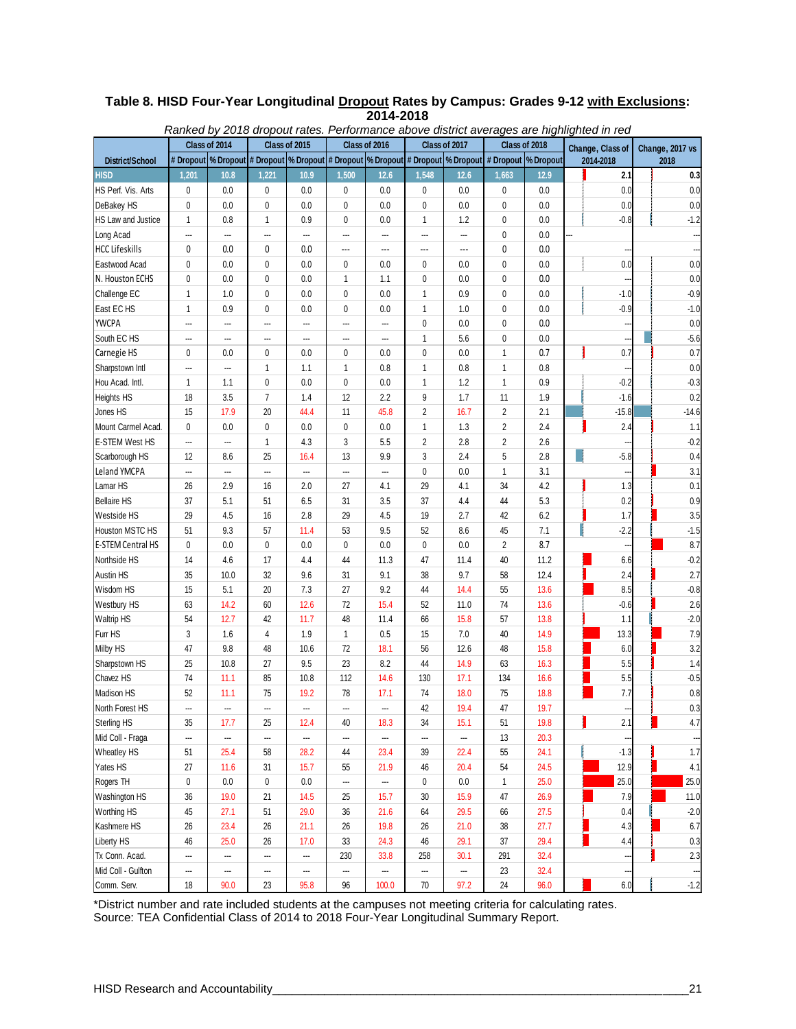|                          |              |                                                                                                              |                |               | Ranked by 2018 dropout rates. Performance above district averages are highlighted in red |                                |                          |      |                |      |                  |                 |  |
|--------------------------|--------------|--------------------------------------------------------------------------------------------------------------|----------------|---------------|------------------------------------------------------------------------------------------|--------------------------------|--------------------------|------|----------------|------|------------------|-----------------|--|
|                          |              | Class of 2014                                                                                                |                | Class of 2015 |                                                                                          | Class of 2017<br>Class of 2016 |                          |      | Class of 2018  |      | Change, Class of | Change, 2017 vs |  |
| District/School          |              | # Dropout  % Dropout  # Dropout  % Dropout  # Dropout  % Dropout  # Dropout  % Dropout  # Dropout  % Dropout |                |               |                                                                                          |                                |                          |      |                |      | 2014-2018        | 2018            |  |
| <b>HISD</b>              | 1,201        | 10.8                                                                                                         | 1,221          | 10.9          | 1,500                                                                                    | 12.6                           | 1,548                    | 12.6 | 1,663          | 12.9 | 2.1              | 0.3             |  |
| HS Perf. Vis. Arts       | 0            | 0.0                                                                                                          | 0              | 0.0           | 0                                                                                        | 0.0                            | 0                        | 0.0  | 0              | 0.0  | 0.0              | 0.0             |  |
| DeBakey HS               | 0            | 0.0                                                                                                          | 0              | 0.0           | 0                                                                                        | 0.0                            | 0                        | 0.0  | 0              | 0.0  | 0.0              | 0.0             |  |
| HS Law and Justice       | 1            | 0.8                                                                                                          | $\mathbf{1}$   | 0.9           | 0                                                                                        | 0.0                            | $\mathbf{1}$             | 1.2  | 0              | 0.0  | $-0.8$           | $-1.2$          |  |
| Long Acad                | ---          | ---                                                                                                          | ---            | ---           | ---                                                                                      | ---                            | ---                      | ---  | 0              | 0.0  |                  |                 |  |
| <b>HCC Lifeskills</b>    | 0            | 0.0                                                                                                          | 0              | 0.0           | ---                                                                                      | ---                            | $\overline{\phantom{a}}$ | ---  | 0              | 0.0  |                  |                 |  |
| Eastwood Acad            | 0            | 0.0                                                                                                          | 0              | 0.0           | 0                                                                                        | 0.0                            | 0                        | 0.0  | 0              | 0.0  | 0.0              | 0.0             |  |
| N. Houston ECHS          | 0            | 0.0                                                                                                          | 0              | 0.0           | 1                                                                                        | 1.1                            | $\pmb{0}$                | 0.0  | 0              | 0.0  |                  | 0.0             |  |
| Challenge EC             | $\mathbf{1}$ | 1.0                                                                                                          | 0              | 0.0           | 0                                                                                        | 0.0                            | 1                        | 0.9  | 0              | 0.0  | $-1.0$           | $-0.9$          |  |
| East EC HS               | $\mathbf{1}$ | 0.9                                                                                                          | 0              | 0.0           | 0                                                                                        | 0.0                            | 1                        | 1.0  | 0              | 0.0  | $-0.9$           | $-1.0$          |  |
| <b>YWCPA</b>             | ---          | ---                                                                                                          | ---            | ---           | ---                                                                                      |                                | 0                        | 0.0  | 0              | 0.0  |                  | 0.0             |  |
| South EC HS              | ---          | ---                                                                                                          | ---            | ---           | ---                                                                                      | ---                            | 1                        | 5.6  | 0              | 0.0  |                  | $-5.6$          |  |
| Carnegie HS              | 0            | 0.0                                                                                                          | 0              | 0.0           | 0                                                                                        | 0.0                            | 0                        | 0.0  | 1              | 0.7  | 0.7              | 0.7             |  |
| Sharpstown Intl          | ---          | ---                                                                                                          | $\mathbf{1}$   | 1.1           | $\mathbf{1}$                                                                             | 0.8                            | $\mathbf{1}$             | 0.8  | 1              | 0.8  |                  | 0.0             |  |
| Hou Acad. Intl.          | $\mathbf{1}$ | 1.1                                                                                                          | 0              | 0.0           | 0                                                                                        | 0.0                            | 1                        | 1.2  | 1              | 0.9  | $-0.2$           | $-0.3$          |  |
| Heights HS               | 18           | 3.5                                                                                                          | $\overline{7}$ | 1.4           | 12                                                                                       | 2.2                            | 9                        | 1.7  | 11             | 1.9  | $-1.6$           | 0.2             |  |
| Jones HS                 | 15           | 17.9                                                                                                         | 20             | 44.4          | 11                                                                                       | 45.8                           | $\overline{2}$           | 16.7 | $\overline{2}$ | 2.1  | $-15.8$          | $-14.6$         |  |
| Mount Carmel Acad.       | 0            | 0.0                                                                                                          | 0              | 0.0           | 0                                                                                        | 0.0                            | $\mathbf{1}$             | 1.3  | $\overline{2}$ | 2.4  | 2.4              | 1.1             |  |
| E-STEM West HS           |              | ---                                                                                                          | $\mathbf{1}$   | 4.3           | 3                                                                                        | 5.5                            | $\overline{2}$           | 2.8  | 2              | 2.6  |                  | $-0.2$          |  |
| Scarborough HS           | 12           | 8.6                                                                                                          | 25             | 16.4          | 13                                                                                       | 9.9                            | 3                        | 2.4  | 5              | 2.8  | $-5.8$           | 0.4             |  |
| Leland YMCPA             | ---          | ---                                                                                                          | ---            |               |                                                                                          |                                | $\pmb{0}$                | 0.0  | 1              | 3.1  | ---              | 3.1             |  |
| Lamar HS                 | 26           | 2.9                                                                                                          | 16             | 2.0           | 27                                                                                       | 4.1                            | 29                       | 4.1  | 34             | 4.2  | 1.3              | 0.1             |  |
| <b>Bellaire HS</b>       | 37           | 5.1                                                                                                          | 51             | 6.5           | 31                                                                                       | 3.5                            | 37                       | 4.4  | 44             | 5.3  | 0.2              | 0.9             |  |
| Westside HS              | 29           | 4.5                                                                                                          | 16             | 2.8           | 29                                                                                       | 4.5                            | 19                       | 2.7  | 42             | 6.2  | 1.7              | 3.5             |  |
| Houston MSTC HS          | 51           | 9.3                                                                                                          | 57             | 11.4          | 53                                                                                       | 9.5                            | 52                       | 8.6  | 45             | 7.1  | $-2.2$           | $-1.5$          |  |
| <b>E-STEM Central HS</b> | 0            | 0.0                                                                                                          | 0              | 0.0           | 0                                                                                        | 0.0                            | $\pmb{0}$                | 0.0  | $\overline{2}$ | 8.7  |                  | 8.7             |  |
| Northside HS             | 14           | 4.6                                                                                                          | 17             | 4.4           | 44                                                                                       | 11.3                           | 47                       | 11.4 | 40             | 11.2 | 6.6              | $-0.2$          |  |
| Austin HS                | 35           | 10.0                                                                                                         | 32             | 9.6           | 31                                                                                       | 9.1                            | 38                       | 9.7  | 58             | 12.4 | 2.4              | 2.7             |  |
| Wisdom HS                | 15           | 5.1                                                                                                          | 20             | 7.3           | 27                                                                                       | 9.2                            | 44                       | 14.4 | 55             | 13.6 | 8.5              | $-0.8$          |  |
| Westbury HS              | 63           | 14.2                                                                                                         | 60             | 12.6          | 72                                                                                       | 15.4                           | 52                       | 11.0 | 74             | 13.6 | $-0.6$           | 2.6             |  |
| Waltrip HS               | 54           | 12.7                                                                                                         | 42             | 11.7          | 48                                                                                       | 11.4                           | 66                       | 15.8 | 57             | 13.8 | 1.1              | $-2.0$          |  |
| Furr HS                  | 3            | 1.6                                                                                                          | 4              | 1.9           | $\mathbf{1}$                                                                             | 0.5                            | 15                       | 7.0  | 40             | 14.9 | 13.3             | 7.9             |  |
| Milby HS                 | 47           | 9.8                                                                                                          | 48             | 10.6          | 72                                                                                       | 18.1                           | 56                       | 12.6 | 48             | 15.8 | 6.0              | 3.2             |  |
| Sharpstown HS            | 25           | 10.8                                                                                                         | 27             | 9.5           | 23                                                                                       | 8.2                            | 44                       | 14.9 | 63             | 16.3 | 5.5              | 1.4             |  |
| Chavez HS                | 74           | 11.1                                                                                                         | 85             | 10.8          | 112                                                                                      | 14.6                           | 130                      | 17.1 | 134            | 16.6 | 5.5              | $-0.5$          |  |
| Madison HS               | 52           | 11.1                                                                                                         | 75             | 19.2          | 78                                                                                       | 17.1                           | 74                       | 18.0 | 75             | 18.8 | 7.7              | 0.8             |  |
| North Forest HS          |              |                                                                                                              |                |               |                                                                                          |                                | 42                       | 19.4 | 47             | 19.7 |                  | 0.3             |  |
| Sterling HS              | 35           | 17.7                                                                                                         | 25             | 12.4          | 40                                                                                       | 18.3                           | 34                       | 15.1 | 51             | 19.8 | 2.1              | 4.7             |  |
| Mid Coll - Fraga         |              |                                                                                                              |                | ---           |                                                                                          | ---                            | ---                      |      | 13             | 20.3 |                  |                 |  |
| Wheatley HS              | 51           | 25.4                                                                                                         | 58             | 28.2          | 44                                                                                       | 23.4                           | 39                       | 22.4 | 55             | 24.1 | $-1.3$           | 1.7             |  |
| Yates HS                 | 27           | 11.6                                                                                                         | 31             | 15.7          | 55                                                                                       | 21.9                           | 46                       | 20.4 | 54             | 24.5 | 12.9             | 4.1             |  |
| Rogers TH                | 0            | 0.0                                                                                                          | 0              | 0.0           |                                                                                          |                                | $\pmb{0}$                | 0.0  | 1              | 25.0 | 25.0             | 25.0            |  |
| Washington HS            | $36\,$       | 19.0                                                                                                         | 21             | 14.5          | 25                                                                                       | 15.7                           | 30                       | 15.9 | 47             | 26.9 | 7.9              | 11.0            |  |
| Worthing HS              | 45           | 27.1                                                                                                         | 51             | 29.0          | 36                                                                                       | 21.6                           | 64                       | 29.5 | 66             | 27.5 | 0.4              | $-2.0$          |  |
| Kashmere HS              | 26           | 23.4                                                                                                         | 26             | 21.1          | 26                                                                                       | 19.8                           | 26                       | 21.0 | 38             | 27.7 | 4.3              | 6.7             |  |
| Liberty HS               | 46           | 25.0                                                                                                         | 26             | 17.0          | 33                                                                                       | 24.3                           | 46                       | 29.1 | 37             | 29.4 | 4.4              | 0.3             |  |
| Tx Conn. Acad.           | ---          | ---                                                                                                          | ---            |               | 230                                                                                      | 33.8                           | 258                      | 30.1 | 291            | 32.4 |                  | 2.3             |  |
| Mid Coll - Gulfton       |              | ---                                                                                                          |                | ---           |                                                                                          | ---                            |                          |      | 23             | 32.4 |                  |                 |  |
| Comm. Serv.              | 18           | 90.0                                                                                                         | 23             | 95.8          | 96                                                                                       | 100.0                          | $70\,$                   | 97.2 | $24\,$         | 96.0 | 6.0              | $-1.2$          |  |

### **Table 8. HISD Four-Year Longitudinal Dropout Rates by Campus: Grades 9-12 with Exclusions: 2014-2018**

\*District number and rate included students at the campuses not meeting criteria for calculating rates. Source: TEA Confidential Class of 2014 to 2018 Four-Year Longitudinal Summary Report.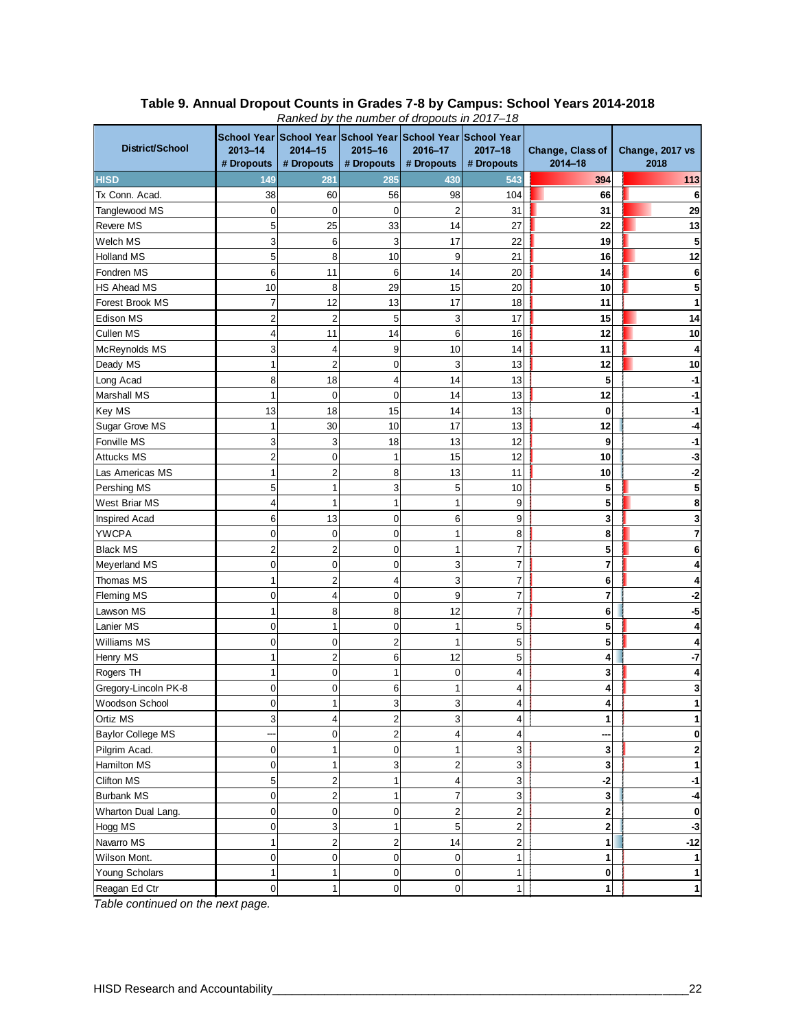| District/School          | $2013 - 14$<br># Dropouts | $2014 - 15$<br># Dropouts | ranked by the harnoor or dropodio in 2011 To<br>School Year School Year School Year School Year School Year<br>2015-16<br># Dropouts | 2016-17<br># Dropouts | $2017 - 18$<br># Dropouts | Change, Class of<br>2014-18 | Change, 2017 vs<br>2018 |
|--------------------------|---------------------------|---------------------------|--------------------------------------------------------------------------------------------------------------------------------------|-----------------------|---------------------------|-----------------------------|-------------------------|
| <b>HISD</b>              | 149                       | 281                       | 285                                                                                                                                  | 430                   | 543                       | 394                         | 113                     |
| Tx Conn. Acad.           | 38                        | 60                        | 56                                                                                                                                   | 98                    | 104                       | 66                          |                         |
| Tanglewood MS            | $\mathbf 0$               | $\mathbf 0$               | 0                                                                                                                                    | $\overline{2}$        | 31                        | 31                          | 29                      |
| <b>Revere MS</b>         | 5                         | 25                        | 33                                                                                                                                   | 14                    | 27                        | 22                          | 13                      |
| Welch MS                 | 3                         | 6                         | 3                                                                                                                                    | 17                    | 22                        | 19                          |                         |
| Holland MS               | 5                         | 8                         | 10                                                                                                                                   | 9                     | 21                        | 16                          | 12                      |
| Fondren MS               | 6                         | 11                        | 6                                                                                                                                    | 14                    | 20                        | 14                          |                         |
| <b>HS Ahead MS</b>       | 10                        | 8                         | 29                                                                                                                                   | 15                    | 20                        | 10                          |                         |
| Forest Brook MS          | 7                         | 12                        | 13                                                                                                                                   | 17                    | 18                        | 11                          |                         |
| Edison MS                | $\overline{c}$            | $\overline{2}$            | 5                                                                                                                                    | 3                     | 17                        | 15                          | 14                      |
| Cullen MS                | 4                         | 11                        | 14                                                                                                                                   | 6                     | 16                        | 12                          | 10                      |
| McReynolds MS            | 3                         | 4                         | 9                                                                                                                                    | 10                    | 14                        | 11                          |                         |
| Deady MS                 | 1                         | $\overline{c}$            | 0                                                                                                                                    | 3                     | 13                        | 12                          | 10                      |
| Long Acad                | 8                         | 18                        | 4                                                                                                                                    | 14                    | 13                        | 5                           |                         |
| <b>Marshall MS</b>       | 1                         | $\mathbf 0$               | 0                                                                                                                                    | 14                    | 13                        | 12                          |                         |
| Key MS                   | 13                        | 18                        | 15                                                                                                                                   | 14                    | 13                        | 0                           |                         |
| Sugar Grove MS           | 1                         | 30                        | 10                                                                                                                                   | 17                    | 13                        | 12                          |                         |
| Fonville MS              | 3                         | 3                         | 18                                                                                                                                   | 13                    | 12                        | 9                           |                         |
| Attucks MS               | $\overline{\mathbf{c}}$   | $\mathbf 0$               | 1                                                                                                                                    | 15                    | 12                        | 10                          |                         |
| Las Americas MS          | 1                         | $\overline{c}$            | 8                                                                                                                                    | 13                    | 11                        | 10                          |                         |
| Pershing MS              | 5                         |                           | 3                                                                                                                                    | 5                     | 10                        | 5                           |                         |
| West Briar MS            | 4                         | 1                         | 1                                                                                                                                    | 1                     | 9                         | 5                           |                         |
| Inspired Acad            | 6                         | 13                        | 0                                                                                                                                    | 6                     | 9                         | 3                           |                         |
| <b>YWCPA</b>             | $\mathbf 0$               | $\mathbf{0}$              | 0                                                                                                                                    | 1                     | 8                         | 8                           |                         |
| <b>Black MS</b>          | $\overline{c}$            | $\overline{2}$            | 0                                                                                                                                    | 1                     | $\overline{7}$            | 5                           |                         |
| Meyerland MS             | 0                         | 0                         | 0                                                                                                                                    | 3                     | $\overline{7}$            | 7                           |                         |
| Thomas MS                | 1                         | $\overline{2}$            | 4                                                                                                                                    | 3                     | 7                         | 6                           |                         |
| <b>Fleming MS</b>        | $\mathbf 0$               | 4                         | 0                                                                                                                                    | 9                     | $\overline{7}$            | 7                           |                         |
| Lawson MS                | $\mathbf{1}$              | 8                         | 8                                                                                                                                    | 12                    | $\overline{7}$            | 6                           |                         |
| Lanier MS                | $\mathbf 0$               | 1                         | 0                                                                                                                                    | 1                     | 5                         | 5                           |                         |
| <b>Williams MS</b>       | $\mathbf 0$               | $\mathbf 0$               | $\overline{2}$                                                                                                                       | 1                     | 5                         | 5                           |                         |
| Henry MS                 | 1                         | $\overline{\mathbf{c}}$   | 6                                                                                                                                    | 12                    | 5                         | 4                           |                         |
| Rogers TH                | $\mathbf{1}$              | $\mathbf 0$               | 1                                                                                                                                    | 0                     | $\overline{\mathbf{4}}$   | 3                           |                         |
| Gregory-Lincoln PK-8     | 0                         | 0                         | 6                                                                                                                                    |                       | 4                         | 4                           |                         |
| Woodson School           | 0                         |                           | J                                                                                                                                    |                       |                           |                             |                         |
| Ortiz MS                 | 3                         | $\overline{4}$            | $\overline{c}$                                                                                                                       | 3                     | 4                         | 1                           |                         |
| <b>Baylor College MS</b> |                           | $\mathbf 0$               | $\overline{\mathbf{c}}$                                                                                                              | 4                     | 4                         |                             |                         |
| Pilgrim Acad.            | $\mathbf 0$               | 1                         | 0                                                                                                                                    | 1                     | 3                         | 3                           |                         |
| Hamilton MS              | $\mathsf 0$               | $\mathbf{1}$              | 3                                                                                                                                    | $\overline{c}$        | 3                         | $\mathbf{3}$                |                         |
| Clifton MS               | 5                         | $\overline{\mathbf{c}}$   | $\mathbf{1}$                                                                                                                         | 4                     | $\mathsf 3$               | $-2$                        | -1                      |
| <b>Burbank MS</b>        | $\mathsf 0$               | $\overline{\mathbf{c}}$   | 1                                                                                                                                    | $\overline{7}$        | $\mathsf 3$               | $\mathbf{3}$                |                         |
| Wharton Dual Lang.       | $\pmb{0}$                 | $\boldsymbol{0}$          | 0                                                                                                                                    | $\overline{c}$        | $\overline{\mathbf{c}}$   | 2                           | 0                       |
| Hogg MS                  | $\mathbf 0$               | 3                         | 1                                                                                                                                    | 5                     | $\overline{\mathbf{c}}$   | $\mathbf{2}$                | -3                      |
| Navarro MS               | $\mathbf{1}$              | $\overline{\mathbf{c}}$   | $\overline{\mathbf{c}}$                                                                                                              | 14                    | $\overline{\mathbf{c}}$   | 1                           | $-12$                   |
| Wilson Mont.             | $\mathbf 0$               | $\mathbf 0$               | $\overline{0}$                                                                                                                       | 0                     | $\mathbf{1}$              | 1                           |                         |
| Young Scholars           | $\mathbf{1}$              | 1                         | 0                                                                                                                                    | 0                     | 1                         | $\mathbf 0$                 |                         |
| Reagan Ed Ctr            | $\mathbf 0$               | 1                         | 0                                                                                                                                    | 0                     | 1                         | 1                           |                         |

#### **Table 9. Annual Dropout Counts in Grades 7-8 by Campus: School Years 2014-2018** *Ranked by the number of dropouts in 2017–18*

*Table continued on the next page.*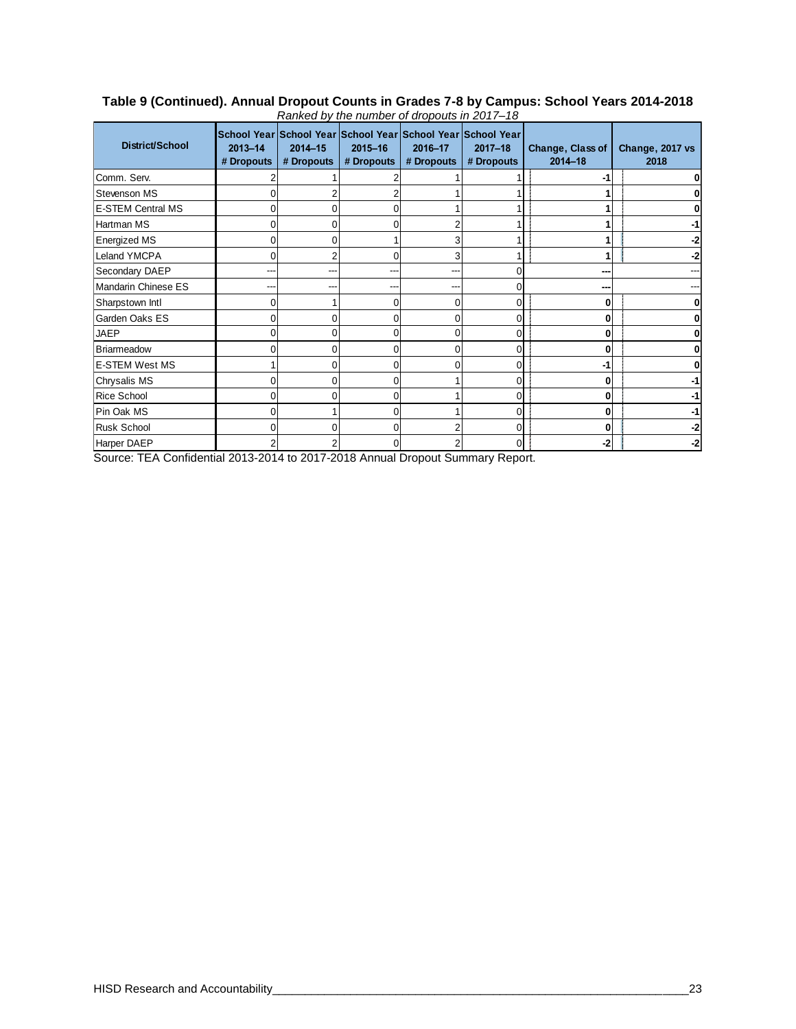| District/School          | School Year School Year School Year School Year School Year<br>$2013 - 14$<br># Dropouts | 2014-15<br># Dropouts | $2015 - 16$<br># Dropouts | 2016-17<br># Dropouts | $2017 - 18$<br># Dropouts | Change, Class of<br>$2014 - 18$ | Change, 2017 vs<br>2018 |
|--------------------------|------------------------------------------------------------------------------------------|-----------------------|---------------------------|-----------------------|---------------------------|---------------------------------|-------------------------|
| Comm. Serv.              |                                                                                          |                       |                           |                       |                           |                                 |                         |
| <b>Stevenson MS</b>      |                                                                                          |                       |                           |                       |                           |                                 |                         |
| <b>E-STEM Central MS</b> | 0                                                                                        |                       |                           |                       |                           |                                 |                         |
| Hartman MS               |                                                                                          |                       |                           |                       |                           |                                 |                         |
| <b>Energized MS</b>      |                                                                                          |                       |                           |                       |                           |                                 |                         |
| <b>Leland YMCPA</b>      | 0                                                                                        |                       |                           |                       | ŕ                         |                                 |                         |
| Secondary DAEP           | ---                                                                                      | ---                   |                           | --                    | 0                         |                                 |                         |
| Mandarin Chinese ES      |                                                                                          |                       |                           |                       | 0                         |                                 |                         |
| Sharpstown Intl          |                                                                                          |                       |                           |                       | $\overline{0}$            |                                 |                         |
| Garden Oaks ES           | 0                                                                                        |                       |                           |                       | $\overline{0}$            |                                 |                         |
| <b>JAEP</b>              | 0                                                                                        | ი                     |                           |                       | $\overline{0}$            | 0                               |                         |
| <b>Briarmeadow</b>       |                                                                                          |                       |                           |                       | $\overline{0}$            | 0                               |                         |
| <b>E-STEM West MS</b>    |                                                                                          |                       |                           |                       | $\overline{0}$            |                                 |                         |
| Chrysalis MS             | 0                                                                                        |                       |                           |                       | $\overline{0}$            | 0                               |                         |
| <b>Rice School</b>       | 0                                                                                        |                       |                           |                       | $\overline{0}$            | 0                               |                         |
| Pin Oak MS               |                                                                                          |                       |                           |                       | $\overline{0}$            | 0                               |                         |
| <b>Rusk School</b>       |                                                                                          |                       |                           |                       | $\overline{0}$            | 0                               |                         |
| Harper DAEP              | 2                                                                                        |                       |                           |                       | $\overline{0}$            | -2                              | -2                      |

#### **Table 9 (Continued). Annual Dropout Counts in Grades 7-8 by Campus: School Years 2014-2018** *Ranked by the number of dropouts in 2017–18*

Source: TEA Confidential 2013-2014 to 2017-2018 Annual Dropout Summary Report.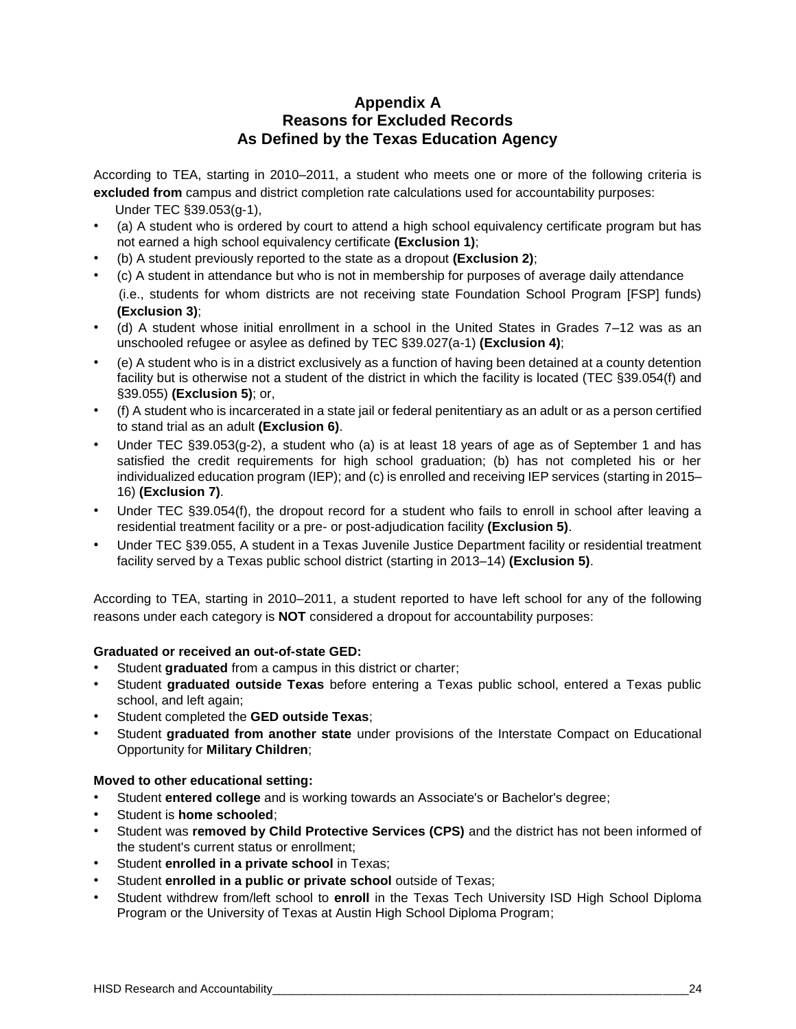# **Appendix A Reasons for Excluded Records As Defined by the Texas Education Agency**

According to TEA, starting in 2010–2011, a student who meets one or more of the following criteria is **excluded from** campus and district completion rate calculations used for accountability purposes:

- Under TEC §39.053(g-1),
- (a) A student who is ordered by court to attend a high school equivalency certificate program but has not earned a high school equivalency certificate **(Exclusion 1)**;
- (b) A student previously reported to the state as a dropout **(Exclusion 2)**;
- (c) A student in attendance but who is not in membership for purposes of average daily attendance (i.e., students for whom districts are not receiving state Foundation School Program [FSP] funds) **(Exclusion 3)**;
- (d) A student whose initial enrollment in a school in the United States in Grades 7–12 was as an unschooled refugee or asylee as defined by TEC §39.027(a-1) **(Exclusion 4)**;
- (e) A student who is in a district exclusively as a function of having been detained at a county detention facility but is otherwise not a student of the district in which the facility is located (TEC §39.054(f) and §39.055) **(Exclusion 5)**; or,
- (f) A student who is incarcerated in a state jail or federal penitentiary as an adult or as a person certified to stand trial as an adult **(Exclusion 6)**.
- Under TEC §39.053(g-2), a student who (a) is at least 18 years of age as of September 1 and has satisfied the credit requirements for high school graduation; (b) has not completed his or her individualized education program (IEP); and (c) is enrolled and receiving IEP services (starting in 2015– 16) **(Exclusion 7)**.
- Under TEC §39.054(f), the dropout record for a student who fails to enroll in school after leaving a residential treatment facility or a pre- or post-adjudication facility **(Exclusion 5)**.
- Under TEC §39.055, A student in a Texas Juvenile Justice Department facility or residential treatment facility served by a Texas public school district (starting in 2013–14) **(Exclusion 5)**.

According to TEA, starting in 2010–2011, a student reported to have left school for any of the following reasons under each category is **NOT** considered a dropout for accountability purposes:

#### **Graduated or received an out-of-state GED:**

- Student graduated from a campus in this district or charter;
- Student **graduated outside Texas** before entering a Texas public school, entered a Texas public school, and left again;
- Student completed the **GED outside Texas**;
- Student **graduated from another state** under provisions of the Interstate Compact on Educational Opportunity for **Military Children**;

#### **Moved to other educational setting:**

- Student **entered college** and is working towards an Associate's or Bachelor's degree;
- Student is **home schooled**;
- Student was **removed by Child Protective Services (CPS)** and the district has not been informed of the student's current status or enrollment;
- Student **enrolled in a private school** in Texas;
- Student **enrolled in a public or private school** outside of Texas;
- Student withdrew from/left school to **enroll** in the Texas Tech University ISD High School Diploma Program or the University of Texas at Austin High School Diploma Program;